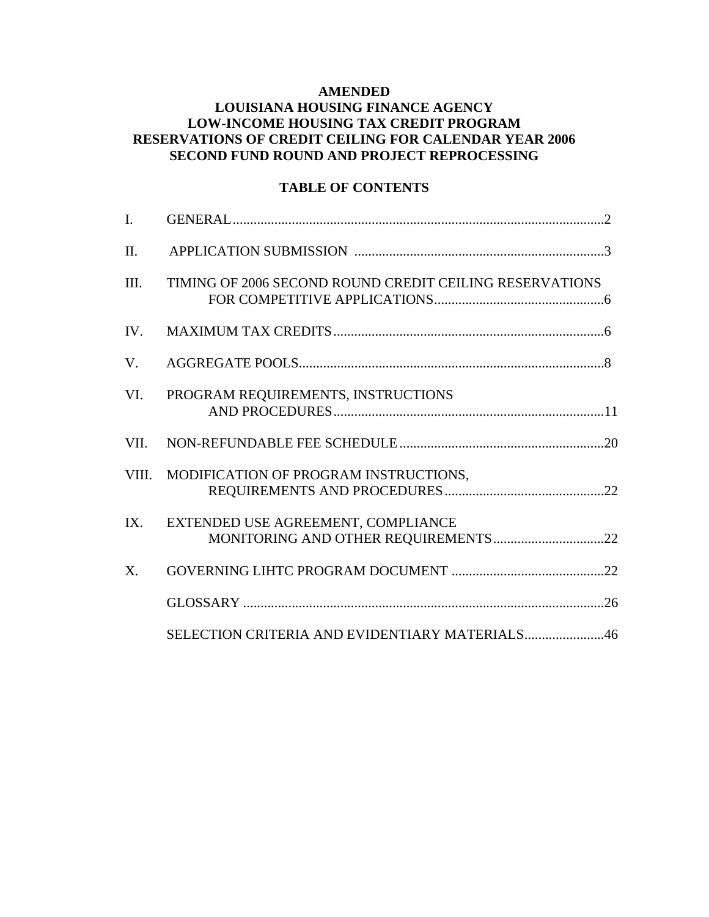### **AMENDED**

## **LOUISIANA HOUSING FINANCE AGENCY LOW-INCOME HOUSING TAX CREDIT PROGRAM RESERVATIONS OF CREDIT CEILING FOR CALENDAR YEAR 2006 SECOND FUND ROUND AND PROJECT REPROCESSING**

## **TABLE OF CONTENTS**

| I.    |                                                         |
|-------|---------------------------------------------------------|
| II.   |                                                         |
| III.  | TIMING OF 2006 SECOND ROUND CREDIT CEILING RESERVATIONS |
| IV.   |                                                         |
| V.    |                                                         |
| VI.   | PROGRAM REQUIREMENTS, INSTRUCTIONS                      |
| VII.  |                                                         |
| VIII. | MODIFICATION OF PROGRAM INSTRUCTIONS,                   |
| IX.   | EXTENDED USE AGREEMENT, COMPLIANCE                      |
| X.    |                                                         |
|       |                                                         |
|       | SELECTION CRITERIA AND EVIDENTIARY MATERIALS46          |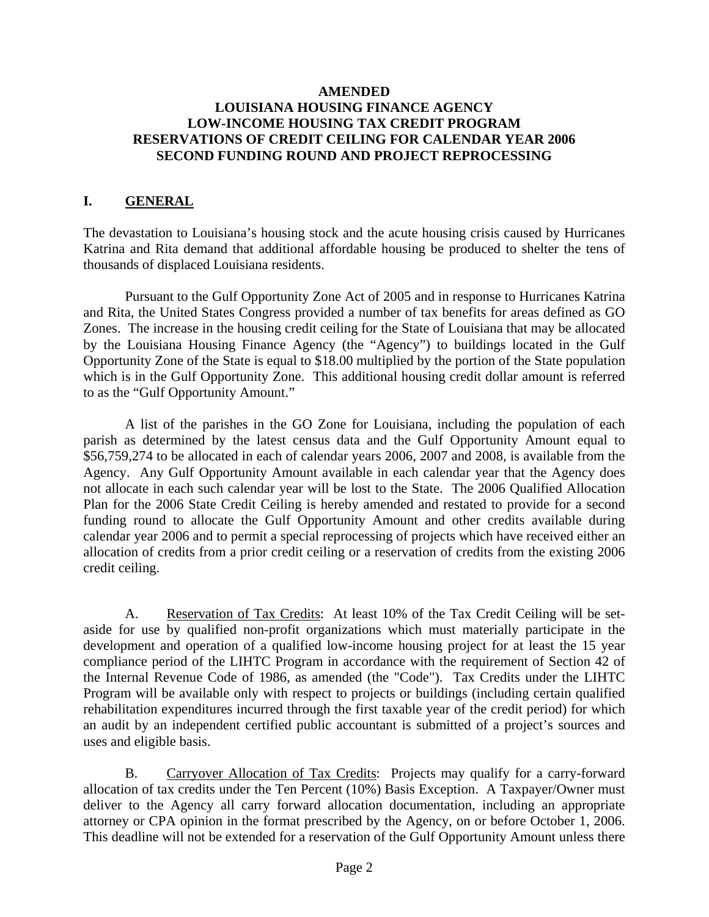## **AMENDED LOUISIANA HOUSING FINANCE AGENCY LOW-INCOME HOUSING TAX CREDIT PROGRAM RESERVATIONS OF CREDIT CEILING FOR CALENDAR YEAR 2006 SECOND FUNDING ROUND AND PROJECT REPROCESSING**

# **I. GENERAL**

The devastation to Louisiana's housing stock and the acute housing crisis caused by Hurricanes Katrina and Rita demand that additional affordable housing be produced to shelter the tens of thousands of displaced Louisiana residents.

 Pursuant to the Gulf Opportunity Zone Act of 2005 and in response to Hurricanes Katrina and Rita, the United States Congress provided a number of tax benefits for areas defined as GO Zones. The increase in the housing credit ceiling for the State of Louisiana that may be allocated by the Louisiana Housing Finance Agency (the "Agency") to buildings located in the Gulf Opportunity Zone of the State is equal to \$18.00 multiplied by the portion of the State population which is in the Gulf Opportunity Zone. This additional housing credit dollar amount is referred to as the "Gulf Opportunity Amount."

A list of the parishes in the GO Zone for Louisiana, including the population of each parish as determined by the latest census data and the Gulf Opportunity Amount equal to \$56,759,274 to be allocated in each of calendar years 2006, 2007 and 2008, is available from the Agency. Any Gulf Opportunity Amount available in each calendar year that the Agency does not allocate in each such calendar year will be lost to the State. The 2006 Qualified Allocation Plan for the 2006 State Credit Ceiling is hereby amended and restated to provide for a second funding round to allocate the Gulf Opportunity Amount and other credits available during calendar year 2006 and to permit a special reprocessing of projects which have received either an allocation of credits from a prior credit ceiling or a reservation of credits from the existing 2006 credit ceiling.

 A. Reservation of Tax Credits: At least 10% of the Tax Credit Ceiling will be setaside for use by qualified non-profit organizations which must materially participate in the development and operation of a qualified low-income housing project for at least the 15 year compliance period of the LIHTC Program in accordance with the requirement of Section 42 of the Internal Revenue Code of 1986, as amended (the "Code"). Tax Credits under the LIHTC Program will be available only with respect to projects or buildings (including certain qualified rehabilitation expenditures incurred through the first taxable year of the credit period) for which an audit by an independent certified public accountant is submitted of a project's sources and uses and eligible basis.

B. Carryover Allocation of Tax Credits: Projects may qualify for a carry-forward allocation of tax credits under the Ten Percent (10%) Basis Exception. A Taxpayer/Owner must deliver to the Agency all carry forward allocation documentation, including an appropriate attorney or CPA opinion in the format prescribed by the Agency, on or before October 1, 2006. This deadline will not be extended for a reservation of the Gulf Opportunity Amount unless there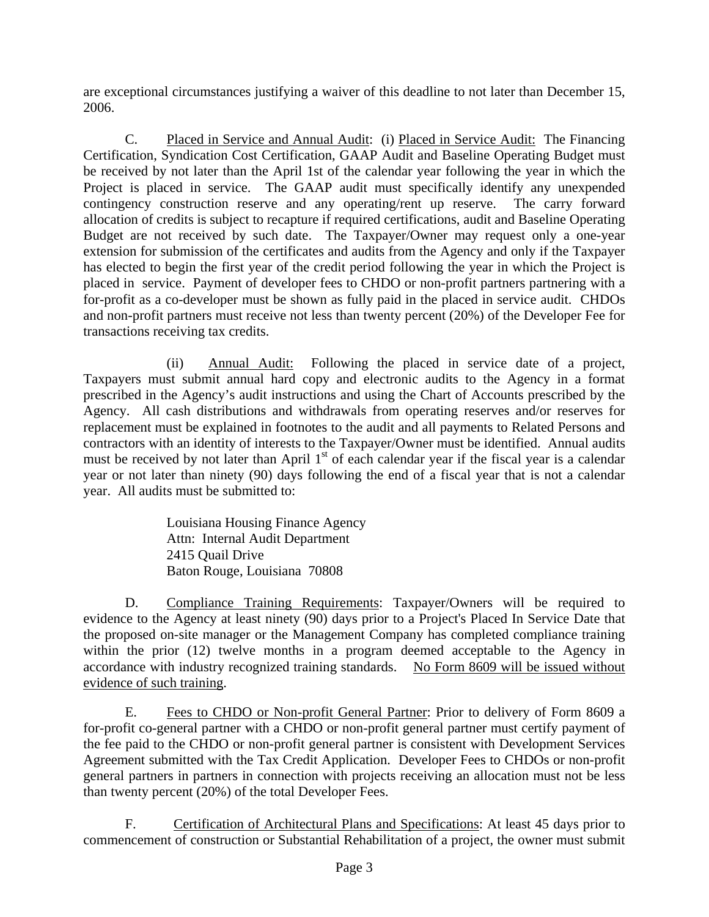are exceptional circumstances justifying a waiver of this deadline to not later than December 15, 2006.

 C. Placed in Service and Annual Audit: (i) Placed in Service Audit: The Financing Certification, Syndication Cost Certification, GAAP Audit and Baseline Operating Budget must be received by not later than the April 1st of the calendar year following the year in which the Project is placed in service. The GAAP audit must specifically identify any unexpended contingency construction reserve and any operating/rent up reserve. The carry forward allocation of credits is subject to recapture if required certifications, audit and Baseline Operating Budget are not received by such date. The Taxpayer/Owner may request only a one-year extension for submission of the certificates and audits from the Agency and only if the Taxpayer has elected to begin the first year of the credit period following the year in which the Project is placed in service. Payment of developer fees to CHDO or non-profit partners partnering with a for-profit as a co-developer must be shown as fully paid in the placed in service audit. CHDOs and non-profit partners must receive not less than twenty percent (20%) of the Developer Fee for transactions receiving tax credits.

 (ii) Annual Audit: Following the placed in service date of a project, Taxpayers must submit annual hard copy and electronic audits to the Agency in a format prescribed in the Agency's audit instructions and using the Chart of Accounts prescribed by the Agency. All cash distributions and withdrawals from operating reserves and/or reserves for replacement must be explained in footnotes to the audit and all payments to Related Persons and contractors with an identity of interests to the Taxpayer/Owner must be identified. Annual audits must be received by not later than April 1<sup>st</sup> of each calendar year if the fiscal year is a calendar year or not later than ninety (90) days following the end of a fiscal year that is not a calendar year. All audits must be submitted to:

> Louisiana Housing Finance Agency Attn: Internal Audit Department 2415 Quail Drive Baton Rouge, Louisiana 70808

 D. Compliance Training Requirements: Taxpayer/Owners will be required to evidence to the Agency at least ninety (90) days prior to a Project's Placed In Service Date that the proposed on-site manager or the Management Company has completed compliance training within the prior (12) twelve months in a program deemed acceptable to the Agency in accordance with industry recognized training standards. No Form 8609 will be issued without evidence of such training.

 E. Fees to CHDO or Non-profit General Partner: Prior to delivery of Form 8609 a for-profit co-general partner with a CHDO or non-profit general partner must certify payment of the fee paid to the CHDO or non-profit general partner is consistent with Development Services Agreement submitted with the Tax Credit Application. Developer Fees to CHDOs or non-profit general partners in partners in connection with projects receiving an allocation must not be less than twenty percent (20%) of the total Developer Fees.

 F. Certification of Architectural Plans and Specifications: At least 45 days prior to commencement of construction or Substantial Rehabilitation of a project, the owner must submit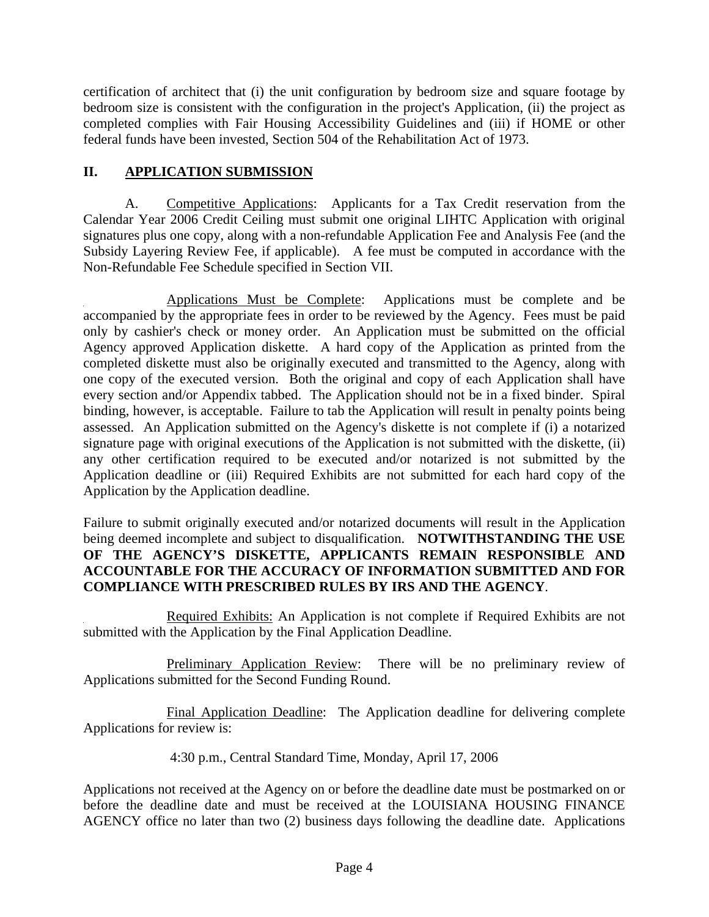certification of architect that (i) the unit configuration by bedroom size and square footage by bedroom size is consistent with the configuration in the project's Application, (ii) the project as completed complies with Fair Housing Accessibility Guidelines and (iii) if HOME or other federal funds have been invested, Section 504 of the Rehabilitation Act of 1973.

# **II. APPLICATION SUBMISSION**

 A. Competitive Applications: Applicants for a Tax Credit reservation from the Calendar Year 2006 Credit Ceiling must submit one original LIHTC Application with original signatures plus one copy, along with a non-refundable Application Fee and Analysis Fee (and the Subsidy Layering Review Fee, if applicable). A fee must be computed in accordance with the Non-Refundable Fee Schedule specified in Section VII.

 Applications Must be Complete: Applications must be complete and be accompanied by the appropriate fees in order to be reviewed by the Agency. Fees must be paid only by cashier's check or money order. An Application must be submitted on the official Agency approved Application diskette. A hard copy of the Application as printed from the completed diskette must also be originally executed and transmitted to the Agency, along with one copy of the executed version. Both the original and copy of each Application shall have every section and/or Appendix tabbed. The Application should not be in a fixed binder. Spiral binding, however, is acceptable. Failure to tab the Application will result in penalty points being assessed. An Application submitted on the Agency's diskette is not complete if (i) a notarized signature page with original executions of the Application is not submitted with the diskette, (ii) any other certification required to be executed and/or notarized is not submitted by the Application deadline or (iii) Required Exhibits are not submitted for each hard copy of the Application by the Application deadline.

Failure to submit originally executed and/or notarized documents will result in the Application being deemed incomplete and subject to disqualification. **NOTWITHSTANDING THE USE OF THE AGENCY'S DISKETTE, APPLICANTS REMAIN RESPONSIBLE AND ACCOUNTABLE FOR THE ACCURACY OF INFORMATION SUBMITTED AND FOR COMPLIANCE WITH PRESCRIBED RULES BY IRS AND THE AGENCY**.

 Required Exhibits: An Application is not complete if Required Exhibits are not submitted with the Application by the Final Application Deadline.

 Preliminary Application Review: There will be no preliminary review of Applications submitted for the Second Funding Round.

 Final Application Deadline: The Application deadline for delivering complete Applications for review is:

4:30 p.m., Central Standard Time, Monday, April 17, 2006

Applications not received at the Agency on or before the deadline date must be postmarked on or before the deadline date and must be received at the LOUISIANA HOUSING FINANCE AGENCY office no later than two (2) business days following the deadline date. Applications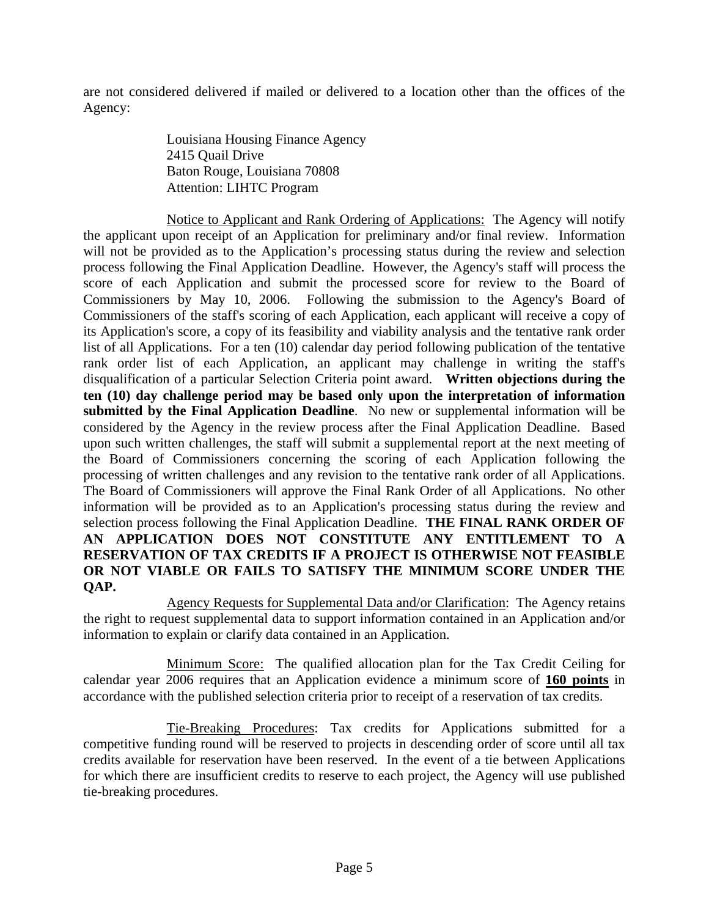are not considered delivered if mailed or delivered to a location other than the offices of the Agency:

> Louisiana Housing Finance Agency 2415 Quail Drive Baton Rouge, Louisiana 70808 Attention: LIHTC Program

 Notice to Applicant and Rank Ordering of Applications: The Agency will notify the applicant upon receipt of an Application for preliminary and/or final review. Information will not be provided as to the Application's processing status during the review and selection process following the Final Application Deadline. However, the Agency's staff will process the score of each Application and submit the processed score for review to the Board of Commissioners by May 10, 2006. Following the submission to the Agency's Board of Commissioners of the staff's scoring of each Application, each applicant will receive a copy of its Application's score, a copy of its feasibility and viability analysis and the tentative rank order list of all Applications. For a ten (10) calendar day period following publication of the tentative rank order list of each Application, an applicant may challenge in writing the staff's disqualification of a particular Selection Criteria point award. **Written objections during the ten (10) day challenge period may be based only upon the interpretation of information submitted by the Final Application Deadline**. No new or supplemental information will be considered by the Agency in the review process after the Final Application Deadline. Based upon such written challenges, the staff will submit a supplemental report at the next meeting of the Board of Commissioners concerning the scoring of each Application following the processing of written challenges and any revision to the tentative rank order of all Applications. The Board of Commissioners will approve the Final Rank Order of all Applications. No other information will be provided as to an Application's processing status during the review and selection process following the Final Application Deadline. **THE FINAL RANK ORDER OF AN APPLICATION DOES NOT CONSTITUTE ANY ENTITLEMENT TO A RESERVATION OF TAX CREDITS IF A PROJECT IS OTHERWISE NOT FEASIBLE OR NOT VIABLE OR FAILS TO SATISFY THE MINIMUM SCORE UNDER THE QAP.** 

 Agency Requests for Supplemental Data and/or Clarification: The Agency retains the right to request supplemental data to support information contained in an Application and/or information to explain or clarify data contained in an Application.

 Minimum Score: The qualified allocation plan for the Tax Credit Ceiling for calendar year 2006 requires that an Application evidence a minimum score of **160 points** in accordance with the published selection criteria prior to receipt of a reservation of tax credits.

 Tie-Breaking Procedures: Tax credits for Applications submitted for a competitive funding round will be reserved to projects in descending order of score until all tax credits available for reservation have been reserved. In the event of a tie between Applications for which there are insufficient credits to reserve to each project, the Agency will use published tie-breaking procedures.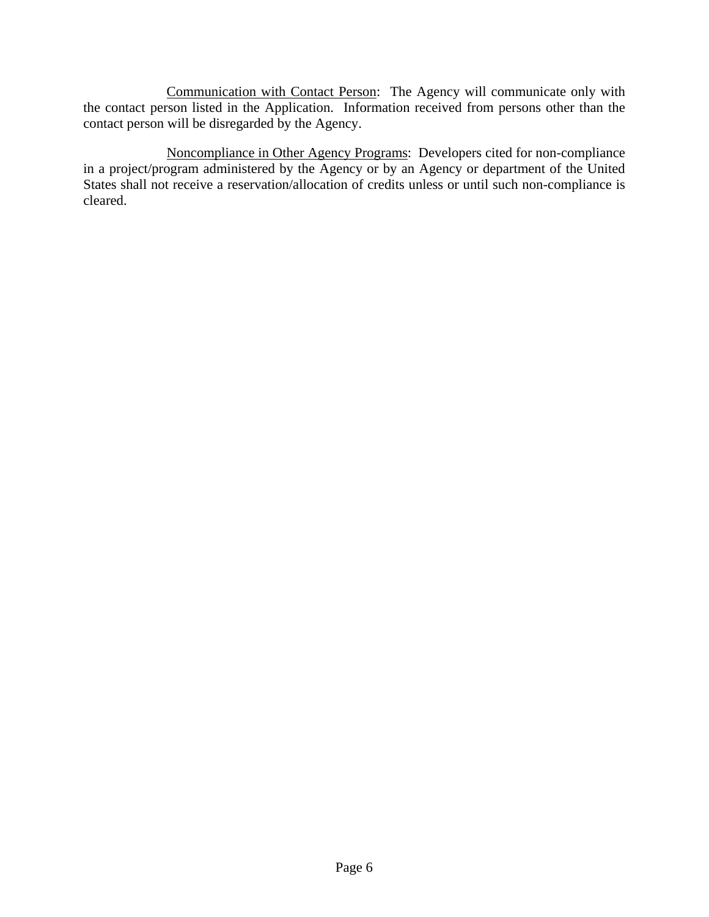Communication with Contact Person: The Agency will communicate only with the contact person listed in the Application. Information received from persons other than the contact person will be disregarded by the Agency.

 Noncompliance in Other Agency Programs: Developers cited for non-compliance in a project/program administered by the Agency or by an Agency or department of the United States shall not receive a reservation/allocation of credits unless or until such non-compliance is cleared.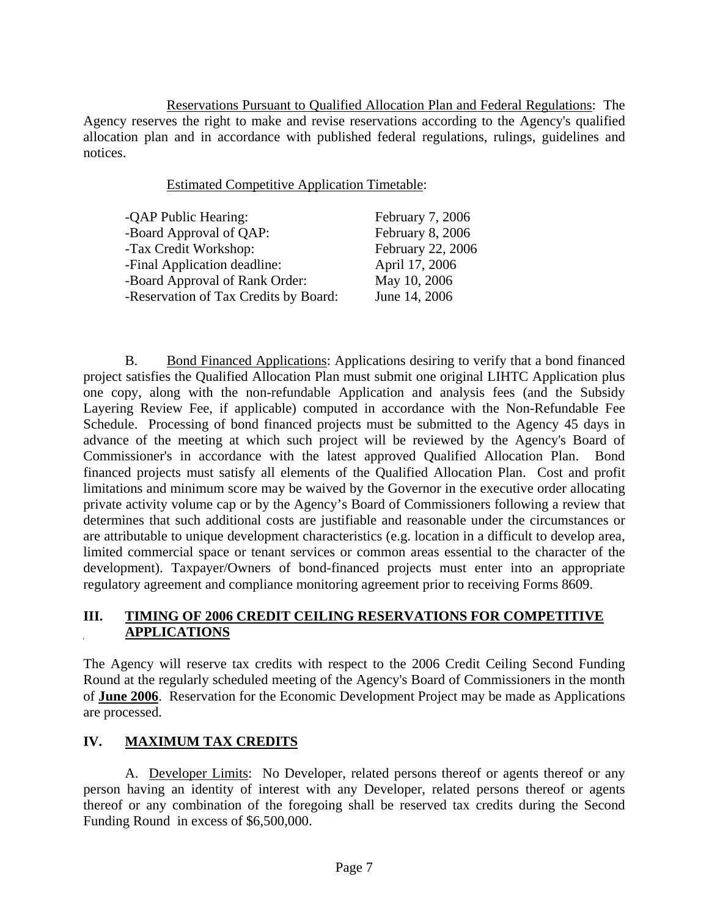Reservations Pursuant to Qualified Allocation Plan and Federal Regulations: The Agency reserves the right to make and revise reservations according to the Agency's qualified allocation plan and in accordance with published federal regulations, rulings, guidelines and notices.

Estimated Competitive Application Timetable:

| -QAP Public Hearing:                  | February 7, 2006  |
|---------------------------------------|-------------------|
| -Board Approval of QAP:               | February 8, 2006  |
| -Tax Credit Workshop:                 | February 22, 2006 |
| -Final Application deadline:          | April 17, 2006    |
| -Board Approval of Rank Order:        | May 10, 2006      |
| -Reservation of Tax Credits by Board: | June 14, 2006     |
|                                       |                   |

 B. Bond Financed Applications: Applications desiring to verify that a bond financed project satisfies the Qualified Allocation Plan must submit one original LIHTC Application plus one copy, along with the non-refundable Application and analysis fees (and the Subsidy Layering Review Fee, if applicable) computed in accordance with the Non-Refundable Fee Schedule. Processing of bond financed projects must be submitted to the Agency 45 days in advance of the meeting at which such project will be reviewed by the Agency's Board of Commissioner's in accordance with the latest approved Qualified Allocation Plan. Bond financed projects must satisfy all elements of the Qualified Allocation Plan. Cost and profit limitations and minimum score may be waived by the Governor in the executive order allocating private activity volume cap or by the Agency's Board of Commissioners following a review that determines that such additional costs are justifiable and reasonable under the circumstances or are attributable to unique development characteristics (e.g. location in a difficult to develop area, limited commercial space or tenant services or common areas essential to the character of the development). Taxpayer/Owners of bond-financed projects must enter into an appropriate regulatory agreement and compliance monitoring agreement prior to receiving Forms 8609.

# **III. TIMING OF 2006 CREDIT CEILING RESERVATIONS FOR COMPETITIVE APPLICATIONS**

The Agency will reserve tax credits with respect to the 2006 Credit Ceiling Second Funding Round at the regularly scheduled meeting of the Agency's Board of Commissioners in the month of **June 2006**. Reservation for the Economic Development Project may be made as Applications are processed.

# **IV. MAXIMUM TAX CREDITS**

 A. Developer Limits: No Developer, related persons thereof or agents thereof or any person having an identity of interest with any Developer, related persons thereof or agents thereof or any combination of the foregoing shall be reserved tax credits during the Second Funding Round in excess of \$6,500,000.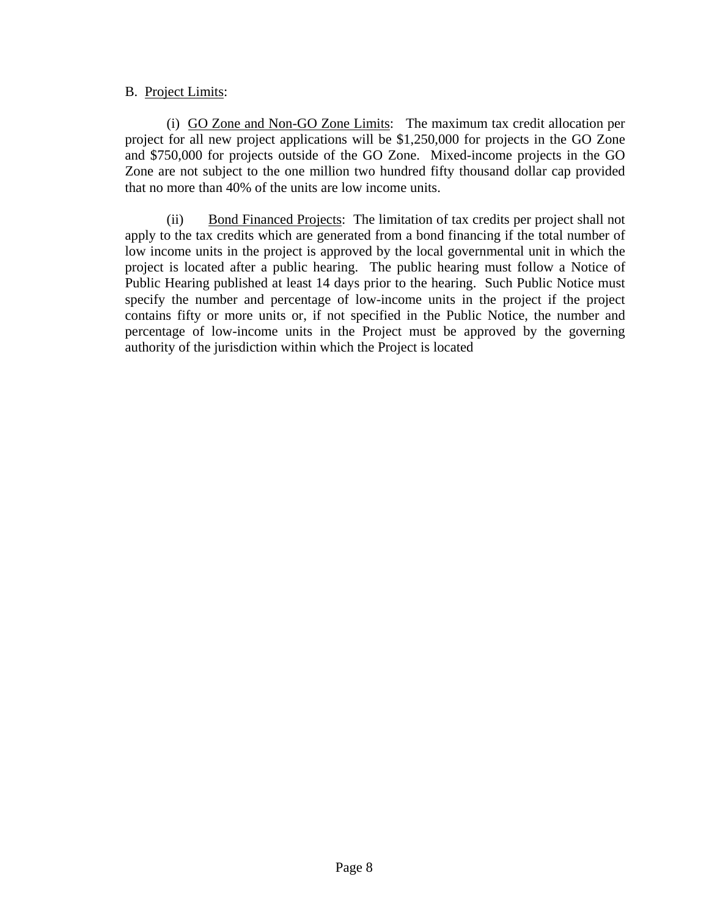## B. Project Limits:

(i) GO Zone and Non-GO Zone Limits: The maximum tax credit allocation per project for all new project applications will be \$1,250,000 for projects in the GO Zone and \$750,000 for projects outside of the GO Zone. Mixed-income projects in the GO Zone are not subject to the one million two hundred fifty thousand dollar cap provided that no more than 40% of the units are low income units.

 (ii) Bond Financed Projects: The limitation of tax credits per project shall not apply to the tax credits which are generated from a bond financing if the total number of low income units in the project is approved by the local governmental unit in which the project is located after a public hearing. The public hearing must follow a Notice of Public Hearing published at least 14 days prior to the hearing. Such Public Notice must specify the number and percentage of low-income units in the project if the project contains fifty or more units or, if not specified in the Public Notice, the number and percentage of low-income units in the Project must be approved by the governing authority of the jurisdiction within which the Project is located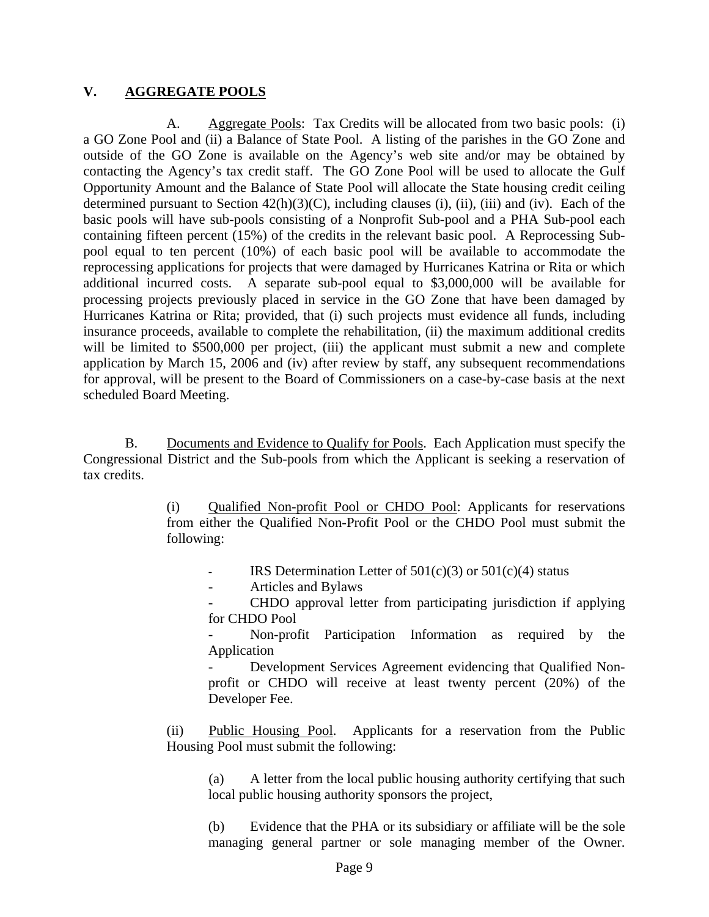## **V. AGGREGATE POOLS**

A. Aggregate Pools: Tax Credits will be allocated from two basic pools: (i) a GO Zone Pool and (ii) a Balance of State Pool. A listing of the parishes in the GO Zone and outside of the GO Zone is available on the Agency's web site and/or may be obtained by contacting the Agency's tax credit staff. The GO Zone Pool will be used to allocate the Gulf Opportunity Amount and the Balance of State Pool will allocate the State housing credit ceiling determined pursuant to Section  $42(h)(3)(C)$ , including clauses (i), (ii), (iii) and (iv). Each of the basic pools will have sub-pools consisting of a Nonprofit Sub-pool and a PHA Sub-pool each containing fifteen percent (15%) of the credits in the relevant basic pool. A Reprocessing Subpool equal to ten percent (10%) of each basic pool will be available to accommodate the reprocessing applications for projects that were damaged by Hurricanes Katrina or Rita or which additional incurred costs. A separate sub-pool equal to \$3,000,000 will be available for processing projects previously placed in service in the GO Zone that have been damaged by Hurricanes Katrina or Rita; provided, that (i) such projects must evidence all funds, including insurance proceeds, available to complete the rehabilitation, (ii) the maximum additional credits will be limited to \$500,000 per project, (iii) the applicant must submit a new and complete application by March 15, 2006 and (iv) after review by staff, any subsequent recommendations for approval, will be present to the Board of Commissioners on a case-by-case basis at the next scheduled Board Meeting.

 B. Documents and Evidence to Qualify for Pools. Each Application must specify the Congressional District and the Sub-pools from which the Applicant is seeking a reservation of tax credits.

> (i) Qualified Non-profit Pool or CHDO Pool: Applicants for reservations from either the Qualified Non-Profit Pool or the CHDO Pool must submit the following:

IRS Determination Letter of  $501(c)(3)$  or  $501(c)(4)$  status

- Articles and Bylaws

- CHDO approval letter from participating jurisdiction if applying for CHDO Pool

Non-profit Participation Information as required by the Application

Development Services Agreement evidencing that Qualified Nonprofit or CHDO will receive at least twenty percent (20%) of the Developer Fee.

 (ii) Public Housing Pool. Applicants for a reservation from the Public Housing Pool must submit the following:

 (a) A letter from the local public housing authority certifying that such local public housing authority sponsors the project,

 (b) Evidence that the PHA or its subsidiary or affiliate will be the sole managing general partner or sole managing member of the Owner.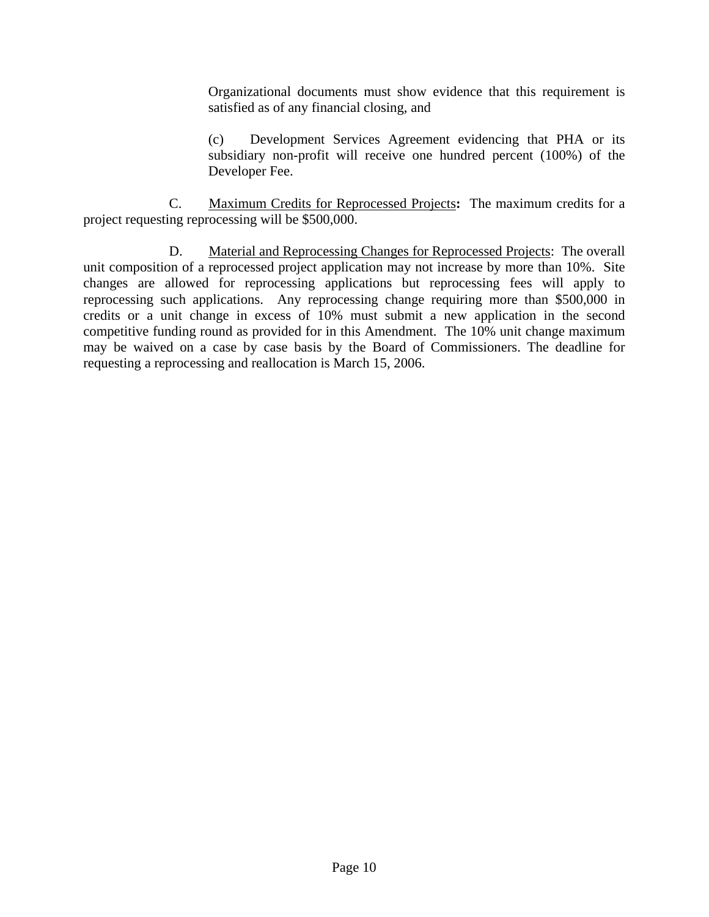Organizational documents must show evidence that this requirement is satisfied as of any financial closing, and

 (c) Development Services Agreement evidencing that PHA or its subsidiary non-profit will receive one hundred percent (100%) of the Developer Fee.

 C. Maximum Credits for Reprocessed Projects**:** The maximum credits for a project requesting reprocessing will be \$500,000.

 D. Material and Reprocessing Changes for Reprocessed Projects: The overall unit composition of a reprocessed project application may not increase by more than 10%. Site changes are allowed for reprocessing applications but reprocessing fees will apply to reprocessing such applications. Any reprocessing change requiring more than \$500,000 in credits or a unit change in excess of 10% must submit a new application in the second competitive funding round as provided for in this Amendment. The 10% unit change maximum may be waived on a case by case basis by the Board of Commissioners. The deadline for requesting a reprocessing and reallocation is March 15, 2006.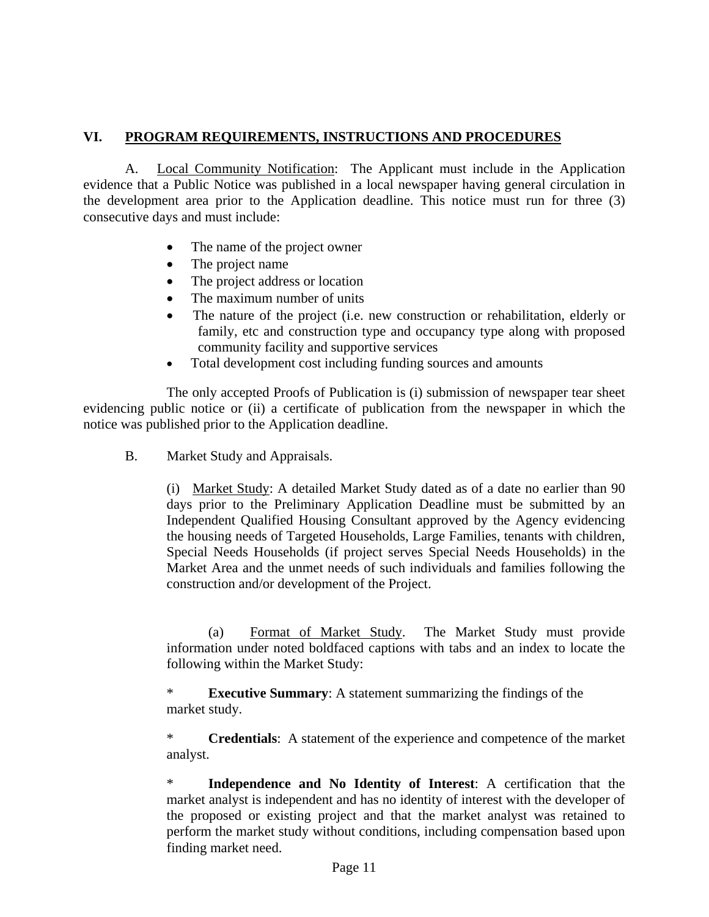# **VI. PROGRAM REQUIREMENTS, INSTRUCTIONS AND PROCEDURES**

 A. Local Community Notification: The Applicant must include in the Application evidence that a Public Notice was published in a local newspaper having general circulation in the development area prior to the Application deadline. This notice must run for three (3) consecutive days and must include:

- The name of the project owner
- The project name
- The project address or location
- The maximum number of units
- The nature of the project (i.e. new construction or rehabilitation, elderly or family, etc and construction type and occupancy type along with proposed community facility and supportive services
- Total development cost including funding sources and amounts

 The only accepted Proofs of Publication is (i) submission of newspaper tear sheet evidencing public notice or (ii) a certificate of publication from the newspaper in which the notice was published prior to the Application deadline.

B. Market Study and Appraisals.

(i) Market Study: A detailed Market Study dated as of a date no earlier than 90 days prior to the Preliminary Application Deadline must be submitted by an Independent Qualified Housing Consultant approved by the Agency evidencing the housing needs of Targeted Households, Large Families, tenants with children, Special Needs Households (if project serves Special Needs Households) in the Market Area and the unmet needs of such individuals and families following the construction and/or development of the Project.

 (a) Format of Market Study. The Market Study must provide information under noted boldfaced captions with tabs and an index to locate the following within the Market Study:

\* **Executive Summary**: A statement summarizing the findings of the market study.

\* **Credentials**: A statement of the experience and competence of the market analyst.

\* **Independence and No Identity of Interest**: A certification that the market analyst is independent and has no identity of interest with the developer of the proposed or existing project and that the market analyst was retained to perform the market study without conditions, including compensation based upon finding market need.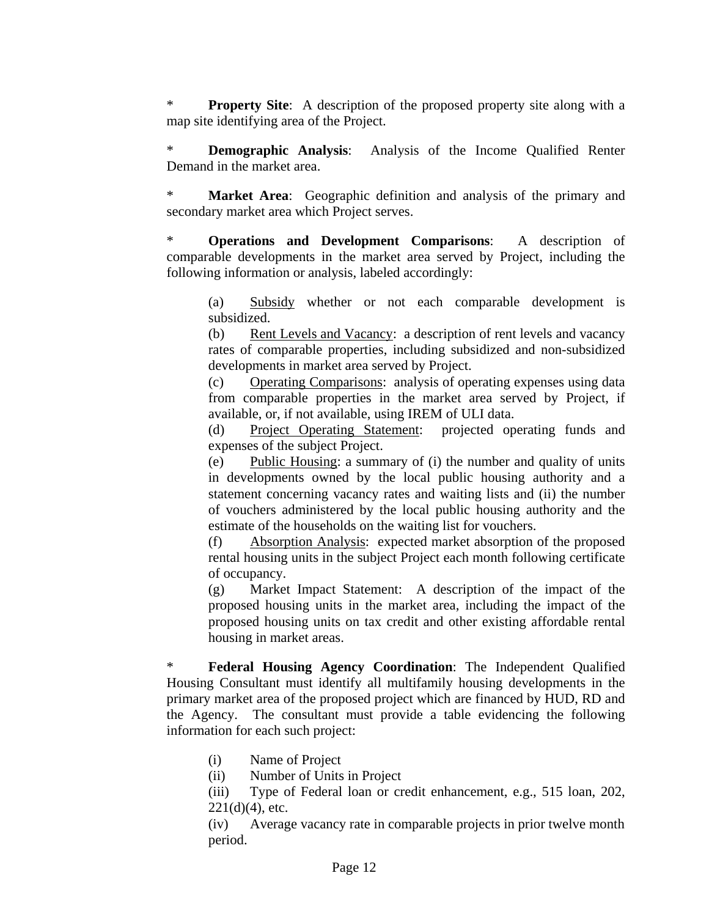\* **Property Site**: A description of the proposed property site along with a map site identifying area of the Project.

\* **Demographic Analysis**: Analysis of the Income Qualified Renter Demand in the market area.

**Market Area:** Geographic definition and analysis of the primary and secondary market area which Project serves.

**Operations and Development Comparisons:** A description of comparable developments in the market area served by Project, including the following information or analysis, labeled accordingly:

 (a) Subsidy whether or not each comparable development is subsidized.

(b) Rent Levels and Vacancy: a description of rent levels and vacancy rates of comparable properties, including subsidized and non-subsidized developments in market area served by Project.

(c) Operating Comparisons: analysis of operating expenses using data from comparable properties in the market area served by Project, if available, or, if not available, using IREM of ULI data.

(d) Project Operating Statement: projected operating funds and expenses of the subject Project.

(e) Public Housing: a summary of (i) the number and quality of units in developments owned by the local public housing authority and a statement concerning vacancy rates and waiting lists and (ii) the number of vouchers administered by the local public housing authority and the estimate of the households on the waiting list for vouchers.

(f) Absorption Analysis: expected market absorption of the proposed rental housing units in the subject Project each month following certificate of occupancy.

(g) Market Impact Statement: A description of the impact of the proposed housing units in the market area, including the impact of the proposed housing units on tax credit and other existing affordable rental housing in market areas.

Federal Housing Agency Coordination: The Independent Qualified Housing Consultant must identify all multifamily housing developments in the primary market area of the proposed project which are financed by HUD, RD and the Agency. The consultant must provide a table evidencing the following information for each such project:

- (i) Name of Project
- (ii) Number of Units in Project
- (iii) Type of Federal loan or credit enhancement, e.g., 515 loan, 202,  $221(d)(4)$ , etc.

(iv) Average vacancy rate in comparable projects in prior twelve month period.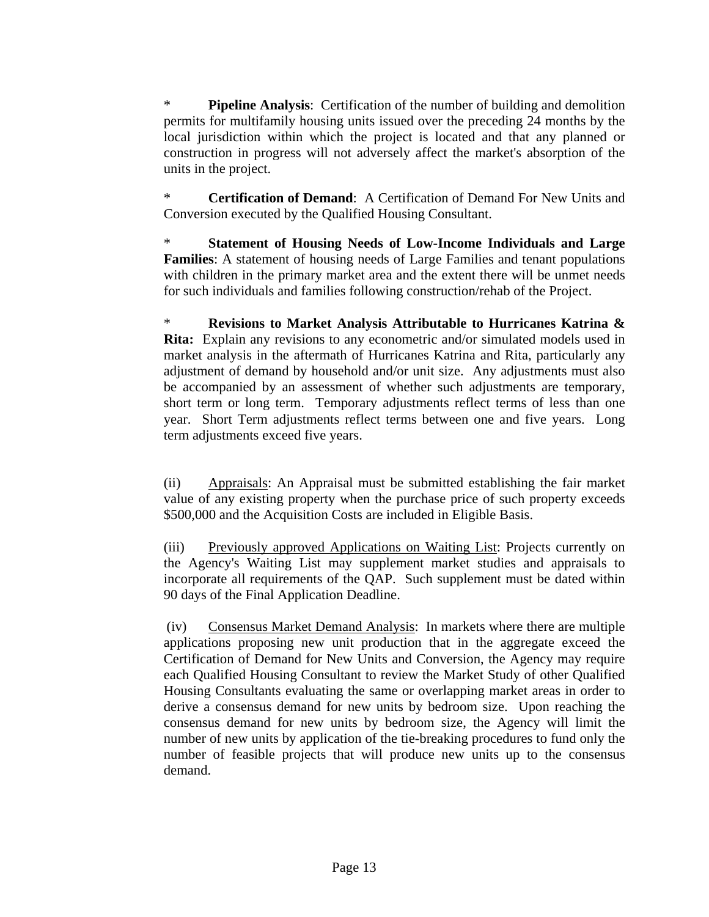\* **Pipeline Analysis**: Certification of the number of building and demolition permits for multifamily housing units issued over the preceding 24 months by the local jurisdiction within which the project is located and that any planned or construction in progress will not adversely affect the market's absorption of the units in the project.

**Certification of Demand:** A Certification of Demand For New Units and Conversion executed by the Qualified Housing Consultant.

\* **Statement of Housing Needs of Low-Income Individuals and Large Families**: A statement of housing needs of Large Families and tenant populations with children in the primary market area and the extent there will be unmet needs for such individuals and families following construction/rehab of the Project.

\* **Revisions to Market Analysis Attributable to Hurricanes Katrina & Rita:** Explain any revisions to any econometric and/or simulated models used in market analysis in the aftermath of Hurricanes Katrina and Rita, particularly any adjustment of demand by household and/or unit size. Any adjustments must also be accompanied by an assessment of whether such adjustments are temporary, short term or long term. Temporary adjustments reflect terms of less than one year. Short Term adjustments reflect terms between one and five years. Long term adjustments exceed five years.

(ii) Appraisals: An Appraisal must be submitted establishing the fair market value of any existing property when the purchase price of such property exceeds \$500,000 and the Acquisition Costs are included in Eligible Basis.

(iii) Previously approved Applications on Waiting List: Projects currently on the Agency's Waiting List may supplement market studies and appraisals to incorporate all requirements of the QAP. Such supplement must be dated within 90 days of the Final Application Deadline.

(iv) Consensus Market Demand Analysis: In markets where there are multiple applications proposing new unit production that in the aggregate exceed the Certification of Demand for New Units and Conversion, the Agency may require each Qualified Housing Consultant to review the Market Study of other Qualified Housing Consultants evaluating the same or overlapping market areas in order to derive a consensus demand for new units by bedroom size. Upon reaching the consensus demand for new units by bedroom size, the Agency will limit the number of new units by application of the tie-breaking procedures to fund only the number of feasible projects that will produce new units up to the consensus demand.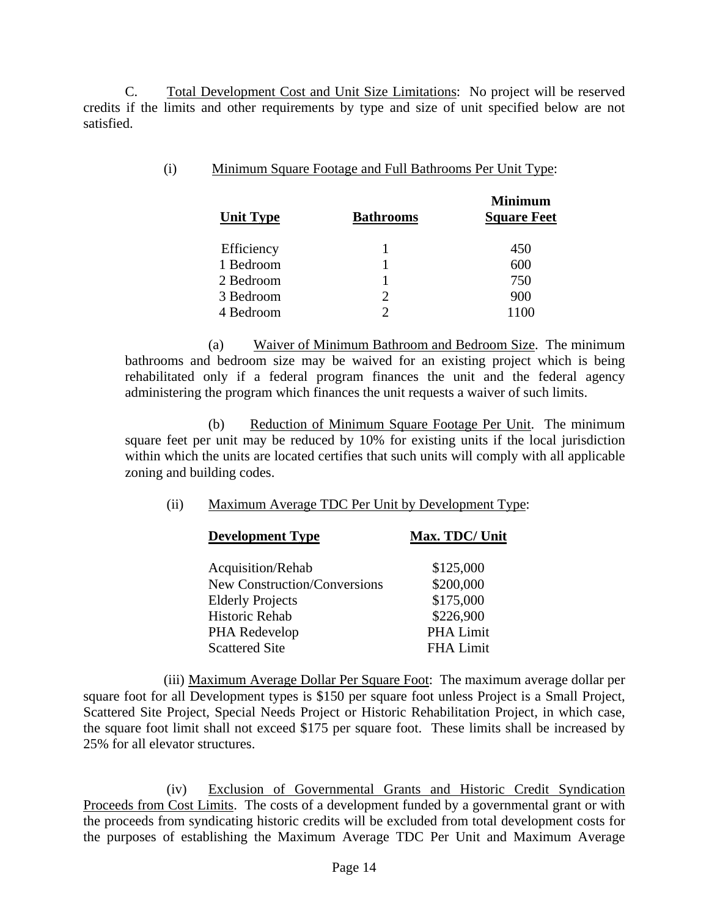C. Total Development Cost and Unit Size Limitations: No project will be reserved credits if the limits and other requirements by type and size of unit specified below are not satisfied.

| (i)<br>Minimum Square Footage and Full Bathrooms Per Unit Type: |
|-----------------------------------------------------------------|
|-----------------------------------------------------------------|

| <b>Unit Type</b> | <b>Bathrooms</b> | <b>Minimum</b><br><b>Square Feet</b> |
|------------------|------------------|--------------------------------------|
| Efficiency       |                  | 450                                  |
| 1 Bedroom        |                  | 600                                  |
| 2 Bedroom        |                  | 750                                  |
| 3 Bedroom        | 2                | 900                                  |
| 4 Bedroom        |                  | 1100                                 |
|                  |                  |                                      |

 (a) Waiver of Minimum Bathroom and Bedroom Size. The minimum bathrooms and bedroom size may be waived for an existing project which is being rehabilitated only if a federal program finances the unit and the federal agency administering the program which finances the unit requests a waiver of such limits.

 (b) Reduction of Minimum Square Footage Per Unit. The minimum square feet per unit may be reduced by 10% for existing units if the local jurisdiction within which the units are located certifies that such units will comply with all applicable zoning and building codes.

## (ii) Maximum Average TDC Per Unit by Development Type:

| <b>Development Type</b>      | Max. TDC/ Unit   |
|------------------------------|------------------|
| Acquisition/Rehab            | \$125,000        |
| New Construction/Conversions | \$200,000        |
| <b>Elderly Projects</b>      | \$175,000        |
| Historic Rehab               | \$226,900        |
| PHA Redevelop                | PHA Limit        |
| <b>Scattered Site</b>        | <b>FHA Limit</b> |

(iii) Maximum Average Dollar Per Square Foot: The maximum average dollar per square foot for all Development types is \$150 per square foot unless Project is a Small Project, Scattered Site Project, Special Needs Project or Historic Rehabilitation Project, in which case, the square foot limit shall not exceed \$175 per square foot. These limits shall be increased by 25% for all elevator structures.

 (iv) Exclusion of Governmental Grants and Historic Credit Syndication Proceeds from Cost Limits. The costs of a development funded by a governmental grant or with the proceeds from syndicating historic credits will be excluded from total development costs for the purposes of establishing the Maximum Average TDC Per Unit and Maximum Average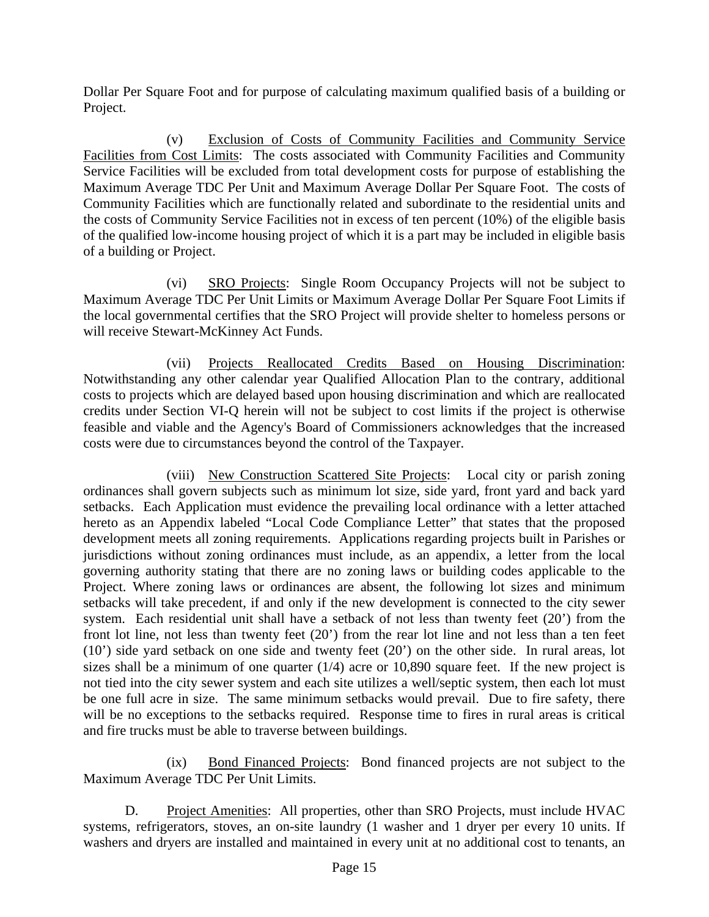Dollar Per Square Foot and for purpose of calculating maximum qualified basis of a building or Project.

 (v) Exclusion of Costs of Community Facilities and Community Service Facilities from Cost Limits: The costs associated with Community Facilities and Community Service Facilities will be excluded from total development costs for purpose of establishing the Maximum Average TDC Per Unit and Maximum Average Dollar Per Square Foot. The costs of Community Facilities which are functionally related and subordinate to the residential units and the costs of Community Service Facilities not in excess of ten percent (10%) of the eligible basis of the qualified low-income housing project of which it is a part may be included in eligible basis of a building or Project.

 (vi) SRO Projects: Single Room Occupancy Projects will not be subject to Maximum Average TDC Per Unit Limits or Maximum Average Dollar Per Square Foot Limits if the local governmental certifies that the SRO Project will provide shelter to homeless persons or will receive Stewart-McKinney Act Funds.

 (vii) Projects Reallocated Credits Based on Housing Discrimination: Notwithstanding any other calendar year Qualified Allocation Plan to the contrary, additional costs to projects which are delayed based upon housing discrimination and which are reallocated credits under Section VI-Q herein will not be subject to cost limits if the project is otherwise feasible and viable and the Agency's Board of Commissioners acknowledges that the increased costs were due to circumstances beyond the control of the Taxpayer.

 (viii) New Construction Scattered Site Projects: Local city or parish zoning ordinances shall govern subjects such as minimum lot size, side yard, front yard and back yard setbacks. Each Application must evidence the prevailing local ordinance with a letter attached hereto as an Appendix labeled "Local Code Compliance Letter" that states that the proposed development meets all zoning requirements. Applications regarding projects built in Parishes or jurisdictions without zoning ordinances must include, as an appendix, a letter from the local governing authority stating that there are no zoning laws or building codes applicable to the Project. Where zoning laws or ordinances are absent, the following lot sizes and minimum setbacks will take precedent, if and only if the new development is connected to the city sewer system. Each residential unit shall have a setback of not less than twenty feet (20') from the front lot line, not less than twenty feet (20') from the rear lot line and not less than a ten feet (10') side yard setback on one side and twenty feet (20') on the other side. In rural areas, lot sizes shall be a minimum of one quarter  $(1/4)$  acre or 10,890 square feet. If the new project is not tied into the city sewer system and each site utilizes a well/septic system, then each lot must be one full acre in size. The same minimum setbacks would prevail. Due to fire safety, there will be no exceptions to the setbacks required. Response time to fires in rural areas is critical and fire trucks must be able to traverse between buildings.

 (ix) Bond Financed Projects: Bond financed projects are not subject to the Maximum Average TDC Per Unit Limits.

 D. Project Amenities: All properties, other than SRO Projects, must include HVAC systems, refrigerators, stoves, an on-site laundry (1 washer and 1 dryer per every 10 units. If washers and dryers are installed and maintained in every unit at no additional cost to tenants, an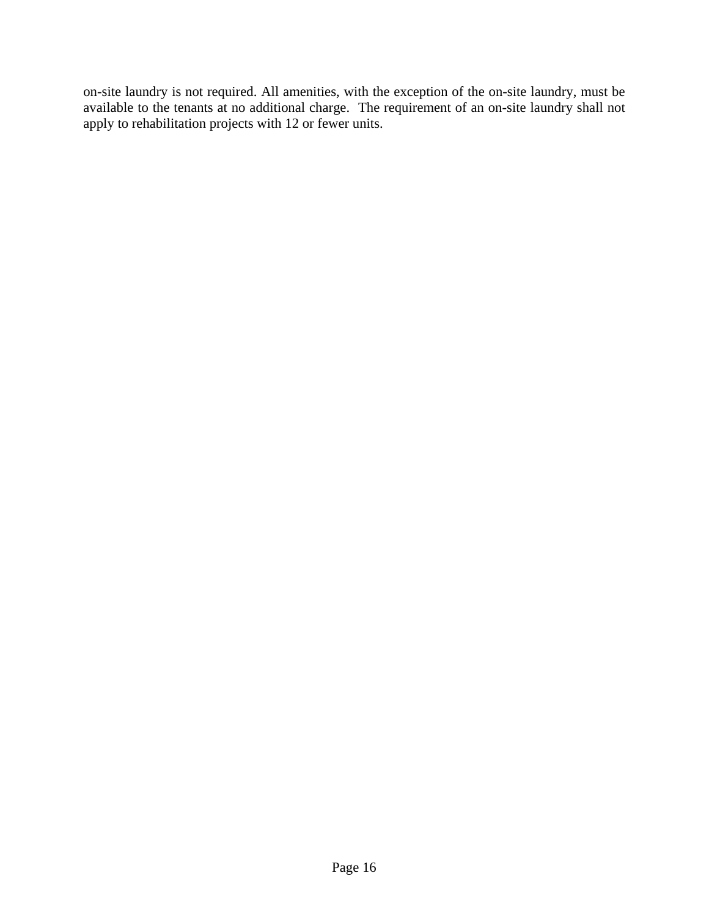on-site laundry is not required. All amenities, with the exception of the on-site laundry, must be available to the tenants at no additional charge. The requirement of an on-site laundry shall not apply to rehabilitation projects with 12 or fewer units.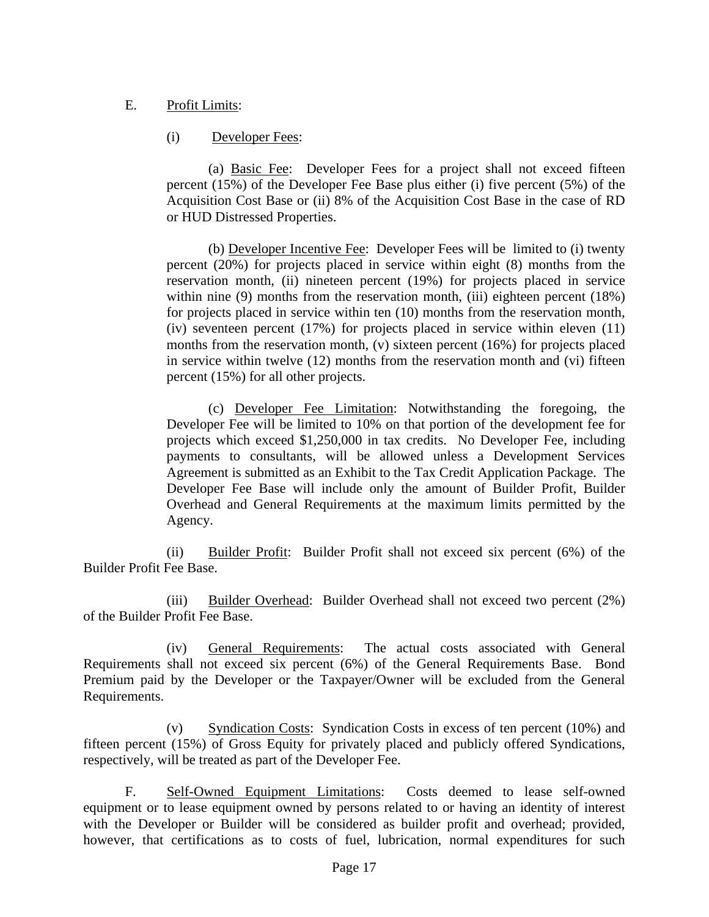## E. Profit Limits:

# (i) Developer Fees:

(a) Basic Fee: Developer Fees for a project shall not exceed fifteen percent (15%) of the Developer Fee Base plus either (i) five percent (5%) of the Acquisition Cost Base or (ii) 8% of the Acquisition Cost Base in the case of RD or HUD Distressed Properties.

(b) Developer Incentive Fee: Developer Fees will be limited to (i) twenty percent (20%) for projects placed in service within eight (8) months from the reservation month, (ii) nineteen percent (19%) for projects placed in service within nine (9) months from the reservation month, (iii) eighteen percent (18%) for projects placed in service within ten (10) months from the reservation month, (iv) seventeen percent (17%) for projects placed in service within eleven (11) months from the reservation month, (v) sixteen percent (16%) for projects placed in service within twelve (12) months from the reservation month and (vi) fifteen percent (15%) for all other projects.

(c) Developer Fee Limitation: Notwithstanding the foregoing, the Developer Fee will be limited to 10% on that portion of the development fee for projects which exceed \$1,250,000 in tax credits.No Developer Fee, including payments to consultants, will be allowed unless a Development Services Agreement is submitted as an Exhibit to the Tax Credit Application Package. The Developer Fee Base will include only the amount of Builder Profit, Builder Overhead and General Requirements at the maximum limits permitted by the Agency.

 (ii) Builder Profit: Builder Profit shall not exceed six percent (6%) of the Builder Profit Fee Base.

 (iii) Builder Overhead: Builder Overhead shall not exceed two percent (2%) of the Builder Profit Fee Base.

 (iv) General Requirements: The actual costs associated with General Requirements shall not exceed six percent (6%) of the General Requirements Base. Bond Premium paid by the Developer or the Taxpayer/Owner will be excluded from the General Requirements.

 (v) Syndication Costs: Syndication Costs in excess of ten percent (10%) and fifteen percent (15%) of Gross Equity for privately placed and publicly offered Syndications, respectively, will be treated as part of the Developer Fee.

 F. Self-Owned Equipment Limitations: Costs deemed to lease self-owned equipment or to lease equipment owned by persons related to or having an identity of interest with the Developer or Builder will be considered as builder profit and overhead; provided, however, that certifications as to costs of fuel, lubrication, normal expenditures for such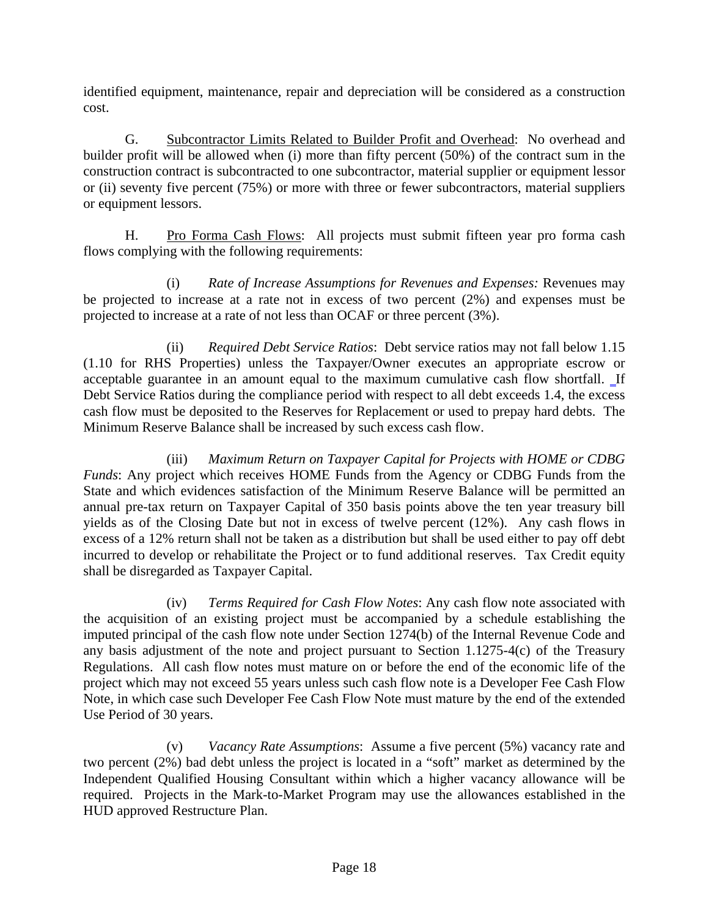identified equipment, maintenance, repair and depreciation will be considered as a construction cost.

 G. Subcontractor Limits Related to Builder Profit and Overhead: No overhead and builder profit will be allowed when (i) more than fifty percent (50%) of the contract sum in the construction contract is subcontracted to one subcontractor, material supplier or equipment lessor or (ii) seventy five percent (75%) or more with three or fewer subcontractors, material suppliers or equipment lessors.

H. Pro Forma Cash Flows: All projects must submit fifteen year pro forma cash flows complying with the following requirements:

 (i) *Rate of Increase Assumptions for Revenues and Expenses:* Revenues may be projected to increase at a rate not in excess of two percent (2%) and expenses must be projected to increase at a rate of not less than OCAF or three percent (3%).

 (ii) *Required Debt Service Ratios*: Debt service ratios may not fall below 1.15 (1.10 for RHS Properties) unless the Taxpayer/Owner executes an appropriate escrow or acceptable guarantee in an amount equal to the maximum cumulative cash flow shortfall. If Debt Service Ratios during the compliance period with respect to all debt exceeds 1.4, the excess cash flow must be deposited to the Reserves for Replacement or used to prepay hard debts. The Minimum Reserve Balance shall be increased by such excess cash flow.

 (iii) *Maximum Return on Taxpayer Capital for Projects with HOME or CDBG Funds*: Any project which receives HOME Funds from the Agency or CDBG Funds from the State and which evidences satisfaction of the Minimum Reserve Balance will be permitted an annual pre-tax return on Taxpayer Capital of 350 basis points above the ten year treasury bill yields as of the Closing Date but not in excess of twelve percent (12%). Any cash flows in excess of a 12% return shall not be taken as a distribution but shall be used either to pay off debt incurred to develop or rehabilitate the Project or to fund additional reserves. Tax Credit equity shall be disregarded as Taxpayer Capital.

 (iv) *Terms Required for Cash Flow Notes*: Any cash flow note associated with the acquisition of an existing project must be accompanied by a schedule establishing the imputed principal of the cash flow note under Section 1274(b) of the Internal Revenue Code and any basis adjustment of the note and project pursuant to Section 1.1275-4(c) of the Treasury Regulations. All cash flow notes must mature on or before the end of the economic life of the project which may not exceed 55 years unless such cash flow note is a Developer Fee Cash Flow Note, in which case such Developer Fee Cash Flow Note must mature by the end of the extended Use Period of 30 years.

 (v) *Vacancy Rate Assumptions*: Assume a five percent (5%) vacancy rate and two percent (2%) bad debt unless the project is located in a "soft" market as determined by the Independent Qualified Housing Consultant within which a higher vacancy allowance will be required. Projects in the Mark-to-Market Program may use the allowances established in the HUD approved Restructure Plan.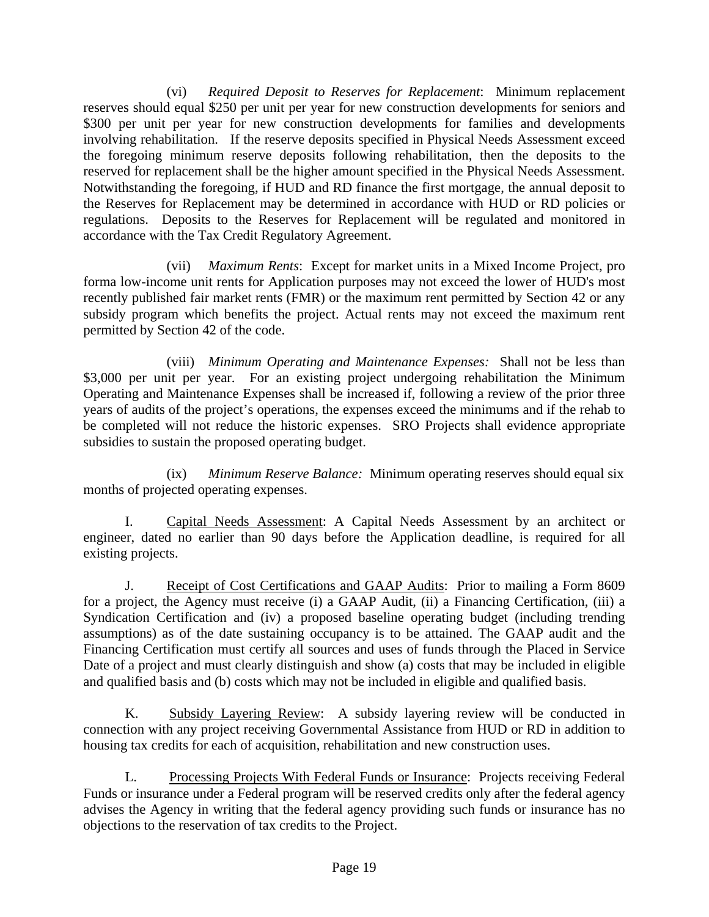(vi) *Required Deposit to Reserves for Replacement*: Minimum replacement reserves should equal \$250 per unit per year for new construction developments for seniors and \$300 per unit per year for new construction developments for families and developments involving rehabilitation. If the reserve deposits specified in Physical Needs Assessment exceed the foregoing minimum reserve deposits following rehabilitation, then the deposits to the reserved for replacement shall be the higher amount specified in the Physical Needs Assessment. Notwithstanding the foregoing, if HUD and RD finance the first mortgage, the annual deposit to the Reserves for Replacement may be determined in accordance with HUD or RD policies or regulations. Deposits to the Reserves for Replacement will be regulated and monitored in accordance with the Tax Credit Regulatory Agreement.

 (vii) *Maximum Rents*: Except for market units in a Mixed Income Project, pro forma low-income unit rents for Application purposes may not exceed the lower of HUD's most recently published fair market rents (FMR) or the maximum rent permitted by Section 42 or any subsidy program which benefits the project. Actual rents may not exceed the maximum rent permitted by Section 42 of the code.

 (viii) *Minimum Operating and Maintenance Expenses:* Shall not be less than \$3,000 per unit per year. For an existing project undergoing rehabilitation the Minimum Operating and Maintenance Expenses shall be increased if, following a review of the prior three years of audits of the project's operations, the expenses exceed the minimums and if the rehab to be completed will not reduce the historic expenses. SRO Projects shall evidence appropriate subsidies to sustain the proposed operating budget.

 (ix) *Minimum Reserve Balance:* Minimum operating reserves should equal six months of projected operating expenses.

 I. Capital Needs Assessment: A Capital Needs Assessment by an architect or engineer, dated no earlier than 90 days before the Application deadline, is required for all existing projects.

J. Receipt of Cost Certifications and GAAP Audits: Prior to mailing a Form 8609 for a project, the Agency must receive (i) a GAAP Audit, (ii) a Financing Certification, (iii) a Syndication Certification and (iv) a proposed baseline operating budget (including trending assumptions) as of the date sustaining occupancy is to be attained. The GAAP audit and the Financing Certification must certify all sources and uses of funds through the Placed in Service Date of a project and must clearly distinguish and show (a) costs that may be included in eligible and qualified basis and (b) costs which may not be included in eligible and qualified basis.

 K. Subsidy Layering Review: A subsidy layering review will be conducted in connection with any project receiving Governmental Assistance from HUD or RD in addition to housing tax credits for each of acquisition, rehabilitation and new construction uses.

 L. Processing Projects With Federal Funds or Insurance: Projects receiving Federal Funds or insurance under a Federal program will be reserved credits only after the federal agency advises the Agency in writing that the federal agency providing such funds or insurance has no objections to the reservation of tax credits to the Project.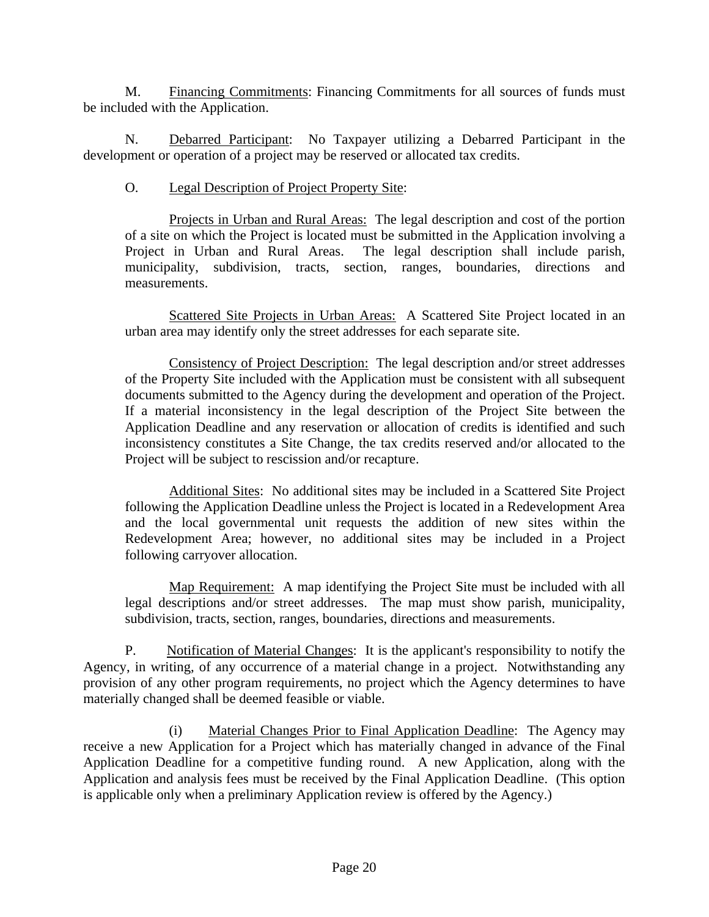M. Financing Commitments: Financing Commitments for all sources of funds must be included with the Application.

 N. Debarred Participant: No Taxpayer utilizing a Debarred Participant in the development or operation of a project may be reserved or allocated tax credits.

## O. Legal Description of Project Property Site:

 Projects in Urban and Rural Areas: The legal description and cost of the portion of a site on which the Project is located must be submitted in the Application involving a Project in Urban and Rural Areas. The legal description shall include parish, municipality, subdivision, tracts, section, ranges, boundaries, directions and measurements.

 Scattered Site Projects in Urban Areas: A Scattered Site Project located in an urban area may identify only the street addresses for each separate site.

 Consistency of Project Description: The legal description and/or street addresses of the Property Site included with the Application must be consistent with all subsequent documents submitted to the Agency during the development and operation of the Project. If a material inconsistency in the legal description of the Project Site between the Application Deadline and any reservation or allocation of credits is identified and such inconsistency constitutes a Site Change, the tax credits reserved and/or allocated to the Project will be subject to rescission and/or recapture.

 Additional Sites: No additional sites may be included in a Scattered Site Project following the Application Deadline unless the Project is located in a Redevelopment Area and the local governmental unit requests the addition of new sites within the Redevelopment Area; however, no additional sites may be included in a Project following carryover allocation.

 Map Requirement: A map identifying the Project Site must be included with all legal descriptions and/or street addresses. The map must show parish, municipality, subdivision, tracts, section, ranges, boundaries, directions and measurements.

P. Notification of Material Changes: It is the applicant's responsibility to notify the Agency, in writing, of any occurrence of a material change in a project. Notwithstanding any provision of any other program requirements, no project which the Agency determines to have materially changed shall be deemed feasible or viable.

 (i) Material Changes Prior to Final Application Deadline: The Agency may receive a new Application for a Project which has materially changed in advance of the Final Application Deadline for a competitive funding round. A new Application, along with the Application and analysis fees must be received by the Final Application Deadline. (This option is applicable only when a preliminary Application review is offered by the Agency.)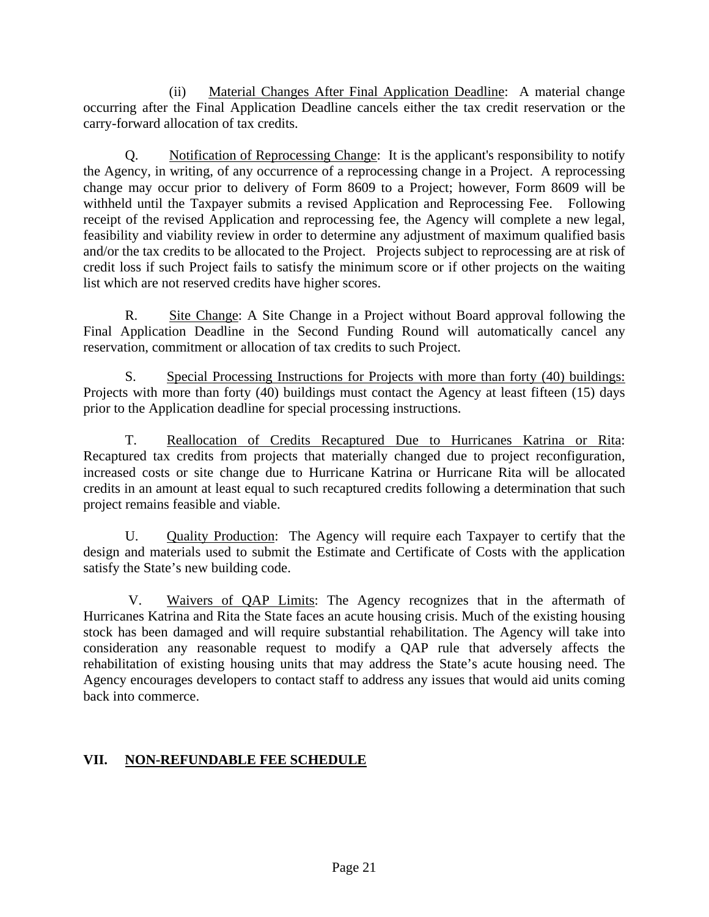(ii) Material Changes After Final Application Deadline: A material change occurring after the Final Application Deadline cancels either the tax credit reservation or the carry-forward allocation of tax credits.

 Q. Notification of Reprocessing Change: It is the applicant's responsibility to notify the Agency, in writing, of any occurrence of a reprocessing change in a Project. A reprocessing change may occur prior to delivery of Form 8609 to a Project; however, Form 8609 will be withheld until the Taxpayer submits a revised Application and Reprocessing Fee. Following receipt of the revised Application and reprocessing fee, the Agency will complete a new legal, feasibility and viability review in order to determine any adjustment of maximum qualified basis and/or the tax credits to be allocated to the Project. Projects subject to reprocessing are at risk of credit loss if such Project fails to satisfy the minimum score or if other projects on the waiting list which are not reserved credits have higher scores.

 R. Site Change: A Site Change in a Project without Board approval following the Final Application Deadline in the Second Funding Round will automatically cancel any reservation, commitment or allocation of tax credits to such Project.

 S. Special Processing Instructions for Projects with more than forty (40) buildings: Projects with more than forty (40) buildings must contact the Agency at least fifteen (15) days prior to the Application deadline for special processing instructions.

T. Reallocation of Credits Recaptured Due to Hurricanes Katrina or Rita: Recaptured tax credits from projects that materially changed due to project reconfiguration, increased costs or site change due to Hurricane Katrina or Hurricane Rita will be allocated credits in an amount at least equal to such recaptured credits following a determination that such project remains feasible and viable.

U. Quality Production: The Agency will require each Taxpayer to certify that the design and materials used to submit the Estimate and Certificate of Costs with the application satisfy the State's new building code.

 V. Waivers of QAP Limits: The Agency recognizes that in the aftermath of Hurricanes Katrina and Rita the State faces an acute housing crisis. Much of the existing housing stock has been damaged and will require substantial rehabilitation. The Agency will take into consideration any reasonable request to modify a QAP rule that adversely affects the rehabilitation of existing housing units that may address the State's acute housing need. The Agency encourages developers to contact staff to address any issues that would aid units coming back into commerce.

# **VII. NON-REFUNDABLE FEE SCHEDULE**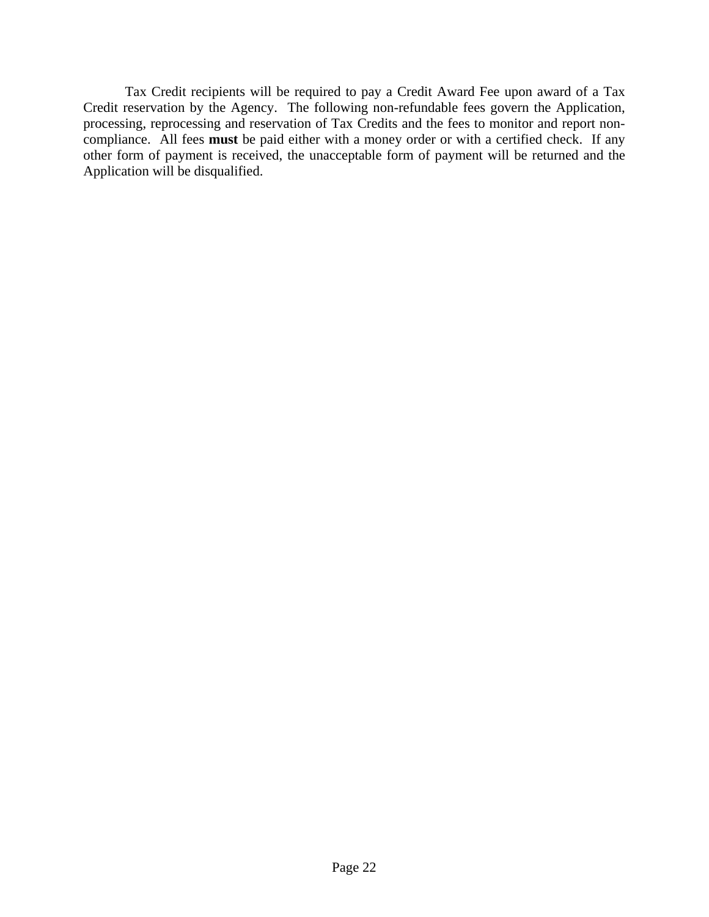Tax Credit recipients will be required to pay a Credit Award Fee upon award of a Tax Credit reservation by the Agency. The following non-refundable fees govern the Application, processing, reprocessing and reservation of Tax Credits and the fees to monitor and report noncompliance. All fees **must** be paid either with a money order or with a certified check. If any other form of payment is received, the unacceptable form of payment will be returned and the Application will be disqualified.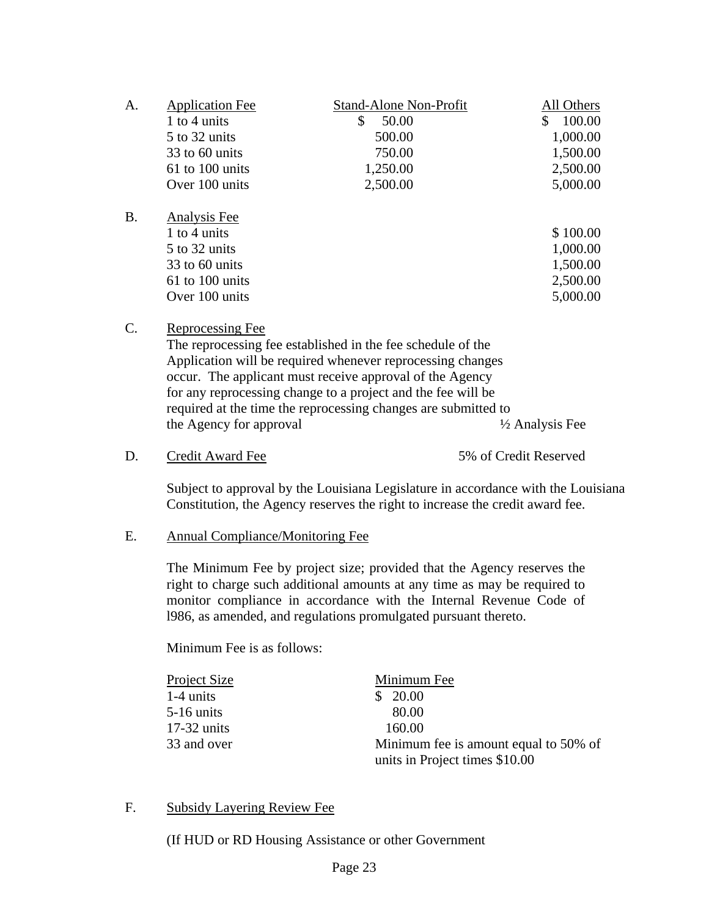| A.        | <b>Application Fee</b><br>1 to 4 units<br>5 to 32 units<br>$33$ to 60 units<br>61 to 100 units<br>Over 100 units | <b>Stand-Alone Non-Profit</b><br>\$<br>50.00<br>500.00<br>750.00<br>1,250.00<br>2,500.00                                                                                                                                                                         | All Others<br>$\mathbb{S}$<br>100.00<br>1,000.00<br>1,500.00<br>2,500.00<br>5,000.00 |
|-----------|------------------------------------------------------------------------------------------------------------------|------------------------------------------------------------------------------------------------------------------------------------------------------------------------------------------------------------------------------------------------------------------|--------------------------------------------------------------------------------------|
| <b>B.</b> | Analysis Fee<br>1 to 4 units<br>5 to 32 units<br>33 to 60 units<br>61 to 100 units<br>Over 100 units             |                                                                                                                                                                                                                                                                  | \$100.00<br>1,000.00<br>1,500.00<br>2,500.00<br>5,000.00                             |
| C.        | Reprocessing Fee                                                                                                 | The reprocessing fee established in the fee schedule of the<br>Application will be required whenever reprocessing changes<br>$\mathbf{r}$ and $\mathbf{r}$ and $\mathbf{r}$ and $\mathbf{r}$ and $\mathbf{r}$ and $\mathbf{r}$ and $\mathbf{r}$ and $\mathbf{r}$ |                                                                                      |

| Application will be required whenever reprocessing changes     |                            |
|----------------------------------------------------------------|----------------------------|
| occur. The applicant must receive approval of the Agency       |                            |
| for any reprocessing change to a project and the fee will be   |                            |
| required at the time the reprocessing changes are submitted to |                            |
| the Agency for approval                                        | $\frac{1}{2}$ Analysis Fee |

D. Credit Award Fee 5% of Credit Reserved

Subject to approval by the Louisiana Legislature in accordance with the Louisiana Constitution, the Agency reserves the right to increase the credit award fee.

## E. Annual Compliance/Monitoring Fee

The Minimum Fee by project size; provided that the Agency reserves the right to charge such additional amounts at any time as may be required to monitor compliance in accordance with the Internal Revenue Code of l986, as amended, and regulations promulgated pursuant thereto.

Minimum Fee is as follows:

| <b>Project Size</b> | Minimum Fee                           |
|---------------------|---------------------------------------|
| $1-4$ units         | 20.00                                 |
| $5-16$ units        | 80.00                                 |
| $17-32$ units       | 160.00                                |
| 33 and over         | Minimum fee is amount equal to 50% of |
|                     | units in Project times \$10.00        |

## F. Subsidy Layering Review Fee

(If HUD or RD Housing Assistance or other Government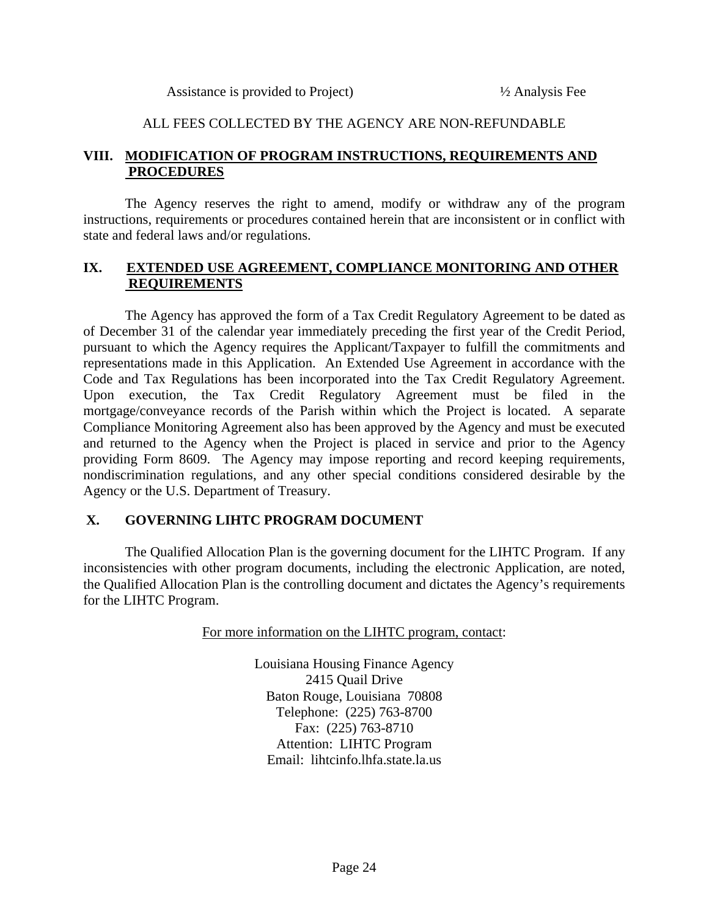## ALL FEES COLLECTED BY THE AGENCY ARE NON-REFUNDABLE

## **VIII. MODIFICATION OF PROGRAM INSTRUCTIONS, REQUIREMENTS AND PROCEDURES**

 The Agency reserves the right to amend, modify or withdraw any of the program instructions, requirements or procedures contained herein that are inconsistent or in conflict with state and federal laws and/or regulations.

## **IX. EXTENDED USE AGREEMENT, COMPLIANCE MONITORING AND OTHER REQUIREMENTS**

 The Agency has approved the form of a Tax Credit Regulatory Agreement to be dated as of December 31 of the calendar year immediately preceding the first year of the Credit Period, pursuant to which the Agency requires the Applicant/Taxpayer to fulfill the commitments and representations made in this Application. An Extended Use Agreement in accordance with the Code and Tax Regulations has been incorporated into the Tax Credit Regulatory Agreement. Upon execution, the Tax Credit Regulatory Agreement must be filed in the mortgage/conveyance records of the Parish within which the Project is located. A separate Compliance Monitoring Agreement also has been approved by the Agency and must be executed and returned to the Agency when the Project is placed in service and prior to the Agency providing Form 8609. The Agency may impose reporting and record keeping requirements, nondiscrimination regulations, and any other special conditions considered desirable by the Agency or the U.S. Department of Treasury.

## **X. GOVERNING LIHTC PROGRAM DOCUMENT**

 The Qualified Allocation Plan is the governing document for the LIHTC Program. If any inconsistencies with other program documents, including the electronic Application, are noted, the Qualified Allocation Plan is the controlling document and dictates the Agency's requirements for the LIHTC Program.

For more information on the LIHTC program, contact:

Louisiana Housing Finance Agency 2415 Quail Drive Baton Rouge, Louisiana 70808 Telephone: (225) 763-8700 Fax: (225) 763-8710 Attention: LIHTC Program Email: lihtcinfo.lhfa.state.la.us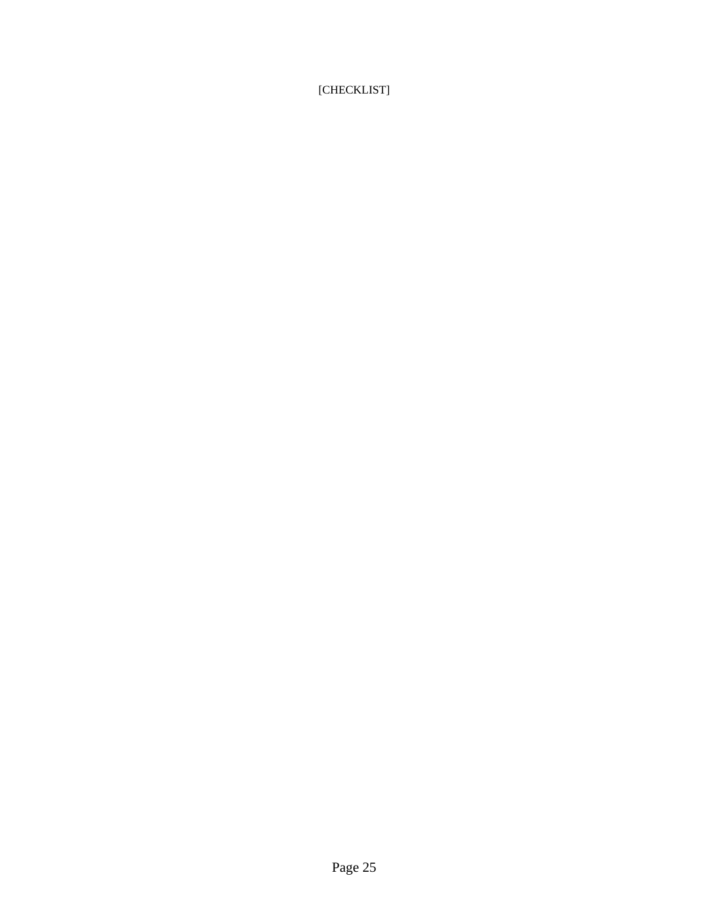# [CHECKLIST]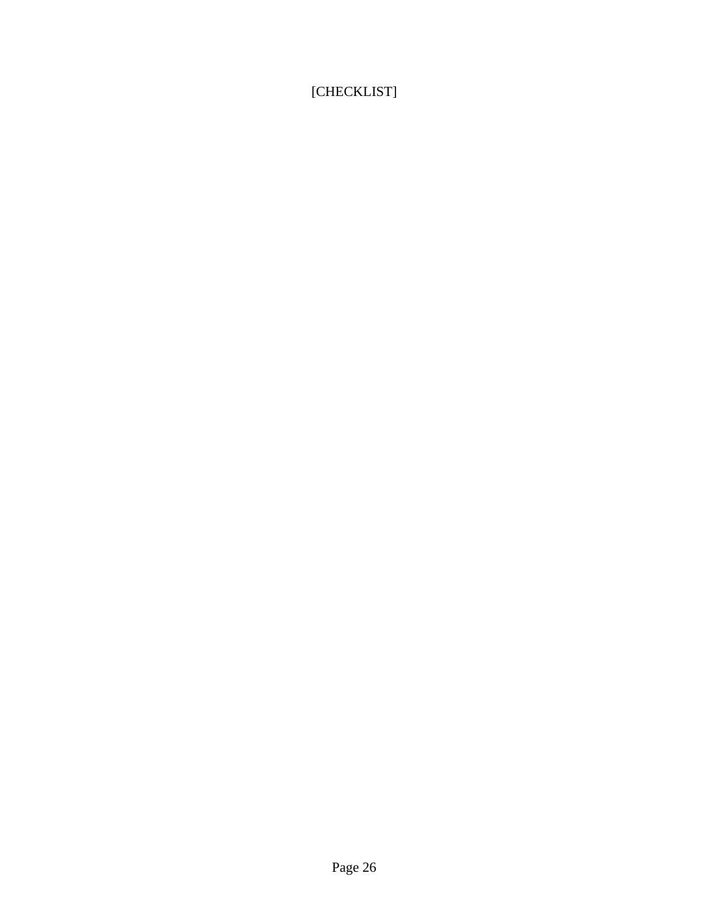[CHECKLIST]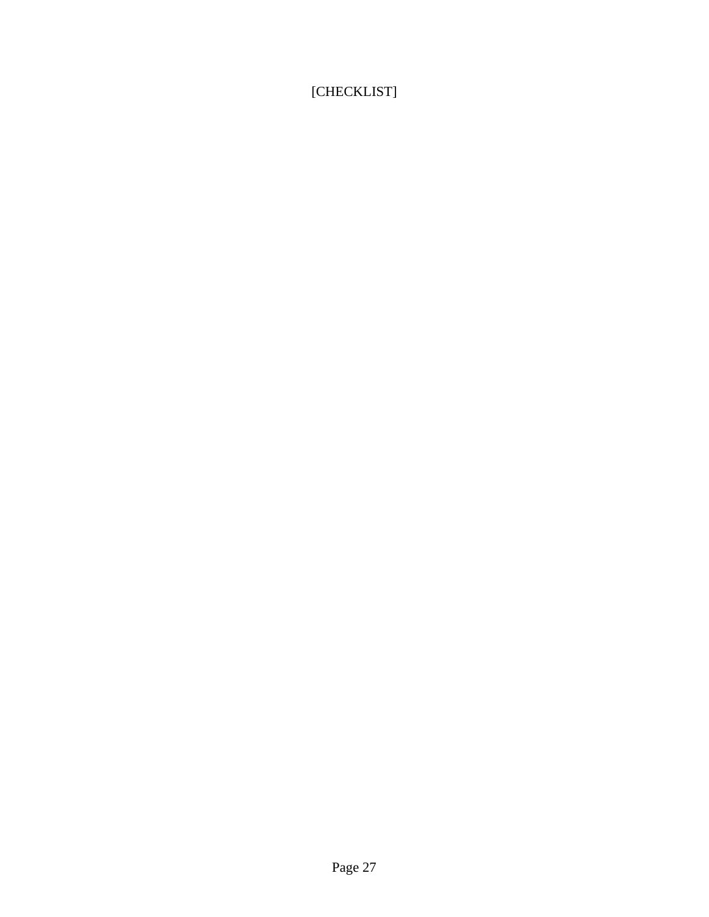[CHECKLIST]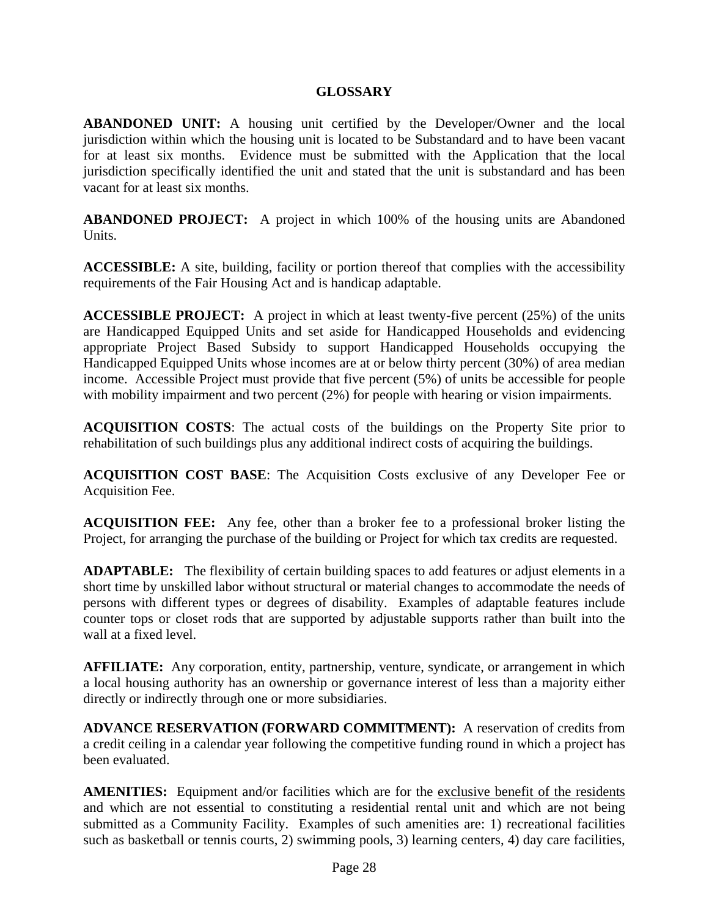## **GLOSSARY**

**ABANDONED UNIT:** A housing unit certified by the Developer/Owner and the local jurisdiction within which the housing unit is located to be Substandard and to have been vacant for at least six months. Evidence must be submitted with the Application that the local jurisdiction specifically identified the unit and stated that the unit is substandard and has been vacant for at least six months.

**ABANDONED PROJECT:** A project in which 100% of the housing units are Abandoned Units.

**ACCESSIBLE:** A site, building, facility or portion thereof that complies with the accessibility requirements of the Fair Housing Act and is handicap adaptable.

**ACCESSIBLE PROJECT:** A project in which at least twenty-five percent (25%) of the units are Handicapped Equipped Units and set aside for Handicapped Households and evidencing appropriate Project Based Subsidy to support Handicapped Households occupying the Handicapped Equipped Units whose incomes are at or below thirty percent (30%) of area median income. Accessible Project must provide that five percent (5%) of units be accessible for people with mobility impairment and two percent (2%) for people with hearing or vision impairments.

**ACQUISITION COSTS**: The actual costs of the buildings on the Property Site prior to rehabilitation of such buildings plus any additional indirect costs of acquiring the buildings.

**ACQUISITION COST BASE**: The Acquisition Costs exclusive of any Developer Fee or Acquisition Fee.

**ACQUISITION FEE:** Any fee, other than a broker fee to a professional broker listing the Project, for arranging the purchase of the building or Project for which tax credits are requested.

**ADAPTABLE:** The flexibility of certain building spaces to add features or adjust elements in a short time by unskilled labor without structural or material changes to accommodate the needs of persons with different types or degrees of disability. Examples of adaptable features include counter tops or closet rods that are supported by adjustable supports rather than built into the wall at a fixed level.

**AFFILIATE:** Any corporation, entity, partnership, venture, syndicate, or arrangement in which a local housing authority has an ownership or governance interest of less than a majority either directly or indirectly through one or more subsidiaries.

**ADVANCE RESERVATION (FORWARD COMMITMENT):** A reservation of credits from a credit ceiling in a calendar year following the competitive funding round in which a project has been evaluated.

**AMENITIES:** Equipment and/or facilities which are for the exclusive benefit of the residents and which are not essential to constituting a residential rental unit and which are not being submitted as a Community Facility. Examples of such amenities are: 1) recreational facilities such as basketball or tennis courts, 2) swimming pools, 3) learning centers, 4) day care facilities,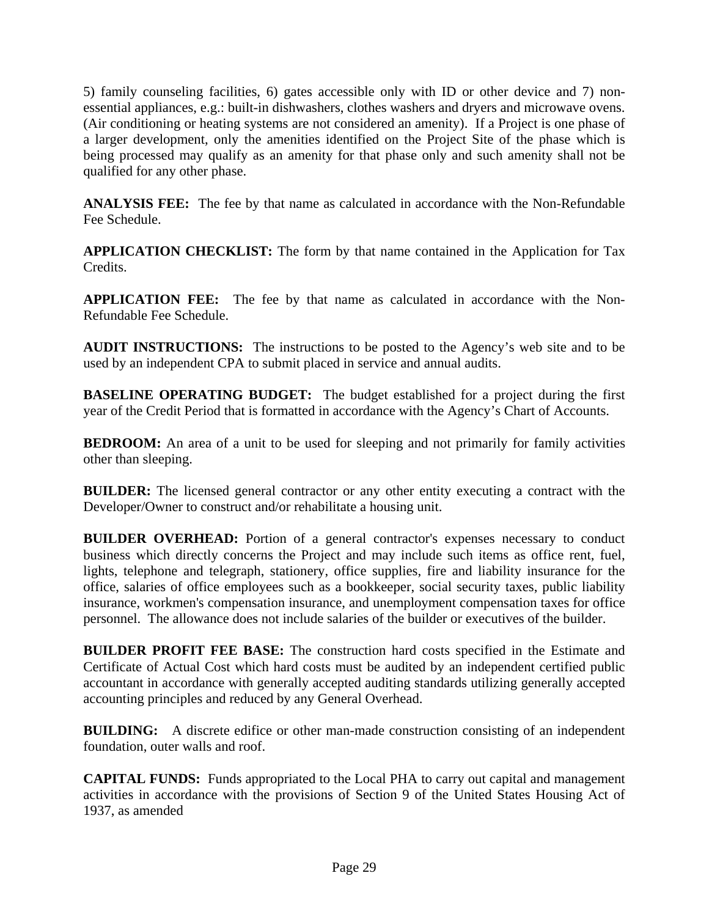5) family counseling facilities, 6) gates accessible only with ID or other device and 7) nonessential appliances, e.g.: built-in dishwashers, clothes washers and dryers and microwave ovens. (Air conditioning or heating systems are not considered an amenity). If a Project is one phase of a larger development, only the amenities identified on the Project Site of the phase which is being processed may qualify as an amenity for that phase only and such amenity shall not be qualified for any other phase.

**ANALYSIS FEE:** The fee by that name as calculated in accordance with the Non-Refundable Fee Schedule.

**APPLICATION CHECKLIST:** The form by that name contained in the Application for Tax Credits.

**APPLICATION FEE:** The fee by that name as calculated in accordance with the Non-Refundable Fee Schedule.

**AUDIT INSTRUCTIONS:** The instructions to be posted to the Agency's web site and to be used by an independent CPA to submit placed in service and annual audits.

**BASELINE OPERATING BUDGET:** The budget established for a project during the first year of the Credit Period that is formatted in accordance with the Agency's Chart of Accounts.

**BEDROOM:** An area of a unit to be used for sleeping and not primarily for family activities other than sleeping.

**BUILDER:** The licensed general contractor or any other entity executing a contract with the Developer/Owner to construct and/or rehabilitate a housing unit.

**BUILDER OVERHEAD:** Portion of a general contractor's expenses necessary to conduct business which directly concerns the Project and may include such items as office rent, fuel, lights, telephone and telegraph, stationery, office supplies, fire and liability insurance for the office, salaries of office employees such as a bookkeeper, social security taxes, public liability insurance, workmen's compensation insurance, and unemployment compensation taxes for office personnel. The allowance does not include salaries of the builder or executives of the builder.

**BUILDER PROFIT FEE BASE:** The construction hard costs specified in the Estimate and Certificate of Actual Cost which hard costs must be audited by an independent certified public accountant in accordance with generally accepted auditing standards utilizing generally accepted accounting principles and reduced by any General Overhead.

**BUILDING:** A discrete edifice or other man-made construction consisting of an independent foundation, outer walls and roof.

**CAPITAL FUNDS:** Funds appropriated to the Local PHA to carry out capital and management activities in accordance with the provisions of Section 9 of the United States Housing Act of 1937, as amended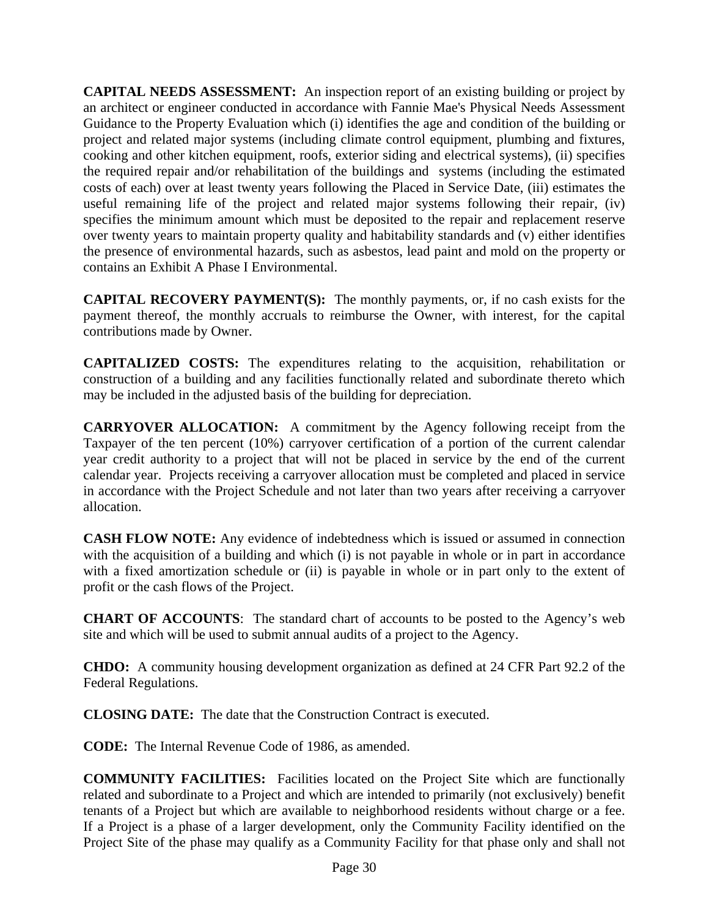**CAPITAL NEEDS ASSESSMENT:** An inspection report of an existing building or project by an architect or engineer conducted in accordance with Fannie Mae's Physical Needs Assessment Guidance to the Property Evaluation which (i) identifies the age and condition of the building or project and related major systems (including climate control equipment, plumbing and fixtures, cooking and other kitchen equipment, roofs, exterior siding and electrical systems), (ii) specifies the required repair and/or rehabilitation of the buildings and systems (including the estimated costs of each) over at least twenty years following the Placed in Service Date, (iii) estimates the useful remaining life of the project and related major systems following their repair, (iv) specifies the minimum amount which must be deposited to the repair and replacement reserve over twenty years to maintain property quality and habitability standards and (v) either identifies the presence of environmental hazards, such as asbestos, lead paint and mold on the property or contains an Exhibit A Phase I Environmental.

**CAPITAL RECOVERY PAYMENT(S):** The monthly payments, or, if no cash exists for the payment thereof, the monthly accruals to reimburse the Owner, with interest, for the capital contributions made by Owner.

**CAPITALIZED COSTS:** The expenditures relating to the acquisition, rehabilitation or construction of a building and any facilities functionally related and subordinate thereto which may be included in the adjusted basis of the building for depreciation.

**CARRYOVER ALLOCATION:** A commitment by the Agency following receipt from the Taxpayer of the ten percent (10%) carryover certification of a portion of the current calendar year credit authority to a project that will not be placed in service by the end of the current calendar year. Projects receiving a carryover allocation must be completed and placed in service in accordance with the Project Schedule and not later than two years after receiving a carryover allocation.

**CASH FLOW NOTE:** Any evidence of indebtedness which is issued or assumed in connection with the acquisition of a building and which (i) is not payable in whole or in part in accordance with a fixed amortization schedule or (ii) is payable in whole or in part only to the extent of profit or the cash flows of the Project.

**CHART OF ACCOUNTS**: The standard chart of accounts to be posted to the Agency's web site and which will be used to submit annual audits of a project to the Agency.

**CHDO:** A community housing development organization as defined at 24 CFR Part 92.2 of the Federal Regulations.

**CLOSING DATE:** The date that the Construction Contract is executed.

**CODE:** The Internal Revenue Code of 1986, as amended.

**COMMUNITY FACILITIES:** Facilities located on the Project Site which are functionally related and subordinate to a Project and which are intended to primarily (not exclusively) benefit tenants of a Project but which are available to neighborhood residents without charge or a fee. If a Project is a phase of a larger development, only the Community Facility identified on the Project Site of the phase may qualify as a Community Facility for that phase only and shall not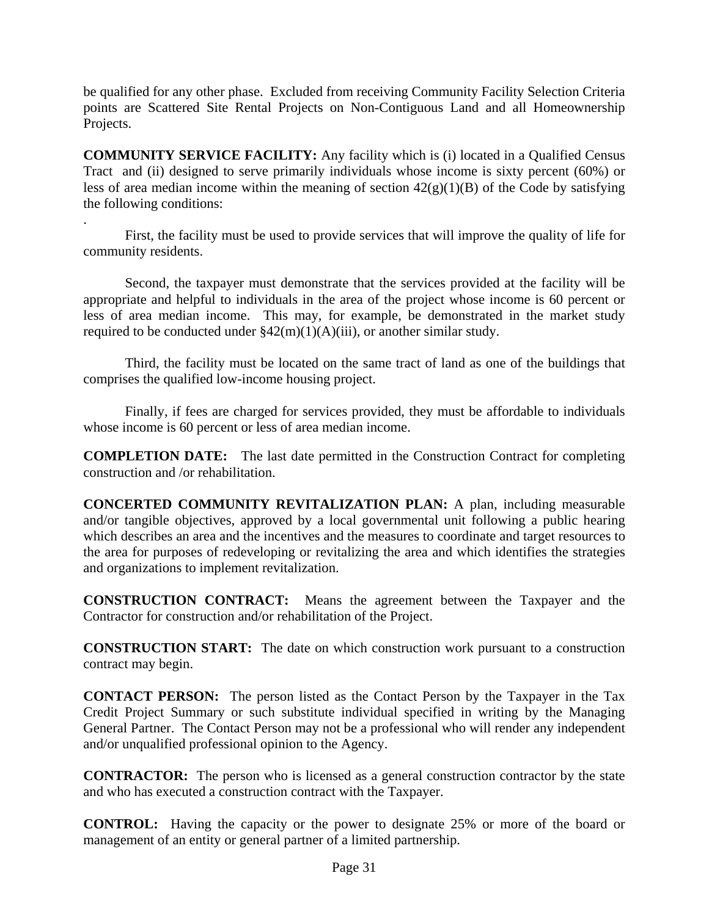be qualified for any other phase. Excluded from receiving Community Facility Selection Criteria points are Scattered Site Rental Projects on Non-Contiguous Land and all Homeownership Projects.

**COMMUNITY SERVICE FACILITY:** Any facility which is (i) located in a Qualified Census Tract and (ii) designed to serve primarily individuals whose income is sixty percent (60%) or less of area median income within the meaning of section  $42(g)(1)(B)$  of the Code by satisfying the following conditions:

. First, the facility must be used to provide services that will improve the quality of life for community residents.

 Second, the taxpayer must demonstrate that the services provided at the facility will be appropriate and helpful to individuals in the area of the project whose income is 60 percent or less of area median income. This may, for example, be demonstrated in the market study required to be conducted under  $\frac{242(m)(1)(A)(iii)}{3}$ , or another similar study.

 Third, the facility must be located on the same tract of land as one of the buildings that comprises the qualified low-income housing project.

 Finally, if fees are charged for services provided, they must be affordable to individuals whose income is 60 percent or less of area median income.

**COMPLETION DATE:** The last date permitted in the Construction Contract for completing construction and /or rehabilitation.

**CONCERTED COMMUNITY REVITALIZATION PLAN:** A plan, including measurable and/or tangible objectives, approved by a local governmental unit following a public hearing which describes an area and the incentives and the measures to coordinate and target resources to the area for purposes of redeveloping or revitalizing the area and which identifies the strategies and organizations to implement revitalization.

**CONSTRUCTION CONTRACT:** Means the agreement between the Taxpayer and the Contractor for construction and/or rehabilitation of the Project.

**CONSTRUCTION START:** The date on which construction work pursuant to a construction contract may begin.

**CONTACT PERSON:** The person listed as the Contact Person by the Taxpayer in the Tax Credit Project Summary or such substitute individual specified in writing by the Managing General Partner. The Contact Person may not be a professional who will render any independent and/or unqualified professional opinion to the Agency.

**CONTRACTOR:** The person who is licensed as a general construction contractor by the state and who has executed a construction contract with the Taxpayer.

**CONTROL:** Having the capacity or the power to designate 25% or more of the board or management of an entity or general partner of a limited partnership.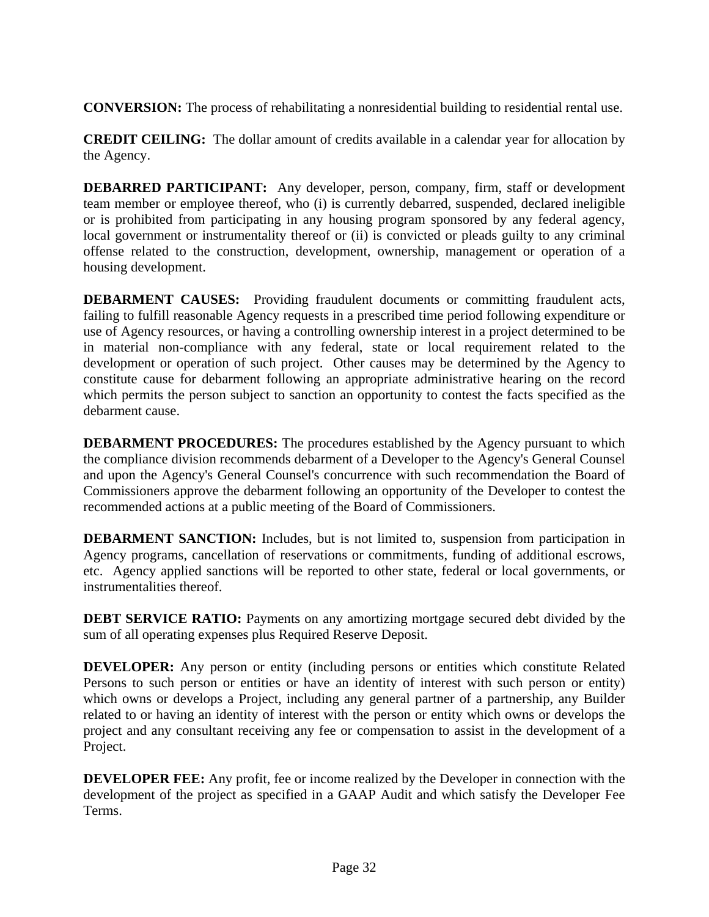**CONVERSION:** The process of rehabilitating a nonresidential building to residential rental use.

**CREDIT CEILING:** The dollar amount of credits available in a calendar year for allocation by the Agency.

**DEBARRED PARTICIPANT:** Any developer, person, company, firm, staff or development team member or employee thereof, who (i) is currently debarred, suspended, declared ineligible or is prohibited from participating in any housing program sponsored by any federal agency, local government or instrumentality thereof or (ii) is convicted or pleads guilty to any criminal offense related to the construction, development, ownership, management or operation of a housing development.

**DEBARMENT CAUSES:** Providing fraudulent documents or committing fraudulent acts, failing to fulfill reasonable Agency requests in a prescribed time period following expenditure or use of Agency resources, or having a controlling ownership interest in a project determined to be in material non-compliance with any federal, state or local requirement related to the development or operation of such project. Other causes may be determined by the Agency to constitute cause for debarment following an appropriate administrative hearing on the record which permits the person subject to sanction an opportunity to contest the facts specified as the debarment cause.

**DEBARMENT PROCEDURES:** The procedures established by the Agency pursuant to which the compliance division recommends debarment of a Developer to the Agency's General Counsel and upon the Agency's General Counsel's concurrence with such recommendation the Board of Commissioners approve the debarment following an opportunity of the Developer to contest the recommended actions at a public meeting of the Board of Commissioners.

**DEBARMENT SANCTION:** Includes, but is not limited to, suspension from participation in Agency programs, cancellation of reservations or commitments, funding of additional escrows, etc. Agency applied sanctions will be reported to other state, federal or local governments, or instrumentalities thereof.

**DEBT SERVICE RATIO:** Payments on any amortizing mortgage secured debt divided by the sum of all operating expenses plus Required Reserve Deposit.

**DEVELOPER:** Any person or entity (including persons or entities which constitute Related Persons to such person or entities or have an identity of interest with such person or entity) which owns or develops a Project, including any general partner of a partnership, any Builder related to or having an identity of interest with the person or entity which owns or develops the project and any consultant receiving any fee or compensation to assist in the development of a Project.

**DEVELOPER FEE:** Any profit, fee or income realized by the Developer in connection with the development of the project as specified in a GAAP Audit and which satisfy the Developer Fee Terms.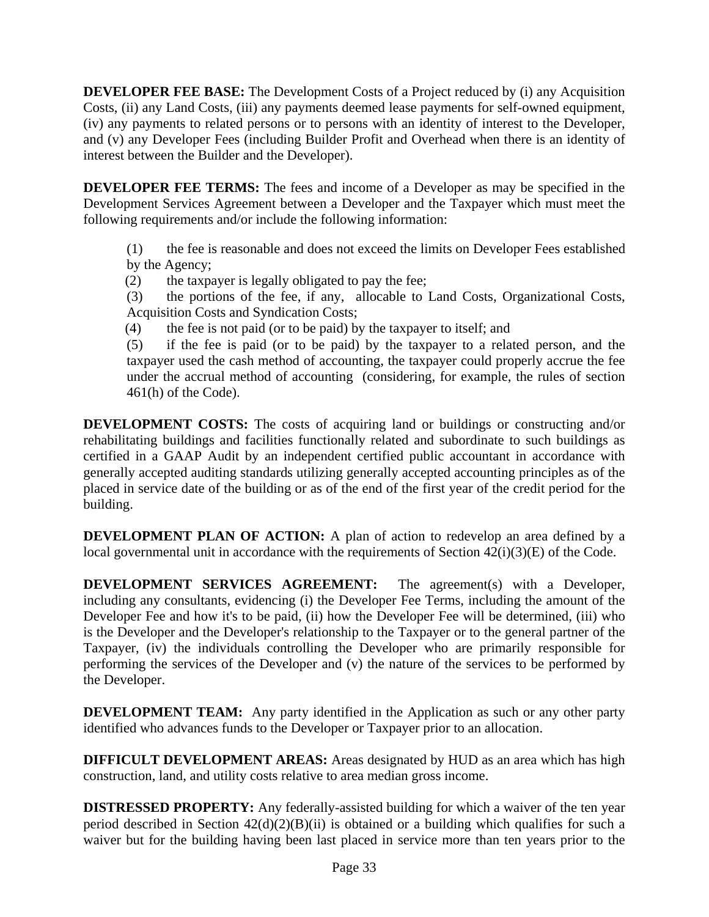**DEVELOPER FEE BASE:** The Development Costs of a Project reduced by (i) any Acquisition Costs, (ii) any Land Costs, (iii) any payments deemed lease payments for self-owned equipment, (iv) any payments to related persons or to persons with an identity of interest to the Developer, and (v) any Developer Fees (including Builder Profit and Overhead when there is an identity of interest between the Builder and the Developer).

**DEVELOPER FEE TERMS:** The fees and income of a Developer as may be specified in the Development Services Agreement between a Developer and the Taxpayer which must meet the following requirements and/or include the following information:

(1) the fee is reasonable and does not exceed the limits on Developer Fees established by the Agency;

(2) the taxpayer is legally obligated to pay the fee;

(3) the portions of the fee, if any, allocable to Land Costs, Organizational Costs, Acquisition Costs and Syndication Costs;

(4) the fee is not paid (or to be paid) by the taxpayer to itself; and

(5) if the fee is paid (or to be paid) by the taxpayer to a related person, and the taxpayer used the cash method of accounting, the taxpayer could properly accrue the fee under the accrual method of accounting (considering, for example, the rules of section 461(h) of the Code).

**DEVELOPMENT COSTS:** The costs of acquiring land or buildings or constructing and/or rehabilitating buildings and facilities functionally related and subordinate to such buildings as certified in a GAAP Audit by an independent certified public accountant in accordance with generally accepted auditing standards utilizing generally accepted accounting principles as of the placed in service date of the building or as of the end of the first year of the credit period for the building.

**DEVELOPMENT PLAN OF ACTION:** A plan of action to redevelop an area defined by a local governmental unit in accordance with the requirements of Section  $42(i)(3)(E)$  of the Code.

**DEVELOPMENT SERVICES AGREEMENT:** The agreement(s) with a Developer, including any consultants, evidencing (i) the Developer Fee Terms, including the amount of the Developer Fee and how it's to be paid, (ii) how the Developer Fee will be determined, (iii) who is the Developer and the Developer's relationship to the Taxpayer or to the general partner of the Taxpayer, (iv) the individuals controlling the Developer who are primarily responsible for performing the services of the Developer and (v) the nature of the services to be performed by the Developer.

**DEVELOPMENT TEAM:** Any party identified in the Application as such or any other party identified who advances funds to the Developer or Taxpayer prior to an allocation.

**DIFFICULT DEVELOPMENT AREAS:** Areas designated by HUD as an area which has high construction, land, and utility costs relative to area median gross income.

**DISTRESSED PROPERTY:** Any federally-assisted building for which a waiver of the ten year period described in Section  $42(d)(2)(B)(ii)$  is obtained or a building which qualifies for such a waiver but for the building having been last placed in service more than ten years prior to the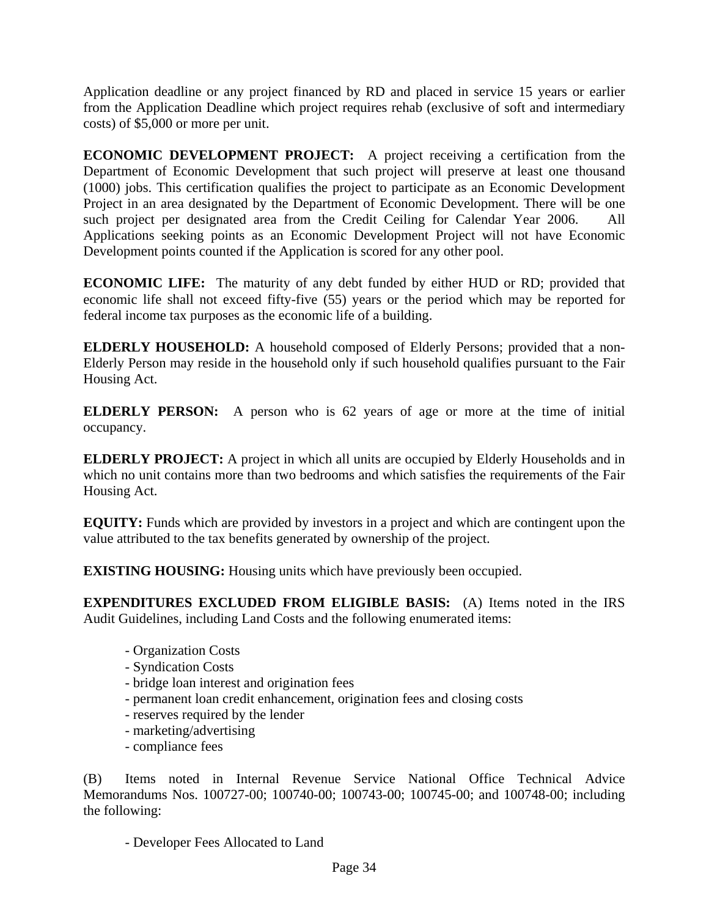Application deadline or any project financed by RD and placed in service 15 years or earlier from the Application Deadline which project requires rehab (exclusive of soft and intermediary costs) of \$5,000 or more per unit.

**ECONOMIC DEVELOPMENT PROJECT:** A project receiving a certification from the Department of Economic Development that such project will preserve at least one thousand (1000) jobs. This certification qualifies the project to participate as an Economic Development Project in an area designated by the Department of Economic Development. There will be one such project per designated area from the Credit Ceiling for Calendar Year 2006. All Applications seeking points as an Economic Development Project will not have Economic Development points counted if the Application is scored for any other pool.

**ECONOMIC LIFE:** The maturity of any debt funded by either HUD or RD; provided that economic life shall not exceed fifty-five (55) years or the period which may be reported for federal income tax purposes as the economic life of a building.

**ELDERLY HOUSEHOLD:** A household composed of Elderly Persons; provided that a non-Elderly Person may reside in the household only if such household qualifies pursuant to the Fair Housing Act.

**ELDERLY PERSON:** A person who is 62 years of age or more at the time of initial occupancy.

**ELDERLY PROJECT:** A project in which all units are occupied by Elderly Households and in which no unit contains more than two bedrooms and which satisfies the requirements of the Fair Housing Act.

**EQUITY:** Funds which are provided by investors in a project and which are contingent upon the value attributed to the tax benefits generated by ownership of the project.

**EXISTING HOUSING:** Housing units which have previously been occupied.

**EXPENDITURES EXCLUDED FROM ELIGIBLE BASIS:** (A) Items noted in the IRS Audit Guidelines, including Land Costs and the following enumerated items:

- Organization Costs
- Syndication Costs
- bridge loan interest and origination fees
- permanent loan credit enhancement, origination fees and closing costs
- reserves required by the lender
- marketing/advertising
- compliance fees

(B) Items noted in Internal Revenue Service National Office Technical Advice Memorandums Nos. 100727-00; 100740-00; 100743-00; 100745-00; and 100748-00; including the following:

- Developer Fees Allocated to Land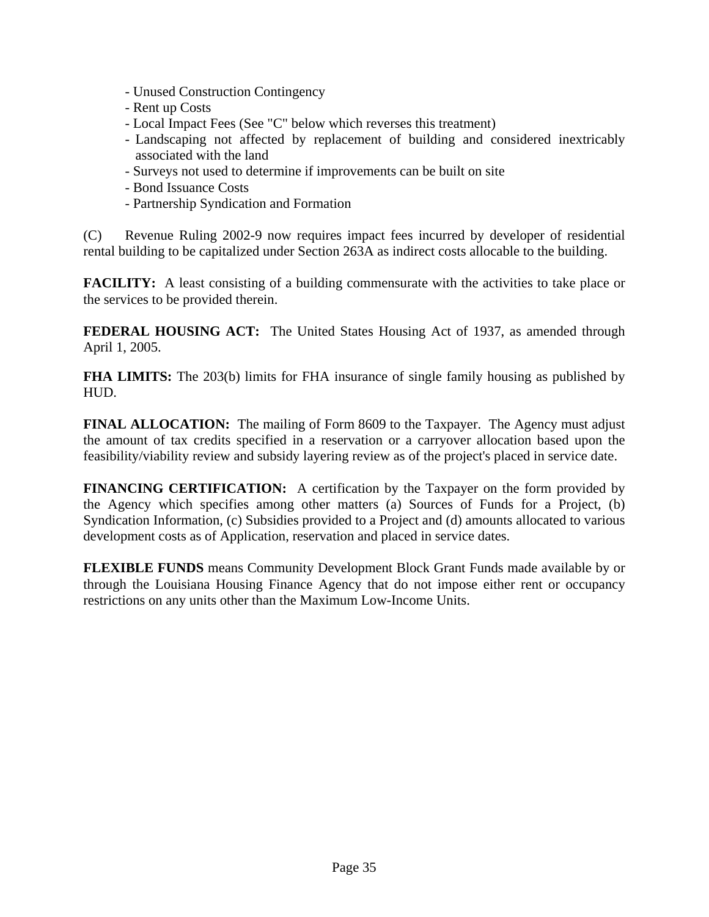- Unused Construction Contingency
- Rent up Costs
- Local Impact Fees (See "C" below which reverses this treatment)
- Landscaping not affected by replacement of building and considered inextricably associated with the land
- Surveys not used to determine if improvements can be built on site
- Bond Issuance Costs
- Partnership Syndication and Formation

(C) Revenue Ruling 2002-9 now requires impact fees incurred by developer of residential rental building to be capitalized under Section 263A as indirect costs allocable to the building.

**FACILITY:** A least consisting of a building commensurate with the activities to take place or the services to be provided therein.

**FEDERAL HOUSING ACT:** The United States Housing Act of 1937, as amended through April 1, 2005.

**FHA LIMITS:** The 203(b) limits for FHA insurance of single family housing as published by HUD.

**FINAL ALLOCATION:** The mailing of Form 8609 to the Taxpayer. The Agency must adjust the amount of tax credits specified in a reservation or a carryover allocation based upon the feasibility/viability review and subsidy layering review as of the project's placed in service date.

**FINANCING CERTIFICATION:** A certification by the Taxpayer on the form provided by the Agency which specifies among other matters (a) Sources of Funds for a Project, (b) Syndication Information, (c) Subsidies provided to a Project and (d) amounts allocated to various development costs as of Application, reservation and placed in service dates.

**FLEXIBLE FUNDS** means Community Development Block Grant Funds made available by or through the Louisiana Housing Finance Agency that do not impose either rent or occupancy restrictions on any units other than the Maximum Low-Income Units.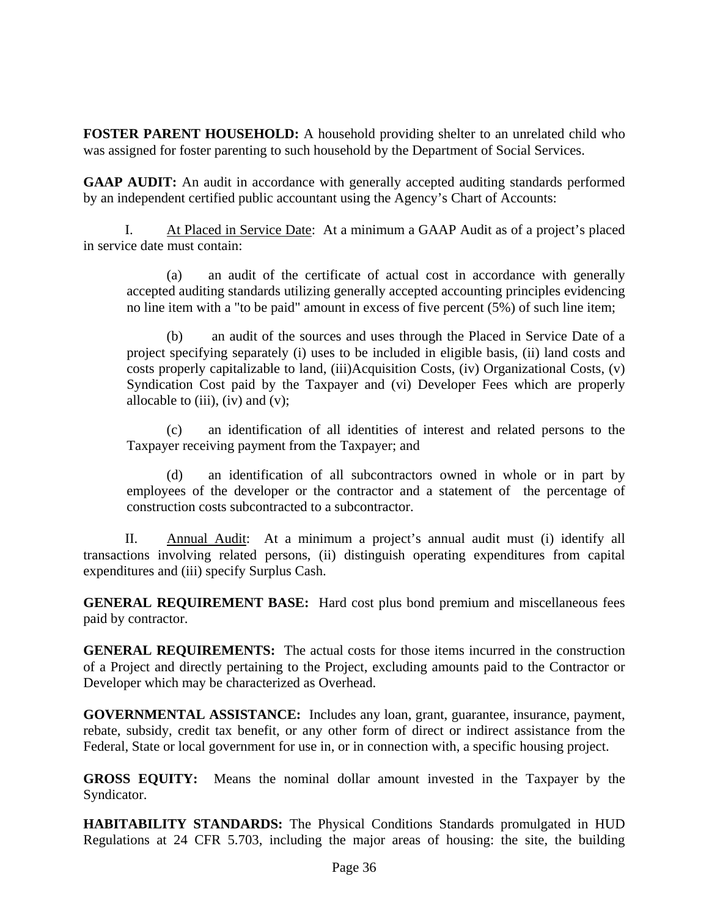**FOSTER PARENT HOUSEHOLD:** A household providing shelter to an unrelated child who was assigned for foster parenting to such household by the Department of Social Services.

**GAAP AUDIT:** An audit in accordance with generally accepted auditing standards performed by an independent certified public accountant using the Agency's Chart of Accounts:

 I. At Placed in Service Date: At a minimum a GAAP Audit as of a project's placed in service date must contain:

 (a) an audit of the certificate of actual cost in accordance with generally accepted auditing standards utilizing generally accepted accounting principles evidencing no line item with a "to be paid" amount in excess of five percent (5%) of such line item;

an audit of the sources and uses through the Placed in Service Date of a project specifying separately (i) uses to be included in eligible basis, (ii) land costs and costs properly capitalizable to land, (iii)Acquisition Costs, (iv) Organizational Costs, (v) Syndication Cost paid by the Taxpayer and (vi) Developer Fees which are properly allocable to  $(iii)$ ,  $(iv)$  and  $(v)$ ;

 (c) an identification of all identities of interest and related persons to the Taxpayer receiving payment from the Taxpayer; and

 (d) an identification of all subcontractors owned in whole or in part by employees of the developer or the contractor and a statement of the percentage of construction costs subcontracted to a subcontractor.

 II. Annual Audit: At a minimum a project's annual audit must (i) identify all transactions involving related persons, (ii) distinguish operating expenditures from capital expenditures and (iii) specify Surplus Cash.

**GENERAL REQUIREMENT BASE:** Hard cost plus bond premium and miscellaneous fees paid by contractor.

**GENERAL REQUIREMENTS:** The actual costs for those items incurred in the construction of a Project and directly pertaining to the Project, excluding amounts paid to the Contractor or Developer which may be characterized as Overhead.

**GOVERNMENTAL ASSISTANCE:** Includes any loan, grant, guarantee, insurance, payment, rebate, subsidy, credit tax benefit, or any other form of direct or indirect assistance from the Federal, State or local government for use in, or in connection with, a specific housing project.

**GROSS EQUITY:** Means the nominal dollar amount invested in the Taxpayer by the Syndicator.

**HABITABILITY STANDARDS:** The Physical Conditions Standards promulgated in HUD Regulations at 24 CFR 5.703, including the major areas of housing: the site, the building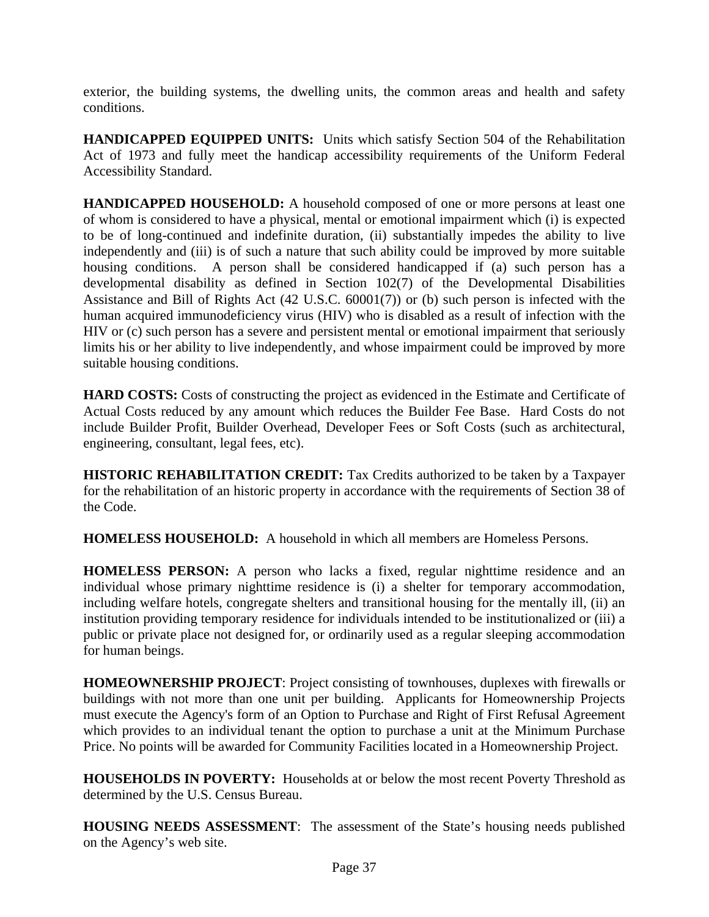exterior, the building systems, the dwelling units, the common areas and health and safety conditions.

**HANDICAPPED EQUIPPED UNITS:** Units which satisfy Section 504 of the Rehabilitation Act of 1973 and fully meet the handicap accessibility requirements of the Uniform Federal Accessibility Standard.

**HANDICAPPED HOUSEHOLD:** A household composed of one or more persons at least one of whom is considered to have a physical, mental or emotional impairment which (i) is expected to be of long-continued and indefinite duration, (ii) substantially impedes the ability to live independently and (iii) is of such a nature that such ability could be improved by more suitable housing conditions. A person shall be considered handicapped if (a) such person has a developmental disability as defined in Section 102(7) of the Developmental Disabilities Assistance and Bill of Rights Act (42 U.S.C. 60001(7)) or (b) such person is infected with the human acquired immunodeficiency virus (HIV) who is disabled as a result of infection with the HIV or (c) such person has a severe and persistent mental or emotional impairment that seriously limits his or her ability to live independently, and whose impairment could be improved by more suitable housing conditions.

**HARD COSTS:** Costs of constructing the project as evidenced in the Estimate and Certificate of Actual Costs reduced by any amount which reduces the Builder Fee Base. Hard Costs do not include Builder Profit, Builder Overhead, Developer Fees or Soft Costs (such as architectural, engineering, consultant, legal fees, etc).

**HISTORIC REHABILITATION CREDIT:** Tax Credits authorized to be taken by a Taxpayer for the rehabilitation of an historic property in accordance with the requirements of Section 38 of the Code.

**HOMELESS HOUSEHOLD:** A household in which all members are Homeless Persons.

**HOMELESS PERSON:** A person who lacks a fixed, regular nighttime residence and an individual whose primary nighttime residence is (i) a shelter for temporary accommodation, including welfare hotels, congregate shelters and transitional housing for the mentally ill, (ii) an institution providing temporary residence for individuals intended to be institutionalized or (iii) a public or private place not designed for, or ordinarily used as a regular sleeping accommodation for human beings.

**HOMEOWNERSHIP PROJECT**: Project consisting of townhouses, duplexes with firewalls or buildings with not more than one unit per building. Applicants for Homeownership Projects must execute the Agency's form of an Option to Purchase and Right of First Refusal Agreement which provides to an individual tenant the option to purchase a unit at the Minimum Purchase Price. No points will be awarded for Community Facilities located in a Homeownership Project.

**HOUSEHOLDS IN POVERTY:** Households at or below the most recent Poverty Threshold as determined by the U.S. Census Bureau.

**HOUSING NEEDS ASSESSMENT**: The assessment of the State's housing needs published on the Agency's web site.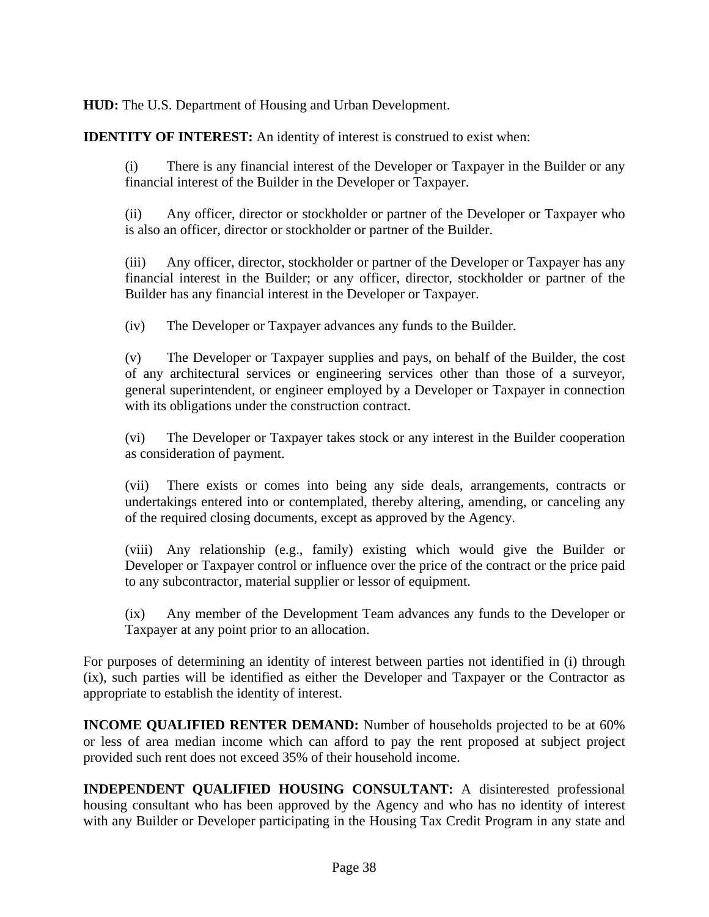**HUD:** The U.S. Department of Housing and Urban Development.

**IDENTITY OF INTEREST:** An identity of interest is construed to exist when:

(i) There is any financial interest of the Developer or Taxpayer in the Builder or any financial interest of the Builder in the Developer or Taxpayer.

(ii) Any officer, director or stockholder or partner of the Developer or Taxpayer who is also an officer, director or stockholder or partner of the Builder.

(iii) Any officer, director, stockholder or partner of the Developer or Taxpayer has any financial interest in the Builder; or any officer, director, stockholder or partner of the Builder has any financial interest in the Developer or Taxpayer.

(iv) The Developer or Taxpayer advances any funds to the Builder.

(v) The Developer or Taxpayer supplies and pays, on behalf of the Builder, the cost of any architectural services or engineering services other than those of a surveyor, general superintendent, or engineer employed by a Developer or Taxpayer in connection with its obligations under the construction contract.

(vi) The Developer or Taxpayer takes stock or any interest in the Builder cooperation as consideration of payment.

(vii) There exists or comes into being any side deals, arrangements, contracts or undertakings entered into or contemplated, thereby altering, amending, or canceling any of the required closing documents, except as approved by the Agency.

(viii) Any relationship (e.g., family) existing which would give the Builder or Developer or Taxpayer control or influence over the price of the contract or the price paid to any subcontractor, material supplier or lessor of equipment.

(ix) Any member of the Development Team advances any funds to the Developer or Taxpayer at any point prior to an allocation.

For purposes of determining an identity of interest between parties not identified in (i) through (ix), such parties will be identified as either the Developer and Taxpayer or the Contractor as appropriate to establish the identity of interest.

**INCOME QUALIFIED RENTER DEMAND:** Number of households projected to be at 60% or less of area median income which can afford to pay the rent proposed at subject project provided such rent does not exceed 35% of their household income.

**INDEPENDENT QUALIFIED HOUSING CONSULTANT:** A disinterested professional housing consultant who has been approved by the Agency and who has no identity of interest with any Builder or Developer participating in the Housing Tax Credit Program in any state and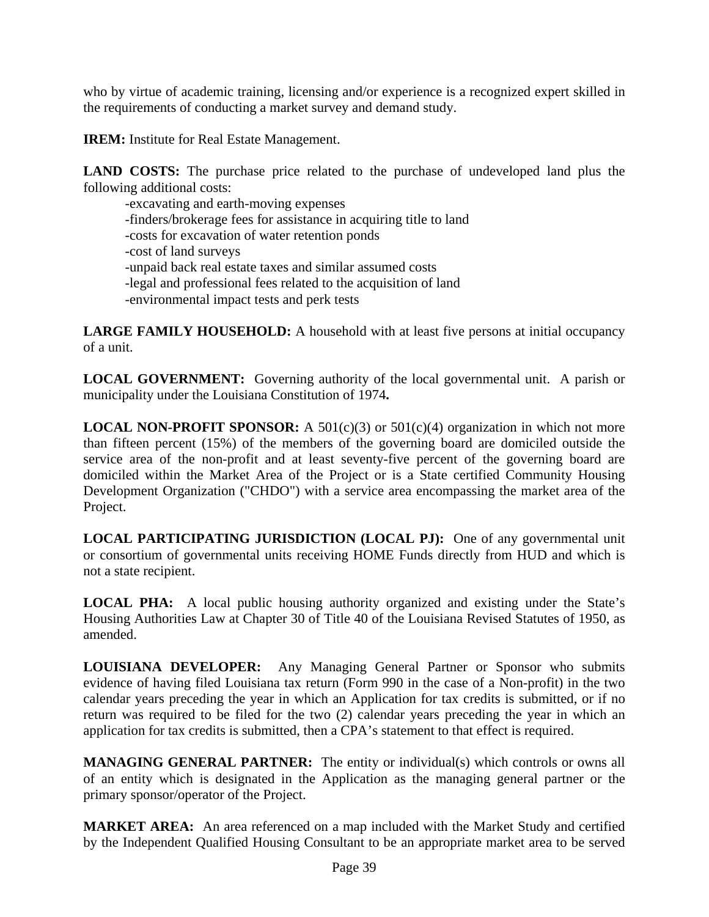who by virtue of academic training, licensing and/or experience is a recognized expert skilled in the requirements of conducting a market survey and demand study.

**IREM:** Institute for Real Estate Management.

**LAND COSTS:** The purchase price related to the purchase of undeveloped land plus the following additional costs:

 -excavating and earth-moving expenses -finders/brokerage fees for assistance in acquiring title to land -costs for excavation of water retention ponds -cost of land surveys -unpaid back real estate taxes and similar assumed costs -legal and professional fees related to the acquisition of land -environmental impact tests and perk tests

**LARGE FAMILY HOUSEHOLD:** A household with at least five persons at initial occupancy of a unit.

**LOCAL GOVERNMENT:** Governing authority of the local governmental unit. A parish or municipality under the Louisiana Constitution of 1974**.**

**LOCAL NON-PROFIT SPONSOR:** A 501(c)(3) or 501(c)(4) organization in which not more than fifteen percent (15%) of the members of the governing board are domiciled outside the service area of the non-profit and at least seventy-five percent of the governing board are domiciled within the Market Area of the Project or is a State certified Community Housing Development Organization ("CHDO") with a service area encompassing the market area of the Project.

**LOCAL PARTICIPATING JURISDICTION (LOCAL PJ):** One of any governmental unit or consortium of governmental units receiving HOME Funds directly from HUD and which is not a state recipient.

**LOCAL PHA:** A local public housing authority organized and existing under the State's Housing Authorities Law at Chapter 30 of Title 40 of the Louisiana Revised Statutes of 1950, as amended.

**LOUISIANA DEVELOPER:** Any Managing General Partner or Sponsor who submits evidence of having filed Louisiana tax return (Form 990 in the case of a Non-profit) in the two calendar years preceding the year in which an Application for tax credits is submitted, or if no return was required to be filed for the two (2) calendar years preceding the year in which an application for tax credits is submitted, then a CPA's statement to that effect is required.

**MANAGING GENERAL PARTNER:** The entity or individual(s) which controls or owns all of an entity which is designated in the Application as the managing general partner or the primary sponsor/operator of the Project.

**MARKET AREA:** An area referenced on a map included with the Market Study and certified by the Independent Qualified Housing Consultant to be an appropriate market area to be served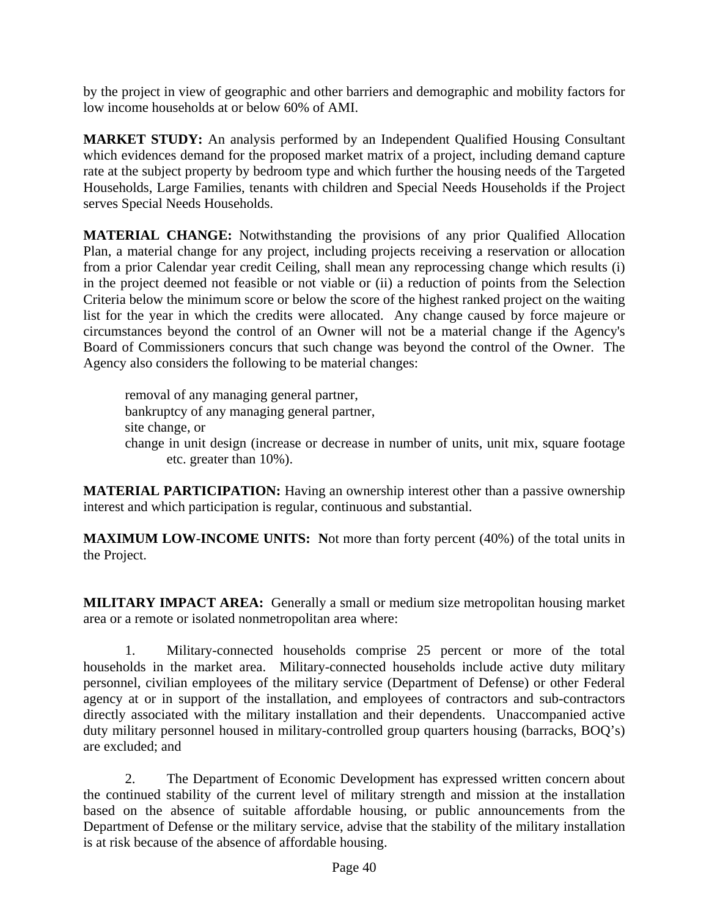by the project in view of geographic and other barriers and demographic and mobility factors for low income households at or below 60% of AMI.

**MARKET STUDY:** An analysis performed by an Independent Qualified Housing Consultant which evidences demand for the proposed market matrix of a project, including demand capture rate at the subject property by bedroom type and which further the housing needs of the Targeted Households, Large Families, tenants with children and Special Needs Households if the Project serves Special Needs Households.

**MATERIAL CHANGE:** Notwithstanding the provisions of any prior Qualified Allocation Plan, a material change for any project, including projects receiving a reservation or allocation from a prior Calendar year credit Ceiling, shall mean any reprocessing change which results (i) in the project deemed not feasible or not viable or (ii) a reduction of points from the Selection Criteria below the minimum score or below the score of the highest ranked project on the waiting list for the year in which the credits were allocated. Any change caused by force majeure or circumstances beyond the control of an Owner will not be a material change if the Agency's Board of Commissioners concurs that such change was beyond the control of the Owner. The Agency also considers the following to be material changes:

 removal of any managing general partner, bankruptcy of any managing general partner, site change, or change in unit design (increase or decrease in number of units, unit mix, square footage etc. greater than 10%).

**MATERIAL PARTICIPATION:** Having an ownership interest other than a passive ownership interest and which participation is regular, continuous and substantial.

**MAXIMUM LOW-INCOME UNITS:** Not more than forty percent (40%) of the total units in the Project.

**MILITARY IMPACT AREA:** Generally a small or medium size metropolitan housing market area or a remote or isolated nonmetropolitan area where:

 1. Military-connected households comprise 25 percent or more of the total households in the market area. Military-connected households include active duty military personnel, civilian employees of the military service (Department of Defense) or other Federal agency at or in support of the installation, and employees of contractors and sub-contractors directly associated with the military installation and their dependents. Unaccompanied active duty military personnel housed in military-controlled group quarters housing (barracks, BOQ's) are excluded; and

 2. The Department of Economic Development has expressed written concern about the continued stability of the current level of military strength and mission at the installation based on the absence of suitable affordable housing, or public announcements from the Department of Defense or the military service, advise that the stability of the military installation is at risk because of the absence of affordable housing.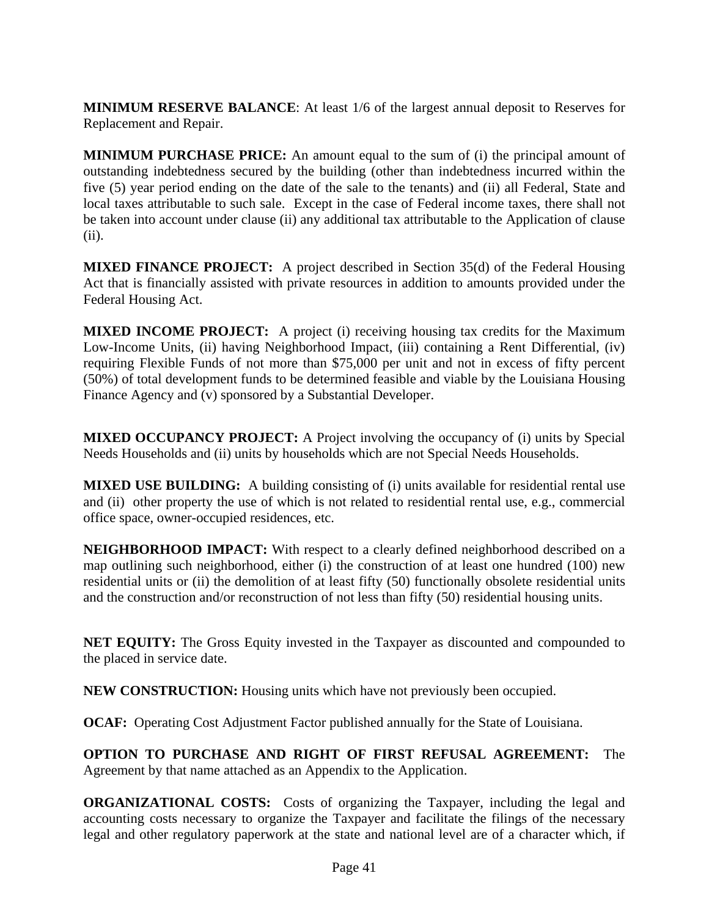**MINIMUM RESERVE BALANCE**: At least 1/6 of the largest annual deposit to Reserves for Replacement and Repair.

**MINIMUM PURCHASE PRICE:** An amount equal to the sum of (i) the principal amount of outstanding indebtedness secured by the building (other than indebtedness incurred within the five (5) year period ending on the date of the sale to the tenants) and (ii) all Federal, State and local taxes attributable to such sale. Except in the case of Federal income taxes, there shall not be taken into account under clause (ii) any additional tax attributable to the Application of clause (ii).

**MIXED FINANCE PROJECT:** A project described in Section 35(d) of the Federal Housing Act that is financially assisted with private resources in addition to amounts provided under the Federal Housing Act.

**MIXED INCOME PROJECT:** A project (i) receiving housing tax credits for the Maximum Low-Income Units, (ii) having Neighborhood Impact, (iii) containing a Rent Differential, (iv) requiring Flexible Funds of not more than \$75,000 per unit and not in excess of fifty percent (50%) of total development funds to be determined feasible and viable by the Louisiana Housing Finance Agency and (v) sponsored by a Substantial Developer.

**MIXED OCCUPANCY PROJECT:** A Project involving the occupancy of (i) units by Special Needs Households and (ii) units by households which are not Special Needs Households.

**MIXED USE BUILDING:** A building consisting of (i) units available for residential rental use and (ii) other property the use of which is not related to residential rental use, e.g., commercial office space, owner-occupied residences, etc.

**NEIGHBORHOOD IMPACT:** With respect to a clearly defined neighborhood described on a map outlining such neighborhood, either (i) the construction of at least one hundred (100) new residential units or (ii) the demolition of at least fifty (50) functionally obsolete residential units and the construction and/or reconstruction of not less than fifty (50) residential housing units.

**NET EQUITY:** The Gross Equity invested in the Taxpayer as discounted and compounded to the placed in service date.

**NEW CONSTRUCTION:** Housing units which have not previously been occupied.

**OCAF:** Operating Cost Adjustment Factor published annually for the State of Louisiana.

**OPTION TO PURCHASE AND RIGHT OF FIRST REFUSAL AGREEMENT:** The Agreement by that name attached as an Appendix to the Application.

**ORGANIZATIONAL COSTS:** Costs of organizing the Taxpayer, including the legal and accounting costs necessary to organize the Taxpayer and facilitate the filings of the necessary legal and other regulatory paperwork at the state and national level are of a character which, if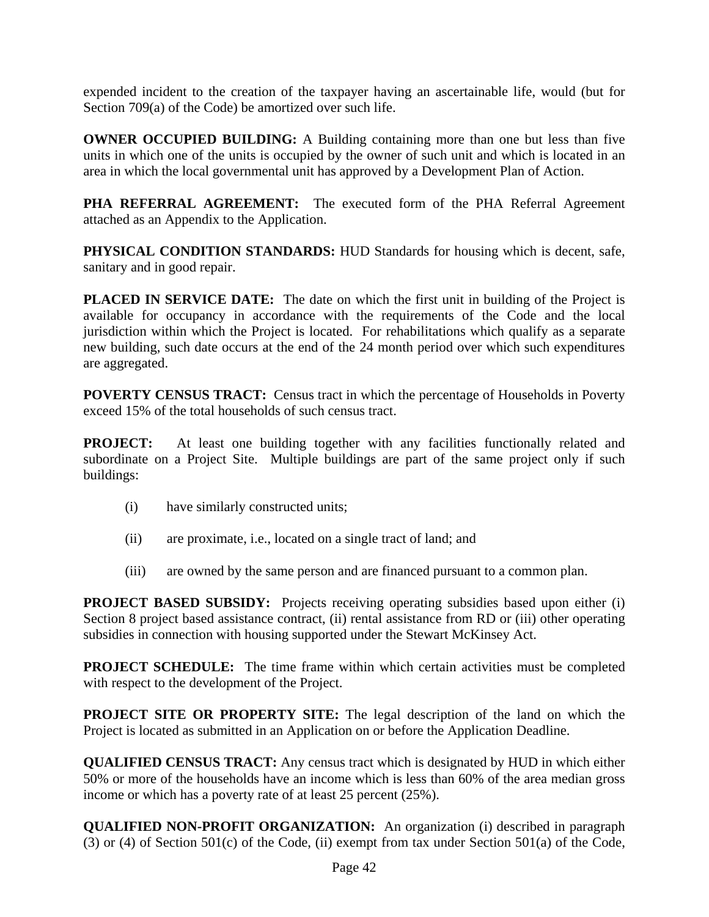expended incident to the creation of the taxpayer having an ascertainable life, would (but for Section 709(a) of the Code) be amortized over such life.

**OWNER OCCUPIED BUILDING:** A Building containing more than one but less than five units in which one of the units is occupied by the owner of such unit and which is located in an area in which the local governmental unit has approved by a Development Plan of Action.

PHA REFERRAL AGREEMENT: The executed form of the PHA Referral Agreement attached as an Appendix to the Application.

**PHYSICAL CONDITION STANDARDS:** HUD Standards for housing which is decent, safe, sanitary and in good repair.

**PLACED IN SERVICE DATE:** The date on which the first unit in building of the Project is available for occupancy in accordance with the requirements of the Code and the local jurisdiction within which the Project is located. For rehabilitations which qualify as a separate new building, such date occurs at the end of the 24 month period over which such expenditures are aggregated.

**POVERTY CENSUS TRACT:** Census tract in which the percentage of Households in Poverty exceed 15% of the total households of such census tract.

**PROJECT:** At least one building together with any facilities functionally related and subordinate on a Project Site. Multiple buildings are part of the same project only if such buildings:

- (i) have similarly constructed units;
- (ii) are proximate, i.e., located on a single tract of land; and
- (iii) are owned by the same person and are financed pursuant to a common plan.

**PROJECT BASED SUBSIDY:** Projects receiving operating subsidies based upon either (i) Section 8 project based assistance contract, (ii) rental assistance from RD or (iii) other operating subsidies in connection with housing supported under the Stewart McKinsey Act.

**PROJECT SCHEDULE:** The time frame within which certain activities must be completed with respect to the development of the Project.

**PROJECT SITE OR PROPERTY SITE:** The legal description of the land on which the Project is located as submitted in an Application on or before the Application Deadline.

**QUALIFIED CENSUS TRACT:** Any census tract which is designated by HUD in which either 50% or more of the households have an income which is less than 60% of the area median gross income or which has a poverty rate of at least 25 percent (25%).

**QUALIFIED NON-PROFIT ORGANIZATION:** An organization (i) described in paragraph (3) or (4) of Section 501(c) of the Code, (ii) exempt from tax under Section 501(a) of the Code,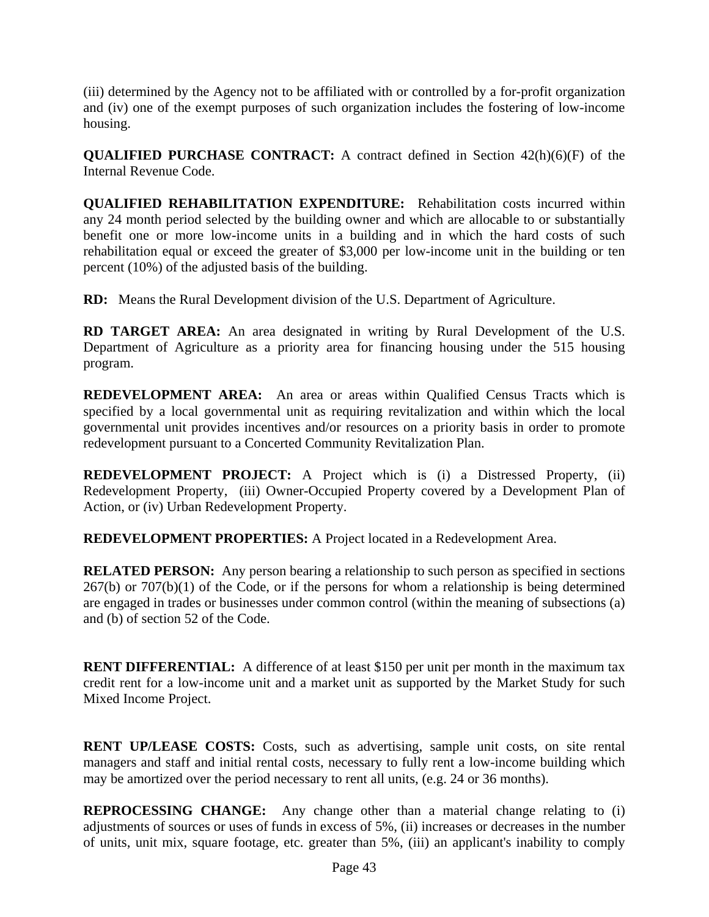(iii) determined by the Agency not to be affiliated with or controlled by a for-profit organization and (iv) one of the exempt purposes of such organization includes the fostering of low-income housing.

**QUALIFIED PURCHASE CONTRACT:** A contract defined in Section 42(h)(6)(F) of the Internal Revenue Code.

**QUALIFIED REHABILITATION EXPENDITURE:** Rehabilitation costs incurred within any 24 month period selected by the building owner and which are allocable to or substantially benefit one or more low-income units in a building and in which the hard costs of such rehabilitation equal or exceed the greater of \$3,000 per low-income unit in the building or ten percent (10%) of the adjusted basis of the building.

**RD:** Means the Rural Development division of the U.S. Department of Agriculture.

**RD TARGET AREA:** An area designated in writing by Rural Development of the U.S. Department of Agriculture as a priority area for financing housing under the 515 housing program.

**REDEVELOPMENT AREA:** An area or areas within Qualified Census Tracts which is specified by a local governmental unit as requiring revitalization and within which the local governmental unit provides incentives and/or resources on a priority basis in order to promote redevelopment pursuant to a Concerted Community Revitalization Plan.

**REDEVELOPMENT PROJECT:** A Project which is (i) a Distressed Property, (ii) Redevelopment Property, (iii) Owner-Occupied Property covered by a Development Plan of Action, or (iv) Urban Redevelopment Property.

**REDEVELOPMENT PROPERTIES:** A Project located in a Redevelopment Area.

**RELATED PERSON:** Any person bearing a relationship to such person as specified in sections  $267(b)$  or  $707(b)(1)$  of the Code, or if the persons for whom a relationship is being determined are engaged in trades or businesses under common control (within the meaning of subsections (a) and (b) of section 52 of the Code.

**RENT DIFFERENTIAL:** A difference of at least \$150 per unit per month in the maximum tax credit rent for a low-income unit and a market unit as supported by the Market Study for such Mixed Income Project.

**RENT UP/LEASE COSTS:** Costs, such as advertising, sample unit costs, on site rental managers and staff and initial rental costs, necessary to fully rent a low-income building which may be amortized over the period necessary to rent all units, (e.g. 24 or 36 months).

**REPROCESSING CHANGE:** Any change other than a material change relating to (i) adjustments of sources or uses of funds in excess of 5%, (ii) increases or decreases in the number of units, unit mix, square footage, etc. greater than 5%, (iii) an applicant's inability to comply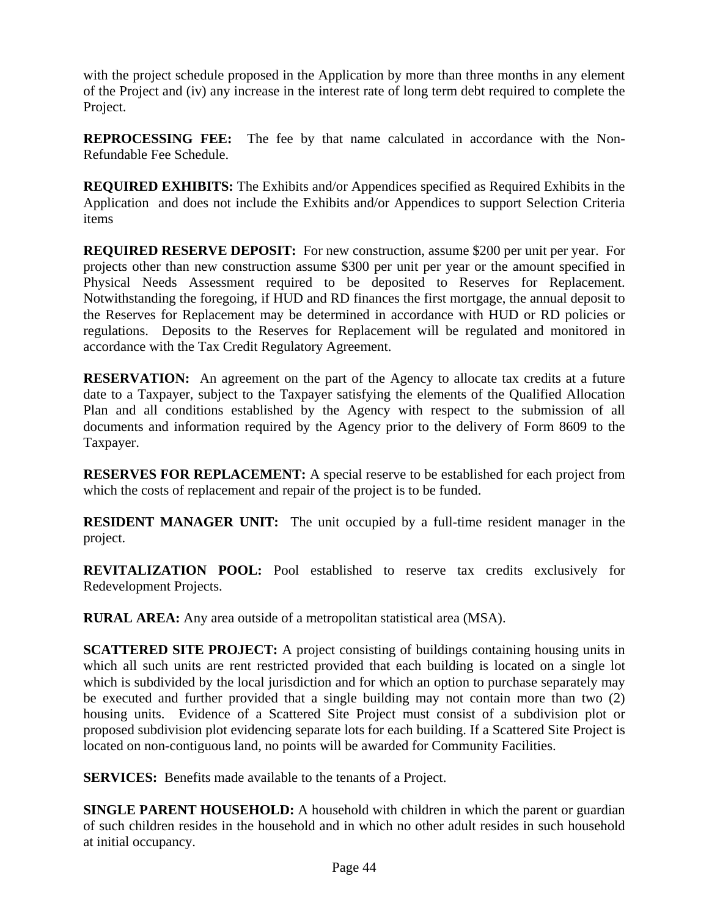with the project schedule proposed in the Application by more than three months in any element of the Project and (iv) any increase in the interest rate of long term debt required to complete the Project.

**REPROCESSING FEE:** The fee by that name calculated in accordance with the Non-Refundable Fee Schedule.

**REQUIRED EXHIBITS:** The Exhibits and/or Appendices specified as Required Exhibits in the Application and does not include the Exhibits and/or Appendices to support Selection Criteria items

**REQUIRED RESERVE DEPOSIT:** For new construction, assume \$200 per unit per year. For projects other than new construction assume \$300 per unit per year or the amount specified in Physical Needs Assessment required to be deposited to Reserves for Replacement. Notwithstanding the foregoing, if HUD and RD finances the first mortgage, the annual deposit to the Reserves for Replacement may be determined in accordance with HUD or RD policies or regulations. Deposits to the Reserves for Replacement will be regulated and monitored in accordance with the Tax Credit Regulatory Agreement.

**RESERVATION:** An agreement on the part of the Agency to allocate tax credits at a future date to a Taxpayer, subject to the Taxpayer satisfying the elements of the Qualified Allocation Plan and all conditions established by the Agency with respect to the submission of all documents and information required by the Agency prior to the delivery of Form 8609 to the Taxpayer.

**RESERVES FOR REPLACEMENT:** A special reserve to be established for each project from which the costs of replacement and repair of the project is to be funded.

**RESIDENT MANAGER UNIT:** The unit occupied by a full-time resident manager in the project.

**REVITALIZATION POOL:** Pool established to reserve tax credits exclusively for Redevelopment Projects.

**RURAL AREA:** Any area outside of a metropolitan statistical area (MSA).

**SCATTERED SITE PROJECT:** A project consisting of buildings containing housing units in which all such units are rent restricted provided that each building is located on a single lot which is subdivided by the local jurisdiction and for which an option to purchase separately may be executed and further provided that a single building may not contain more than two (2) housing units. Evidence of a Scattered Site Project must consist of a subdivision plot or proposed subdivision plot evidencing separate lots for each building. If a Scattered Site Project is located on non-contiguous land, no points will be awarded for Community Facilities.

**SERVICES:** Benefits made available to the tenants of a Project.

**SINGLE PARENT HOUSEHOLD:** A household with children in which the parent or guardian of such children resides in the household and in which no other adult resides in such household at initial occupancy.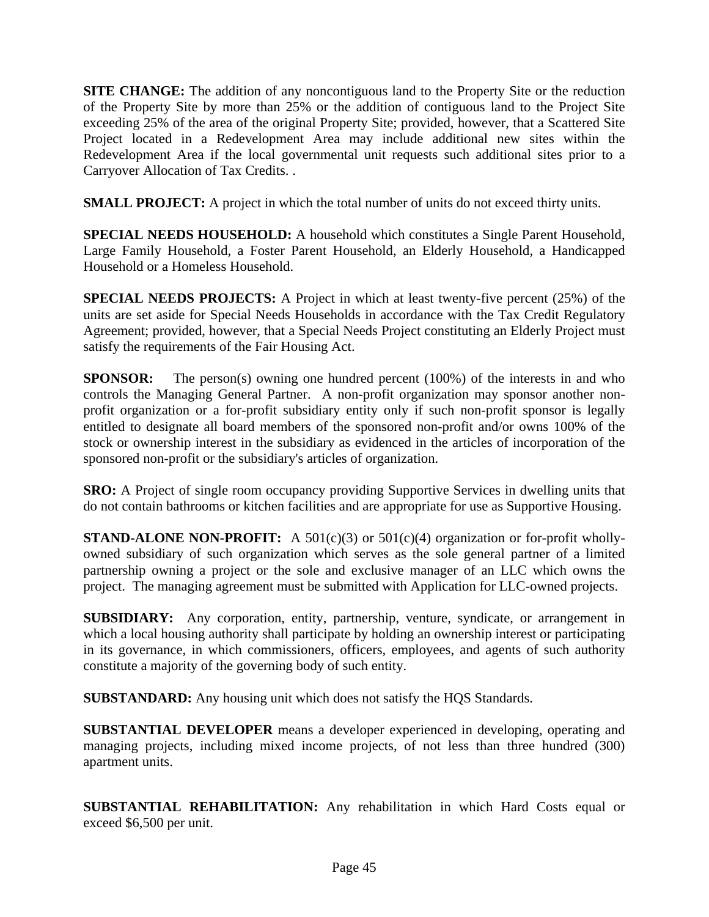**SITE CHANGE:** The addition of any noncontiguous land to the Property Site or the reduction of the Property Site by more than 25% or the addition of contiguous land to the Project Site exceeding 25% of the area of the original Property Site; provided, however, that a Scattered Site Project located in a Redevelopment Area may include additional new sites within the Redevelopment Area if the local governmental unit requests such additional sites prior to a Carryover Allocation of Tax Credits. .

**SMALL PROJECT:** A project in which the total number of units do not exceed thirty units.

**SPECIAL NEEDS HOUSEHOLD:** A household which constitutes a Single Parent Household, Large Family Household, a Foster Parent Household, an Elderly Household, a Handicapped Household or a Homeless Household.

**SPECIAL NEEDS PROJECTS:** A Project in which at least twenty-five percent (25%) of the units are set aside for Special Needs Households in accordance with the Tax Credit Regulatory Agreement; provided, however, that a Special Needs Project constituting an Elderly Project must satisfy the requirements of the Fair Housing Act.

**SPONSOR:** The person(s) owning one hundred percent (100%) of the interests in and who controls the Managing General Partner. A non-profit organization may sponsor another nonprofit organization or a for-profit subsidiary entity only if such non-profit sponsor is legally entitled to designate all board members of the sponsored non-profit and/or owns 100% of the stock or ownership interest in the subsidiary as evidenced in the articles of incorporation of the sponsored non-profit or the subsidiary's articles of organization.

**SRO:** A Project of single room occupancy providing Supportive Services in dwelling units that do not contain bathrooms or kitchen facilities and are appropriate for use as Supportive Housing.

**STAND-ALONE NON-PROFIT:** A 501(c)(3) or 501(c)(4) organization or for-profit whollyowned subsidiary of such organization which serves as the sole general partner of a limited partnership owning a project or the sole and exclusive manager of an LLC which owns the project. The managing agreement must be submitted with Application for LLC-owned projects.

**SUBSIDIARY:** Any corporation, entity, partnership, venture, syndicate, or arrangement in which a local housing authority shall participate by holding an ownership interest or participating in its governance, in which commissioners, officers, employees, and agents of such authority constitute a majority of the governing body of such entity.

**SUBSTANDARD:** Any housing unit which does not satisfy the HQS Standards.

**SUBSTANTIAL DEVELOPER** means a developer experienced in developing, operating and managing projects, including mixed income projects, of not less than three hundred (300) apartment units.

**SUBSTANTIAL REHABILITATION:** Any rehabilitation in which Hard Costs equal or exceed \$6,500 per unit.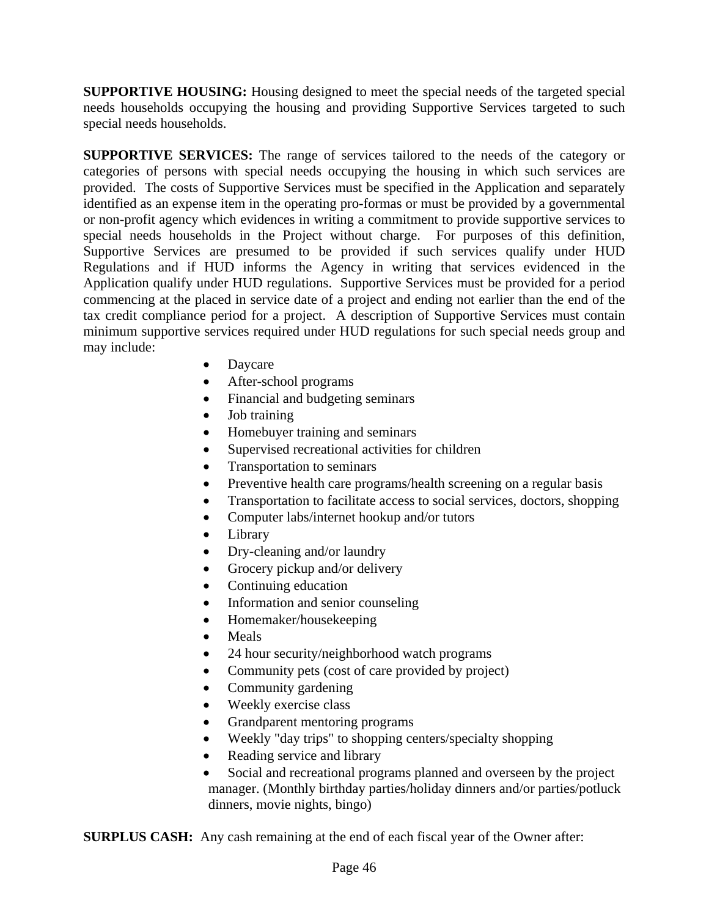**SUPPORTIVE HOUSING:** Housing designed to meet the special needs of the targeted special needs households occupying the housing and providing Supportive Services targeted to such special needs households.

**SUPPORTIVE SERVICES:** The range of services tailored to the needs of the category or categories of persons with special needs occupying the housing in which such services are provided. The costs of Supportive Services must be specified in the Application and separately identified as an expense item in the operating pro-formas or must be provided by a governmental or non-profit agency which evidences in writing a commitment to provide supportive services to special needs households in the Project without charge. For purposes of this definition, Supportive Services are presumed to be provided if such services qualify under HUD Regulations and if HUD informs the Agency in writing that services evidenced in the Application qualify under HUD regulations. Supportive Services must be provided for a period commencing at the placed in service date of a project and ending not earlier than the end of the tax credit compliance period for a project. A description of Supportive Services must contain minimum supportive services required under HUD regulations for such special needs group and may include:

- Daycare
- After-school programs
- Financial and budgeting seminars
- Job training
- Homebuyer training and seminars
- Supervised recreational activities for children
- Transportation to seminars
- Preventive health care programs/health screening on a regular basis
- Transportation to facilitate access to social services, doctors, shopping
- Computer labs/internet hookup and/or tutors
- **Library**
- Dry-cleaning and/or laundry
- Grocery pickup and/or delivery
- Continuing education
- Information and senior counseling
- Homemaker/housekeeping
- Meals
- 24 hour security/neighborhood watch programs
- Community pets (cost of care provided by project)
- Community gardening
- Weekly exercise class
- Grandparent mentoring programs
- Weekly "day trips" to shopping centers/specialty shopping
- Reading service and library
- Social and recreational programs planned and overseen by the project manager. (Monthly birthday parties/holiday dinners and/or parties/potluck dinners, movie nights, bingo)

**SURPLUS CASH:** Any cash remaining at the end of each fiscal year of the Owner after: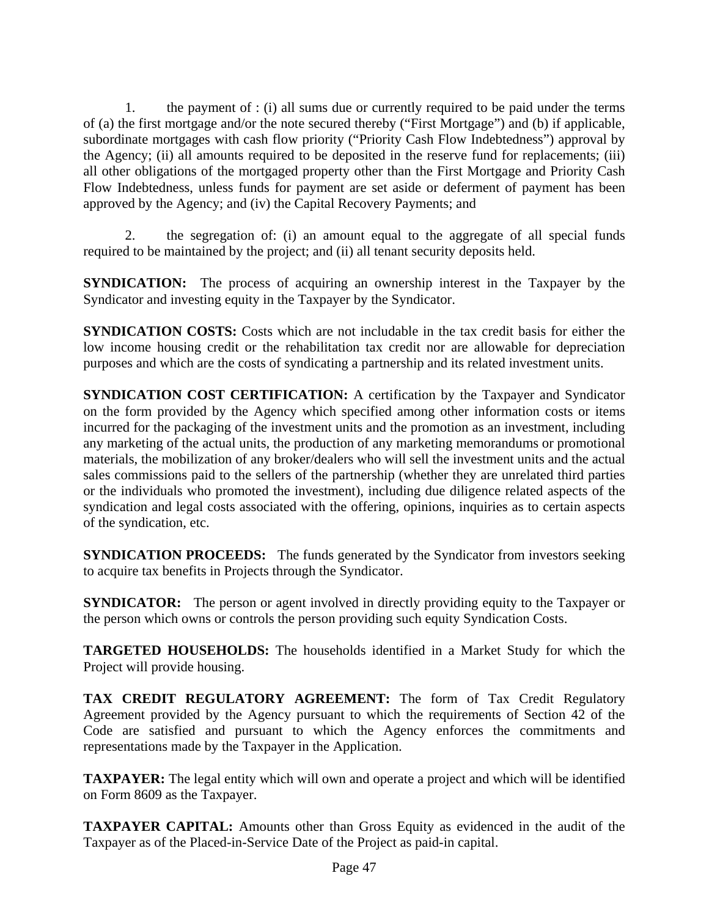1. the payment of : (i) all sums due or currently required to be paid under the terms of (a) the first mortgage and/or the note secured thereby ("First Mortgage") and (b) if applicable, subordinate mortgages with cash flow priority ("Priority Cash Flow Indebtedness") approval by the Agency; (ii) all amounts required to be deposited in the reserve fund for replacements; (iii) all other obligations of the mortgaged property other than the First Mortgage and Priority Cash Flow Indebtedness, unless funds for payment are set aside or deferment of payment has been approved by the Agency; and (iv) the Capital Recovery Payments; and

 2. the segregation of: (i) an amount equal to the aggregate of all special funds required to be maintained by the project; and (ii) all tenant security deposits held.

**SYNDICATION:** The process of acquiring an ownership interest in the Taxpayer by the Syndicator and investing equity in the Taxpayer by the Syndicator.

**SYNDICATION COSTS:** Costs which are not includable in the tax credit basis for either the low income housing credit or the rehabilitation tax credit nor are allowable for depreciation purposes and which are the costs of syndicating a partnership and its related investment units.

**SYNDICATION COST CERTIFICATION:** A certification by the Taxpayer and Syndicator on the form provided by the Agency which specified among other information costs or items incurred for the packaging of the investment units and the promotion as an investment, including any marketing of the actual units, the production of any marketing memorandums or promotional materials, the mobilization of any broker/dealers who will sell the investment units and the actual sales commissions paid to the sellers of the partnership (whether they are unrelated third parties or the individuals who promoted the investment), including due diligence related aspects of the syndication and legal costs associated with the offering, opinions, inquiries as to certain aspects of the syndication, etc.

**SYNDICATION PROCEEDS:** The funds generated by the Syndicator from investors seeking to acquire tax benefits in Projects through the Syndicator.

**SYNDICATOR:** The person or agent involved in directly providing equity to the Taxpayer or the person which owns or controls the person providing such equity Syndication Costs.

**TARGETED HOUSEHOLDS:** The households identified in a Market Study for which the Project will provide housing.

**TAX CREDIT REGULATORY AGREEMENT:** The form of Tax Credit Regulatory Agreement provided by the Agency pursuant to which the requirements of Section 42 of the Code are satisfied and pursuant to which the Agency enforces the commitments and representations made by the Taxpayer in the Application.

**TAXPAYER:** The legal entity which will own and operate a project and which will be identified on Form 8609 as the Taxpayer.

**TAXPAYER CAPITAL:** Amounts other than Gross Equity as evidenced in the audit of the Taxpayer as of the Placed-in-Service Date of the Project as paid-in capital.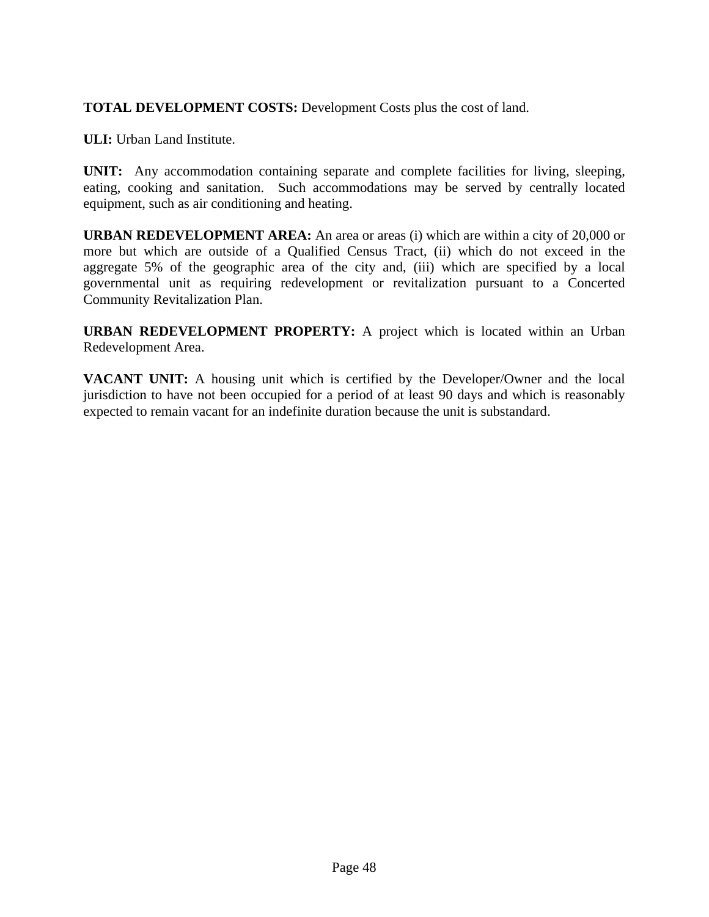# **TOTAL DEVELOPMENT COSTS:** Development Costs plus the cost of land.

**ULI:** Urban Land Institute.

**UNIT:** Any accommodation containing separate and complete facilities for living, sleeping, eating, cooking and sanitation. Such accommodations may be served by centrally located equipment, such as air conditioning and heating.

**URBAN REDEVELOPMENT AREA:** An area or areas (i) which are within a city of 20,000 or more but which are outside of a Qualified Census Tract, (ii) which do not exceed in the aggregate 5% of the geographic area of the city and, (iii) which are specified by a local governmental unit as requiring redevelopment or revitalization pursuant to a Concerted Community Revitalization Plan.

**URBAN REDEVELOPMENT PROPERTY:** A project which is located within an Urban Redevelopment Area.

**VACANT UNIT:** A housing unit which is certified by the Developer/Owner and the local jurisdiction to have not been occupied for a period of at least 90 days and which is reasonably expected to remain vacant for an indefinite duration because the unit is substandard.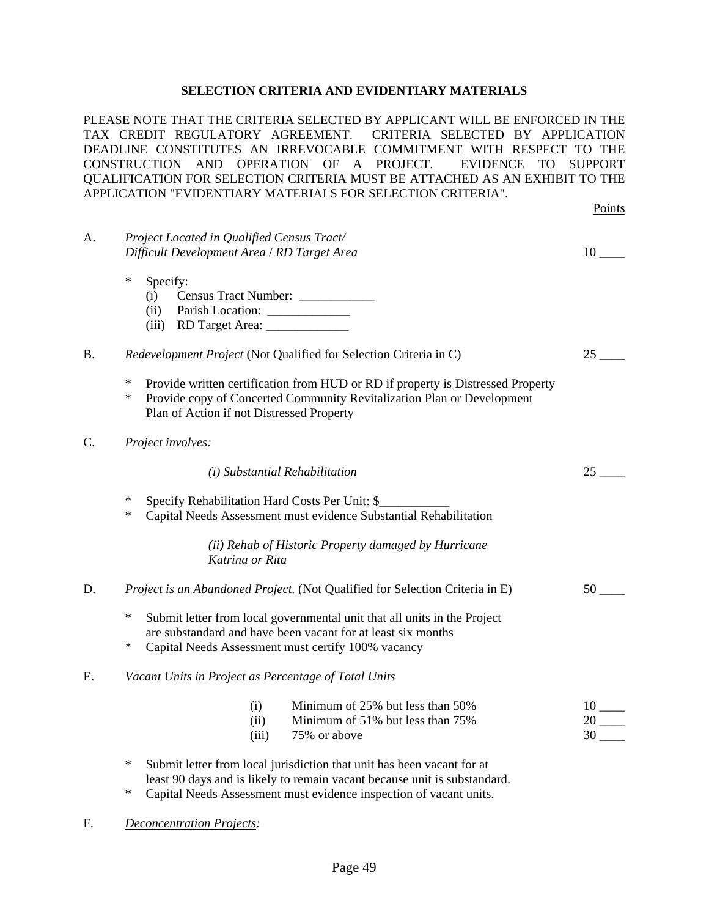### **SELECTION CRITERIA AND EVIDENTIARY MATERIALS**

PLEASE NOTE THAT THE CRITERIA SELECTED BY APPLICANT WILL BE ENFORCED IN THE TAX CREDIT REGULATORY AGREEMENT. CRITERIA SELECTED BY APPLICATION DEADLINE CONSTITUTES AN IRREVOCABLE COMMITMENT WITH RESPECT TO THE CONSTRUCTION AND OPERATION OF A PROJECT. EVIDENCE TO SUPPORT QUALIFICATION FOR SELECTION CRITERIA MUST BE ATTACHED AS AN EXHIBIT TO THE APPLICATION "EVIDENTIARY MATERIALS FOR SELECTION CRITERIA".

|           |                                                                                                                                                                                                                                               | Points                                               |
|-----------|-----------------------------------------------------------------------------------------------------------------------------------------------------------------------------------------------------------------------------------------------|------------------------------------------------------|
| A.        | Project Located in Qualified Census Tract/<br>Difficult Development Area / RD Target Area                                                                                                                                                     | $10$ <sub>---</sub>                                  |
|           | $\ast$<br>Specify:<br>Census Tract Number: ____________<br>(i)<br>(ii)<br>RD Target Area: _______________<br>(iii)                                                                                                                            |                                                      |
| <b>B.</b> | Redevelopment Project (Not Qualified for Selection Criteria in C)                                                                                                                                                                             | 25                                                   |
|           | $\ast$<br>Provide written certification from HUD or RD if property is Distressed Property<br>$\ast$<br>Provide copy of Concerted Community Revitalization Plan or Development<br>Plan of Action if not Distressed Property                    |                                                      |
| C.        | Project involves:                                                                                                                                                                                                                             |                                                      |
|           | (i) Substantial Rehabilitation                                                                                                                                                                                                                | $25$ <sub>---</sub>                                  |
|           | $\ast$<br>Specify Rehabilitation Hard Costs Per Unit: \$<br>$\ast$<br>Capital Needs Assessment must evidence Substantial Rehabilitation                                                                                                       |                                                      |
|           | (ii) Rehab of Historic Property damaged by Hurricane<br>Katrina or Rita                                                                                                                                                                       |                                                      |
| D.        | Project is an Abandoned Project. (Not Qualified for Selection Criteria in E)                                                                                                                                                                  | 50                                                   |
|           | $\ast$<br>Submit letter from local governmental unit that all units in the Project<br>are substandard and have been vacant for at least six months<br>∗<br>Capital Needs Assessment must certify 100% vacancy                                 |                                                      |
| Ε.        | Vacant Units in Project as Percentage of Total Units                                                                                                                                                                                          |                                                      |
|           | Minimum of 25% but less than 50%<br>(i)<br>(ii)<br>Minimum of 51% but less than 75%<br>75% or above<br>(iii)                                                                                                                                  | $10$ <sub>——</sub><br>$20$ <sub>----</sub><br>$30$ — |
|           | $\ast$<br>Submit letter from local jurisdiction that unit has been vacant for at<br>least 90 days and is likely to remain vacant because unit is substandard.<br>$\ast$<br>Capital Needs Assessment must evidence inspection of vacant units. |                                                      |

F. *Deconcentration Projects:*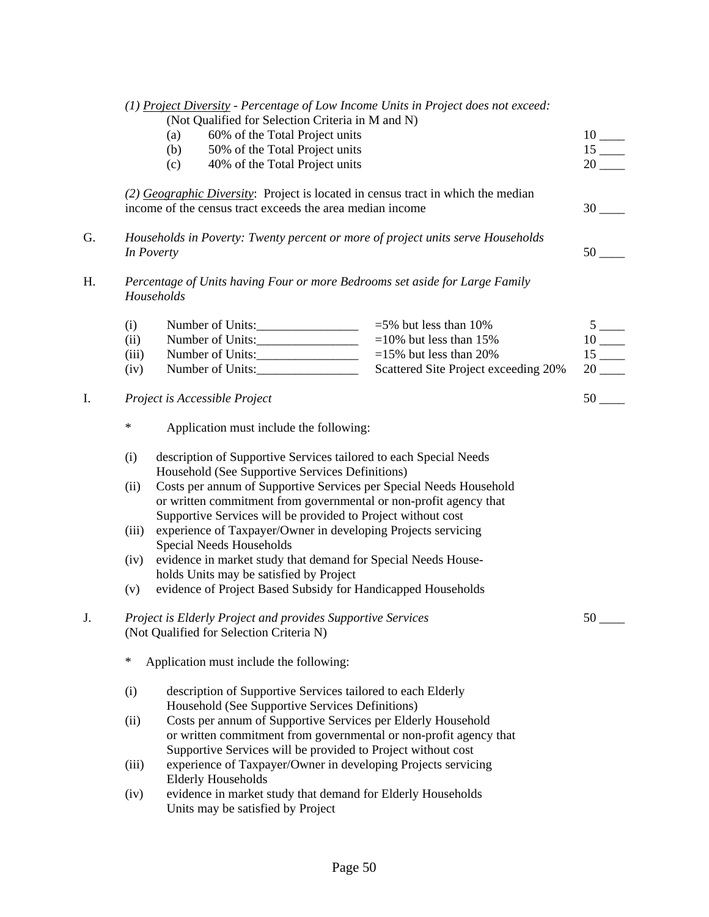|    |        | (1) Project Diversity - Percentage of Low Income Units in Project does not exceed:                                                            |                                      |                              |  |  |  |
|----|--------|-----------------------------------------------------------------------------------------------------------------------------------------------|--------------------------------------|------------------------------|--|--|--|
|    |        | (Not Qualified for Selection Criteria in M and N)                                                                                             |                                      |                              |  |  |  |
|    |        | 60% of the Total Project units<br>(a)                                                                                                         |                                      | $\frac{10}{15}$<br><u>15</u> |  |  |  |
|    |        | 50% of the Total Project units<br>(b)                                                                                                         |                                      |                              |  |  |  |
|    |        | 40% of the Total Project units<br>(c)                                                                                                         |                                      |                              |  |  |  |
|    |        | (2) Geographic Diversity: Project is located in census tract in which the median<br>income of the census tract exceeds the area median income |                                      |                              |  |  |  |
|    |        |                                                                                                                                               |                                      | $30$ —                       |  |  |  |
| G. |        | Households in Poverty: Twenty percent or more of project units serve Households<br>In Poverty                                                 |                                      | 50                           |  |  |  |
| H. |        | Percentage of Units having Four or more Bedrooms set aside for Large Family<br>Households                                                     |                                      |                              |  |  |  |
|    | (i)    | Number of Units:                                                                                                                              | $=$ 5% but less than 10%             |                              |  |  |  |
|    | (ii)   |                                                                                                                                               | $=10\%$ but less than 15%            | $\frac{5}{10}$               |  |  |  |
|    | (iii)  | Number of Units:                                                                                                                              | $=15\%$ but less than 20%            | $15$ <sub>---</sub>          |  |  |  |
|    | (iv)   | Number of Units:                                                                                                                              | Scattered Site Project exceeding 20% | $20$ <sub>---</sub>          |  |  |  |
| I. |        | Project is Accessible Project                                                                                                                 |                                      | $50$ <sub>---</sub>          |  |  |  |
|    | $\ast$ | Application must include the following:                                                                                                       |                                      |                              |  |  |  |
|    | (i)    | description of Supportive Services tailored to each Special Needs                                                                             |                                      |                              |  |  |  |
|    |        | Household (See Supportive Services Definitions)                                                                                               |                                      |                              |  |  |  |
|    |        | Costs per annum of Supportive Services per Special Needs Household<br>(ii)                                                                    |                                      |                              |  |  |  |
|    |        | or written commitment from governmental or non-profit agency that                                                                             |                                      |                              |  |  |  |
|    |        | Supportive Services will be provided to Project without cost                                                                                  |                                      |                              |  |  |  |
|    | (iii)  | experience of Taxpayer/Owner in developing Projects servicing                                                                                 |                                      |                              |  |  |  |
|    |        | Special Needs Households                                                                                                                      |                                      |                              |  |  |  |
|    | (iv)   | evidence in market study that demand for Special Needs House-                                                                                 |                                      |                              |  |  |  |
|    |        | holds Units may be satisfied by Project                                                                                                       |                                      |                              |  |  |  |
|    | (v)    | evidence of Project Based Subsidy for Handicapped Households                                                                                  |                                      |                              |  |  |  |
| J. |        | Project is Elderly Project and provides Supportive Services<br>(Not Qualified for Selection Criteria N)                                       |                                      | $50-$                        |  |  |  |
|    | $\ast$ | Application must include the following:                                                                                                       |                                      |                              |  |  |  |
|    | (i)    | description of Supportive Services tailored to each Elderly                                                                                   |                                      |                              |  |  |  |
|    |        | Household (See Supportive Services Definitions)                                                                                               |                                      |                              |  |  |  |
|    | (ii)   | Costs per annum of Supportive Services per Elderly Household                                                                                  |                                      |                              |  |  |  |
|    |        | or written commitment from governmental or non-profit agency that                                                                             |                                      |                              |  |  |  |
|    |        | Supportive Services will be provided to Project without cost                                                                                  |                                      |                              |  |  |  |
|    | (iii)  | experience of Taxpayer/Owner in developing Projects servicing                                                                                 |                                      |                              |  |  |  |
|    |        | <b>Elderly Households</b>                                                                                                                     |                                      |                              |  |  |  |
|    | (iv)   | evidence in market study that demand for Elderly Households                                                                                   |                                      |                              |  |  |  |
|    |        | Units may be satisfied by Project                                                                                                             |                                      |                              |  |  |  |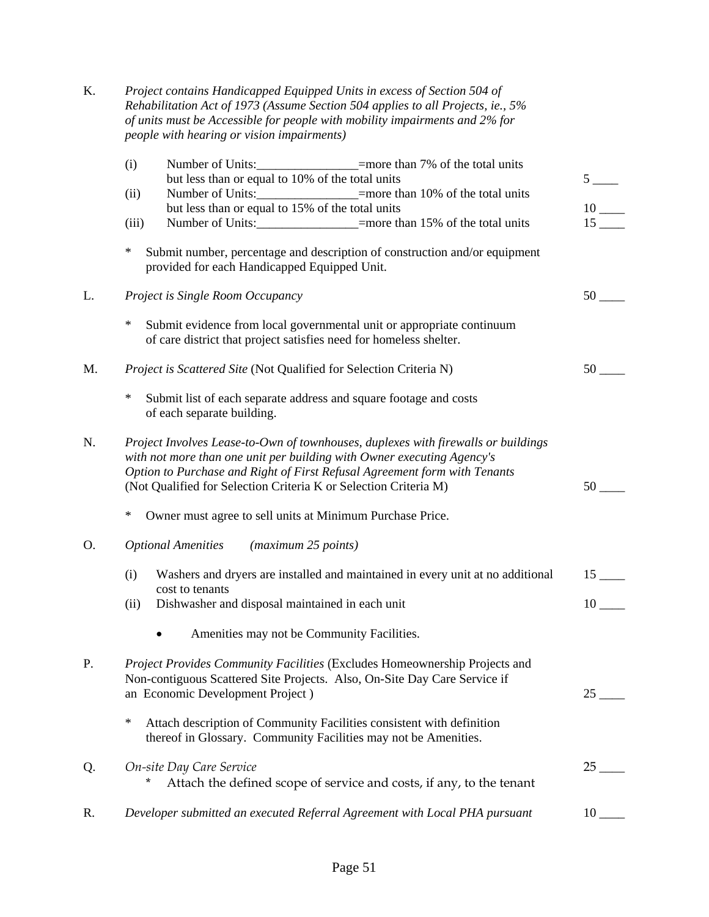| Κ. | Project contains Handicapped Equipped Units in excess of Section 504 of<br>Rehabilitation Act of 1973 (Assume Section 504 applies to all Projects, ie., 5%<br>of units must be Accessible for people with mobility impairments and 2% for<br>people with hearing or vision impairments)                      |                      |
|----|--------------------------------------------------------------------------------------------------------------------------------------------------------------------------------------------------------------------------------------------------------------------------------------------------------------|----------------------|
|    | Number of Units:_________________=more than 7% of the total units<br>(i)<br>but less than or equal to 10% of the total units                                                                                                                                                                                 | 5 <sup>5</sup>       |
|    | Number of Units: _________________=more than 10% of the total units<br>(ii)<br>but less than or equal to 15% of the total units<br>Number of Units: ____________________=more than 15% of the total units<br>(iii)                                                                                           | 10<br>15             |
|    | ∗<br>Submit number, percentage and description of construction and/or equipment<br>provided for each Handicapped Equipped Unit.                                                                                                                                                                              |                      |
| L. | Project is Single Room Occupancy                                                                                                                                                                                                                                                                             |                      |
|    | $\ast$<br>Submit evidence from local governmental unit or appropriate continuum<br>of care district that project satisfies need for homeless shelter.                                                                                                                                                        |                      |
| M. | Project is Scattered Site (Not Qualified for Selection Criteria N)                                                                                                                                                                                                                                           | 50                   |
|    | ∗<br>Submit list of each separate address and square footage and costs<br>of each separate building.                                                                                                                                                                                                         |                      |
| N. | Project Involves Lease-to-Own of townhouses, duplexes with firewalls or buildings<br>with not more than one unit per building with Owner executing Agency's<br>Option to Purchase and Right of First Refusal Agreement form with Tenants<br>(Not Qualified for Selection Criteria K or Selection Criteria M) | 50                   |
|    | $\ast$<br>Owner must agree to sell units at Minimum Purchase Price.                                                                                                                                                                                                                                          |                      |
| O. | <b>Optional Amenities</b><br>(maximum 25 points)                                                                                                                                                                                                                                                             |                      |
|    | (i)<br>Washers and dryers are installed and maintained in every unit at no additional<br>cost to tenants                                                                                                                                                                                                     | $15$ <sub>____</sub> |
|    | Dishwasher and disposal maintained in each unit<br>(ii)                                                                                                                                                                                                                                                      | $10-$                |
|    | Amenities may not be Community Facilities.                                                                                                                                                                                                                                                                   |                      |
| P. | Project Provides Community Facilities (Excludes Homeownership Projects and<br>Non-contiguous Scattered Site Projects. Also, On-Site Day Care Service if<br>an Economic Development Project)                                                                                                                  | 25                   |
|    | $\ast$<br>Attach description of Community Facilities consistent with definition<br>thereof in Glossary. Community Facilities may not be Amenities.                                                                                                                                                           |                      |
| Q. | On-site Day Care Service<br>*<br>Attach the defined scope of service and costs, if any, to the tenant                                                                                                                                                                                                        | 25                   |
| R. | Developer submitted an executed Referral Agreement with Local PHA pursuant                                                                                                                                                                                                                                   | 10                   |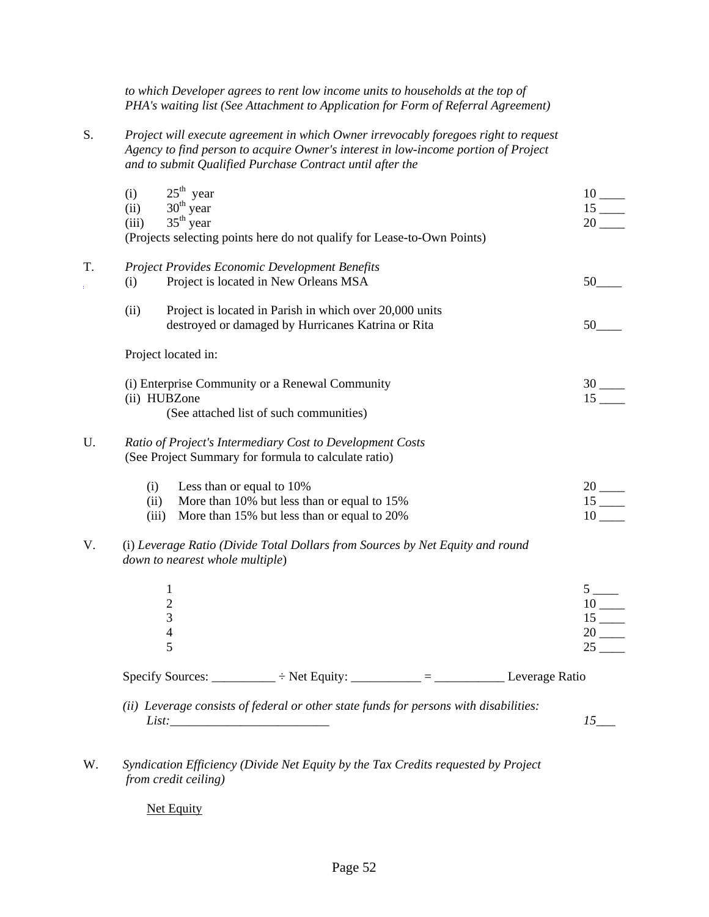*to which Developer agrees to rent low income units to households at the top of PHA's waiting list (See Attachment to Application for Form of Referral Agreement)*

S. *Project will execute agreement in which Owner irrevocably foregoes right to request Agency to find person to acquire Owner's interest in low-income portion of Project and to submit Qualified Purchase Contract until after the* 

|    | (i)<br>(ii)<br>(iii) | $25^{th}$ year<br>$30^{th}$ year<br>$35^{th}$ year         | (Projects selecting points here do not qualify for Lease-to-Own Points)                                           |  | $10$ <sub>----</sub><br>15                                                                                                                                                                                                                                                                                                                |
|----|----------------------|------------------------------------------------------------|-------------------------------------------------------------------------------------------------------------------|--|-------------------------------------------------------------------------------------------------------------------------------------------------------------------------------------------------------------------------------------------------------------------------------------------------------------------------------------------|
| T. | (i)                  |                                                            | Project Provides Economic Development Benefits<br>Project is located in New Orleans MSA                           |  | 50                                                                                                                                                                                                                                                                                                                                        |
|    | (ii)                 |                                                            | Project is located in Parish in which over 20,000 units<br>destroyed or damaged by Hurricanes Katrina or Rita     |  | 50                                                                                                                                                                                                                                                                                                                                        |
|    |                      | Project located in:                                        |                                                                                                                   |  |                                                                                                                                                                                                                                                                                                                                           |
|    | (ii) HUBZone         |                                                            | (i) Enterprise Community or a Renewal Community<br>(See attached list of such communities)                        |  | $15-$                                                                                                                                                                                                                                                                                                                                     |
| U. |                      |                                                            | Ratio of Project's Intermediary Cost to Development Costs<br>(See Project Summary for formula to calculate ratio) |  |                                                                                                                                                                                                                                                                                                                                           |
|    | (i)<br>(ii)<br>(iii) | Less than or equal to 10%                                  | More than 10% but less than or equal to 15%<br>More than 15% but less than or equal to 20%                        |  | $20$ $\qquad$<br>$15$ <sub>---</sub><br>$10$ <sub>----</sub>                                                                                                                                                                                                                                                                              |
| V. |                      | down to nearest whole multiple)                            | (i) Leverage Ratio (Divide Total Dollars from Sources by Net Equity and round                                     |  |                                                                                                                                                                                                                                                                                                                                           |
|    |                      | $\mathbf{1}$<br>$\overline{2}$<br>3<br>$\overline{4}$<br>5 |                                                                                                                   |  | $\frac{5}{10}$ $\frac{1}{15}$ $\frac{1}{15}$ $\frac{1}{15}$ $\frac{1}{15}$ $\frac{1}{15}$ $\frac{1}{15}$ $\frac{1}{15}$ $\frac{1}{15}$ $\frac{1}{15}$ $\frac{1}{15}$ $\frac{1}{15}$ $\frac{1}{15}$ $\frac{1}{15}$ $\frac{1}{15}$ $\frac{1}{15}$ $\frac{1}{15}$ $\frac{1}{15}$ $\frac{1}{15}$ $\frac{1}{15}$<br>$20$ <sub>----</sub><br>25 |
|    |                      |                                                            | Specify Sources: __________ ÷ Net Equity: _________ = ____________ Leverage Ratio                                 |  |                                                                                                                                                                                                                                                                                                                                           |
|    | List:                |                                                            | (ii) Leverage consists of federal or other state funds for persons with disabilities:                             |  | 15                                                                                                                                                                                                                                                                                                                                        |

W. *Syndication Efficiency (Divide Net Equity by the Tax Credits requested by Project from credit ceiling)* 

Net Equity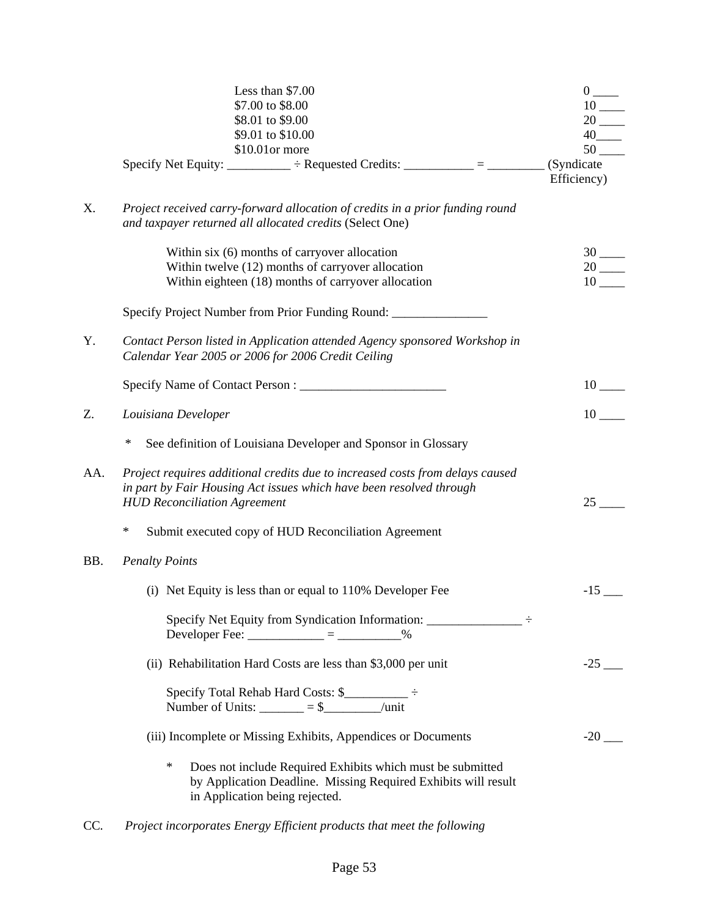|     | Less than \$7.00<br>\$7.00 to \$8.00<br>\$8.01 to \$9.00<br>\$9.01 to \$10.00<br>\$10.01or more                                                                                             | $0 \underline{\hspace{1cm}}$<br>$10$ <sub>---</sub><br>$20$ —<br>$40$ <sub>____</sub><br>$50$ <sub>----</sub> |
|-----|---------------------------------------------------------------------------------------------------------------------------------------------------------------------------------------------|---------------------------------------------------------------------------------------------------------------|
|     | Specify Net Equity: __________ ÷ Requested Credits: _________ = __________                                                                                                                  | (Syndicate<br>Efficiency)                                                                                     |
| X.  | Project received carry-forward allocation of credits in a prior funding round<br>and taxpayer returned all allocated credits (Select One)                                                   |                                                                                                               |
|     | Within six (6) months of carryover allocation<br>Within twelve (12) months of carryover allocation<br>Within eighteen (18) months of carryover allocation                                   | $30$ —<br>$10$ <sub>—</sub>                                                                                   |
|     | Specify Project Number from Prior Funding Round: _______________________________                                                                                                            |                                                                                                               |
| Y.  | Contact Person listed in Application attended Agency sponsored Workshop in<br>Calendar Year 2005 or 2006 for 2006 Credit Ceiling                                                            |                                                                                                               |
|     |                                                                                                                                                                                             | $10$ <sub>---</sub>                                                                                           |
| Z.  | Louisiana Developer                                                                                                                                                                         | 10                                                                                                            |
|     | $\ast$<br>See definition of Louisiana Developer and Sponsor in Glossary                                                                                                                     |                                                                                                               |
| AA. | Project requires additional credits due to increased costs from delays caused<br>in part by Fair Housing Act issues which have been resolved through<br><b>HUD Reconciliation Agreement</b> | 25                                                                                                            |
|     | $\ast$<br>Submit executed copy of HUD Reconciliation Agreement                                                                                                                              |                                                                                                               |
| BB. | <b>Penalty Points</b>                                                                                                                                                                       |                                                                                                               |
|     | (i) Net Equity is less than or equal to 110% Developer Fee                                                                                                                                  | $-15$                                                                                                         |
|     | Specify Net Equity from Syndication Information: $\frac{1}{1}$<br>Developer Fee: ____________ = __________ %                                                                                |                                                                                                               |
|     | (ii) Rehabilitation Hard Costs are less than \$3,000 per unit                                                                                                                               | $-25$ —                                                                                                       |
|     | Specify Total Rehab Hard Costs: \$<br>Number of Units: $\_\_\_\_\_\_\_\_\_\_\_\_\_\_$ = \$ $\_\_\_\_\_\_\_\_\_\_\_\_\_\_$                                                                   |                                                                                                               |
|     | (iii) Incomplete or Missing Exhibits, Appendices or Documents                                                                                                                               | $-20$ —                                                                                                       |
|     | ∗<br>Does not include Required Exhibits which must be submitted<br>by Application Deadline. Missing Required Exhibits will result<br>in Application being rejected.                         |                                                                                                               |

CC*. Project incorporates Energy Efficient products that meet the following*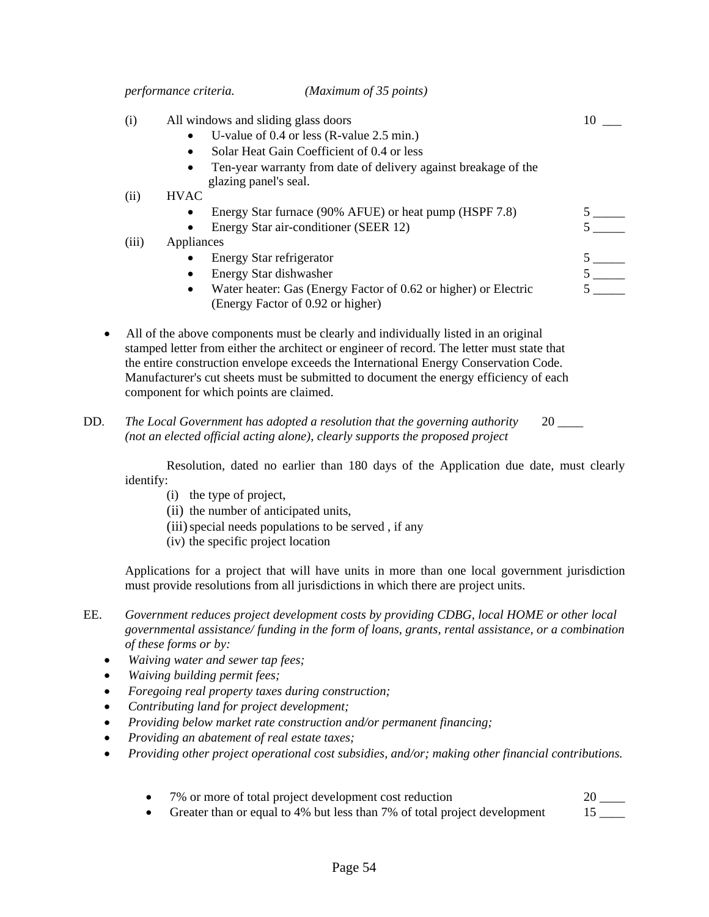*performance criteria. (Maximum of 35 points)* 

|                     | (i)  | All windows and sliding glass doors     |                                                                                                                                                                                                                                                                                                                                                                   | 10                           |
|---------------------|------|-----------------------------------------|-------------------------------------------------------------------------------------------------------------------------------------------------------------------------------------------------------------------------------------------------------------------------------------------------------------------------------------------------------------------|------------------------------|
|                     |      |                                         | U-value of 0.4 or less (R-value 2.5 min.)                                                                                                                                                                                                                                                                                                                         |                              |
|                     |      | $\bullet$                               | Solar Heat Gain Coefficient of 0.4 or less                                                                                                                                                                                                                                                                                                                        |                              |
|                     |      | $\bullet$                               | Ten-year warranty from date of delivery against breakage of the                                                                                                                                                                                                                                                                                                   |                              |
|                     |      | glazing panel's seal.                   |                                                                                                                                                                                                                                                                                                                                                                   |                              |
|                     | (ii) | <b>HVAC</b>                             |                                                                                                                                                                                                                                                                                                                                                                   |                              |
|                     |      |                                         | Energy Star furnace (90% AFUE) or heat pump (HSPF 7.8)                                                                                                                                                                                                                                                                                                            |                              |
|                     |      |                                         | Energy Star air-conditioner (SEER 12)                                                                                                                                                                                                                                                                                                                             |                              |
| (iii)<br>Appliances |      |                                         |                                                                                                                                                                                                                                                                                                                                                                   |                              |
|                     |      | Energy Star refrigerator                |                                                                                                                                                                                                                                                                                                                                                                   |                              |
|                     |      | Energy Star dishwasher                  |                                                                                                                                                                                                                                                                                                                                                                   | $5 \underline{\hspace{1cm}}$ |
|                     |      | $\bullet$                               | Water heater: Gas (Energy Factor of 0.62 or higher) or Electric<br>(Energy Factor of 0.92 or higher)                                                                                                                                                                                                                                                              |                              |
|                     |      | component for which points are claimed. | All of the above components must be clearly and individually listed in an original<br>stamped letter from either the architect or engineer of record. The letter must state that<br>the entire construction envelope exceeds the International Energy Conservation Code.<br>Manufacturer's cut sheets must be submitted to document the energy efficiency of each |                              |

DD. The Local Government has adopted a resolution that the governing authority 20 *(not an elected official acting alone), clearly supports the proposed project* 

 Resolution, dated no earlier than 180 days of the Application due date, must clearly identify:

- (i) the type of project,
- (ii) the number of anticipated units,
- (iii) special needs populations to be served, if any
- (iv) the specific project location

Applications for a project that will have units in more than one local government jurisdiction must provide resolutions from all jurisdictions in which there are project units.

- EE. *Government reduces project development costs by providing CDBG, local HOME or other local governmental assistance/ funding in the form of loans, grants, rental assistance, or a combination of these forms or by:* 
	- *Waiving water and sewer tap fees;*
	- *Waiving building permit fees;*
	- *Foregoing real property taxes during construction;*
	- *Contributing land for project development;*
	- *Providing below market rate construction and/or permanent financing;*
	- *Providing an abatement of real estate taxes;*
	- *Providing other project operational cost subsidies, and/or; making other financial contributions.*
		- 7% or more of total project development cost reduction 20  $\qquad$
		- Greater than or equal to 4% but less than 7% of total project development 15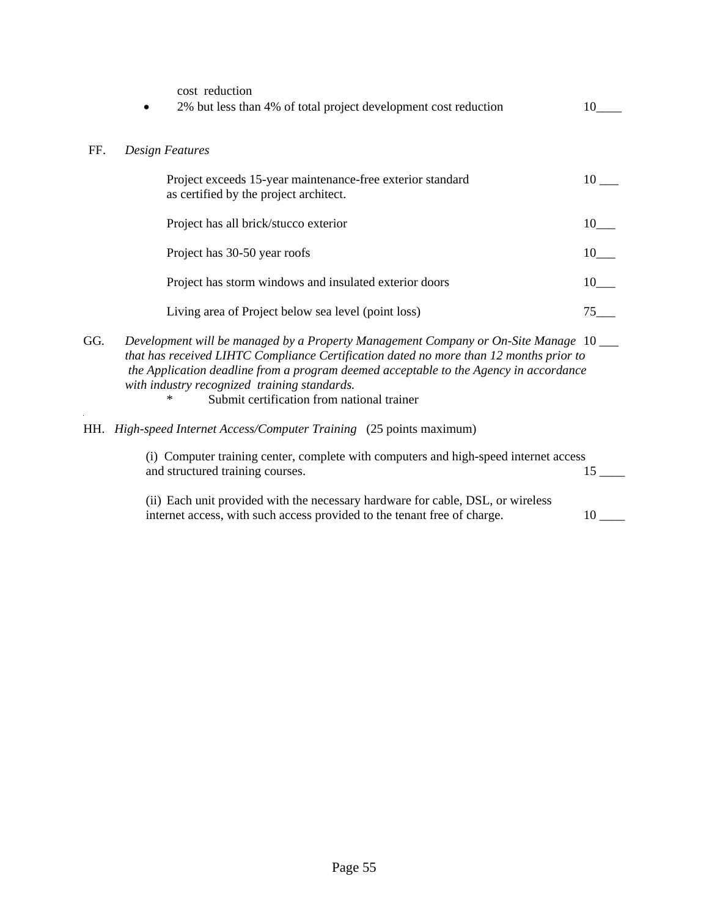|     | cost reduction<br>2% but less than 4% of total project development cost reduction                                                                                                                                                                                                                                                                                            | 10                 |
|-----|------------------------------------------------------------------------------------------------------------------------------------------------------------------------------------------------------------------------------------------------------------------------------------------------------------------------------------------------------------------------------|--------------------|
| FF. | <b>Design Features</b>                                                                                                                                                                                                                                                                                                                                                       |                    |
|     | Project exceeds 15-year maintenance-free exterior standard<br>as certified by the project architect.                                                                                                                                                                                                                                                                         | 10                 |
|     | Project has all brick/stucco exterior                                                                                                                                                                                                                                                                                                                                        | 10                 |
|     | Project has 30-50 year roofs                                                                                                                                                                                                                                                                                                                                                 | $10$ <sub>—</sub>  |
|     | Project has storm windows and insulated exterior doors                                                                                                                                                                                                                                                                                                                       | $10$ <sub>——</sub> |
|     | Living area of Project below sea level (point loss)                                                                                                                                                                                                                                                                                                                          | 75                 |
| GG. | Development will be managed by a Property Management Company or On-Site Manage 10<br>that has received LIHTC Compliance Certification dated no more than 12 months prior to<br>the Application deadline from a program deemed acceptable to the Agency in accordance<br>with industry recognized training standards.<br>Submit certification from national trainer<br>$\ast$ |                    |
| HH. | High-speed Internet Access/Computer Training (25 points maximum)                                                                                                                                                                                                                                                                                                             |                    |
|     | (i) Computer training center, complete with computers and high-speed internet access<br>and structured training courses.                                                                                                                                                                                                                                                     | 15                 |
|     | (ii) Each unit provided with the necessary hardware for cable, DSL, or wireless<br>internet access, with such access provided to the tenant free of charge.                                                                                                                                                                                                                  | 10                 |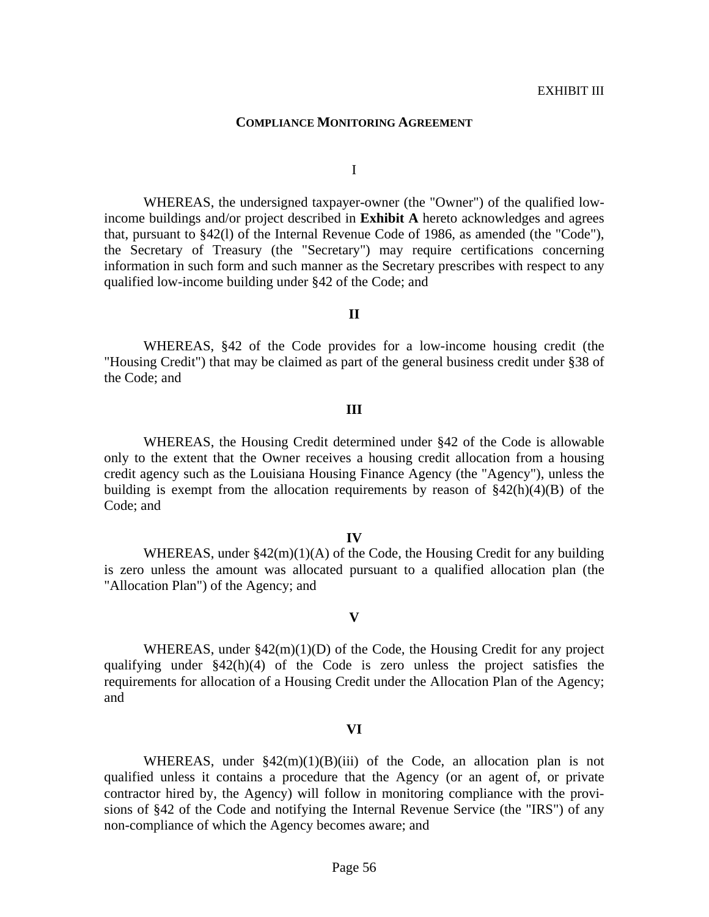#### **COMPLIANCE MONITORING AGREEMENT**

I

 WHEREAS, the undersigned taxpayer-owner (the "Owner") of the qualified lowincome buildings and/or project described in **Exhibit A** hereto acknowledges and agrees that, pursuant to §42(l) of the Internal Revenue Code of 1986, as amended (the "Code"), the Secretary of Treasury (the "Secretary") may require certifications concerning information in such form and such manner as the Secretary prescribes with respect to any qualified low-income building under §42 of the Code; and

#### **II**

 WHEREAS, §42 of the Code provides for a low-income housing credit (the "Housing Credit") that may be claimed as part of the general business credit under §38 of the Code; and

#### **III**

 WHEREAS, the Housing Credit determined under §42 of the Code is allowable only to the extent that the Owner receives a housing credit allocation from a housing credit agency such as the Louisiana Housing Finance Agency (the "Agency"), unless the building is exempt from the allocation requirements by reason of  $\frac{242(h)(4)(B)}{B}$  of the Code; and

#### **IV**

 WHEREAS, under §42(m)(1)(A) of the Code, the Housing Credit for any building is zero unless the amount was allocated pursuant to a qualified allocation plan (the "Allocation Plan") of the Agency; and

#### **V**

WHEREAS, under  $\frac{242(m)(1)(D)}{D}$  of the Code, the Housing Credit for any project qualifying under §42(h)(4) of the Code is zero unless the project satisfies the requirements for allocation of a Housing Credit under the Allocation Plan of the Agency; and

### **VI**

WHEREAS, under  $\frac{2(2(m)(1)(B)(iii)}{2}$  of the Code, an allocation plan is not qualified unless it contains a procedure that the Agency (or an agent of, or private contractor hired by, the Agency) will follow in monitoring compliance with the provisions of §42 of the Code and notifying the Internal Revenue Service (the "IRS") of any non-compliance of which the Agency becomes aware; and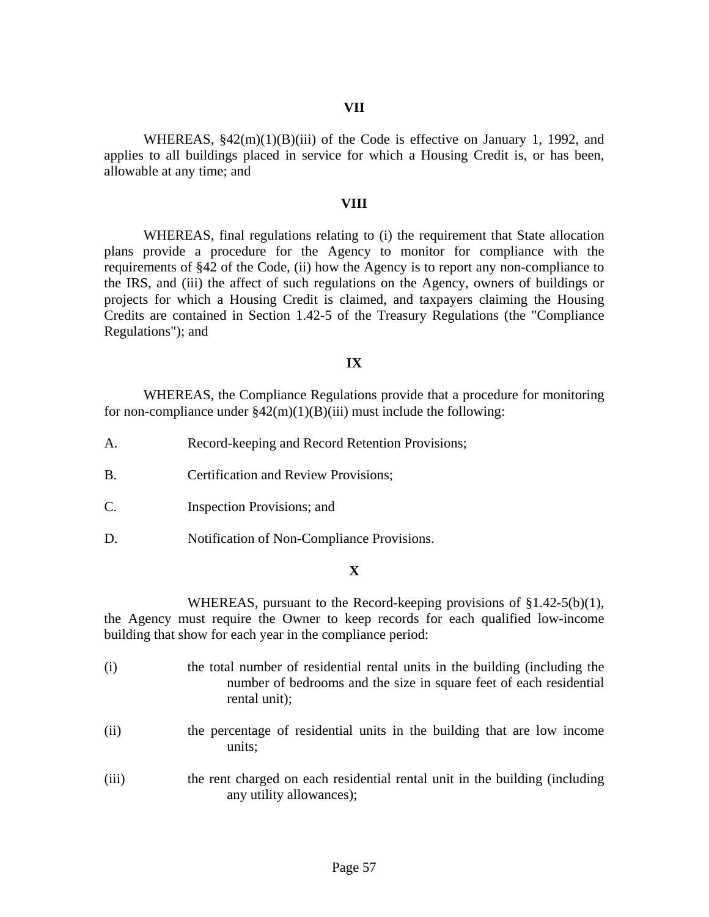WHEREAS,  $$42(m)(1)(B)(iii)$  of the Code is effective on January 1, 1992, and applies to all buildings placed in service for which a Housing Credit is, or has been, allowable at any time; and

#### **VIII**

 WHEREAS, final regulations relating to (i) the requirement that State allocation plans provide a procedure for the Agency to monitor for compliance with the requirements of §42 of the Code, (ii) how the Agency is to report any non-compliance to the IRS, and (iii) the affect of such regulations on the Agency, owners of buildings or projects for which a Housing Credit is claimed, and taxpayers claiming the Housing Credits are contained in Section 1.42-5 of the Treasury Regulations (the "Compliance Regulations"); and

### **IX**

 WHEREAS, the Compliance Regulations provide that a procedure for monitoring for non-compliance under  $\frac{242(m)(1)(B)(iii)}{3}$  must include the following:

- A. Record-keeping and Record Retention Provisions;
- B. Certification and Review Provisions;
- C. Inspection Provisions; and
- D. Notification of Non-Compliance Provisions.

### **X**

 WHEREAS, pursuant to the Record-keeping provisions of §1.42-5(b)(1), the Agency must require the Owner to keep records for each qualified low-income building that show for each year in the compliance period:

- (i) the total number of residential rental units in the building (including the number of bedrooms and the size in square feet of each residential rental unit);
- (ii) the percentage of residential units in the building that are low income units;
- (iii) the rent charged on each residential rental unit in the building (including any utility allowances);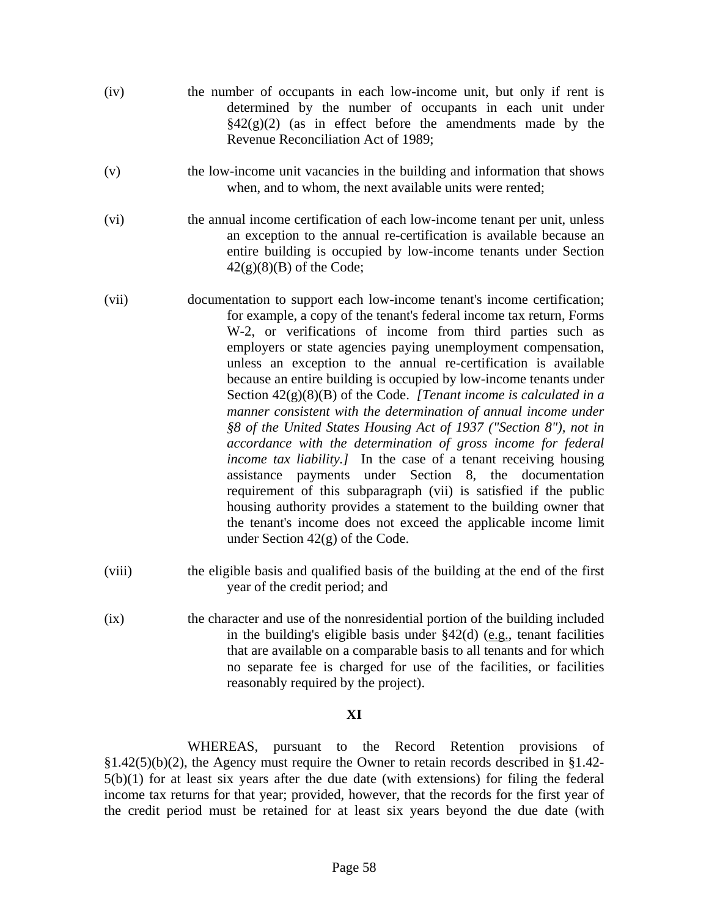- (iv) the number of occupants in each low-income unit, but only if rent is determined by the number of occupants in each unit under  $\S42(g)(2)$  (as in effect before the amendments made by the Revenue Reconciliation Act of 1989;
- (v) the low-income unit vacancies in the building and information that shows when, and to whom, the next available units were rented;
- (vi) the annual income certification of each low-income tenant per unit, unless an exception to the annual re-certification is available because an entire building is occupied by low-income tenants under Section  $42(g)(8)(B)$  of the Code;
- (vii) documentation to support each low-income tenant's income certification; for example, a copy of the tenant's federal income tax return, Forms W-2, or verifications of income from third parties such as employers or state agencies paying unemployment compensation, unless an exception to the annual re-certification is available because an entire building is occupied by low-income tenants under Section 42(g)(8)(B) of the Code. *[Tenant income is calculated in a manner consistent with the determination of annual income under §8 of the United States Housing Act of 1937 ("Section 8"), not in accordance with the determination of gross income for federal income tax liability.]* In the case of a tenant receiving housing assistance payments under Section 8, the documentation requirement of this subparagraph (vii) is satisfied if the public housing authority provides a statement to the building owner that the tenant's income does not exceed the applicable income limit under Section 42(g) of the Code.
- (viii) the eligible basis and qualified basis of the building at the end of the first year of the credit period; and
- (ix) the character and use of the nonresidential portion of the building included in the building's eligible basis under §42(d) (e.g., tenant facilities that are available on a comparable basis to all tenants and for which no separate fee is charged for use of the facilities, or facilities reasonably required by the project).

## **XI**

 WHEREAS, pursuant to the Record Retention provisions of §1.42(5)(b)(2), the Agency must require the Owner to retain records described in §1.42- 5(b)(1) for at least six years after the due date (with extensions) for filing the federal income tax returns for that year; provided, however, that the records for the first year of the credit period must be retained for at least six years beyond the due date (with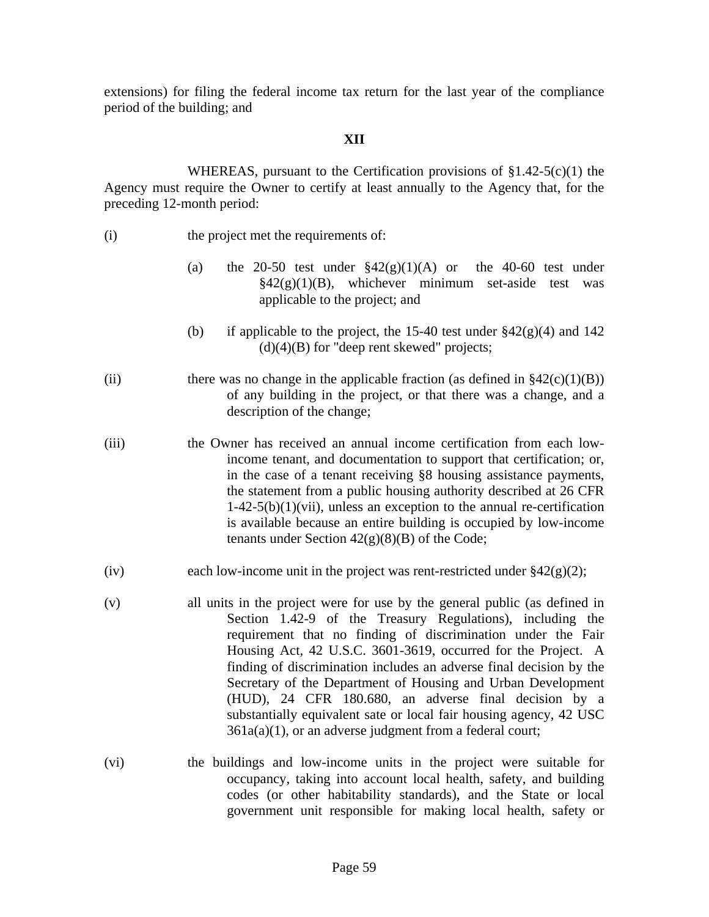extensions) for filing the federal income tax return for the last year of the compliance period of the building; and

### **XII**

WHEREAS, pursuant to the Certification provisions of  $\S1.42-5(c)(1)$  the Agency must require the Owner to certify at least annually to the Agency that, for the preceding 12-month period:

- (i) the project met the requirements of:
	- (a) the 20-50 test under  $\frac{242(g)(1)(A)}{A}$  or the 40-60 test under  $§42(g)(1)(B)$ , whichever minimum set-aside test was applicable to the project; and
	- (b) if applicable to the project, the 15-40 test under  $\S 42(g)(4)$  and 142  $(d)(4)(B)$  for "deep rent skewed" projects;
- (ii) there was no change in the applicable fraction (as defined in  $\S42(c)(1)(B)$ ) of any building in the project, or that there was a change, and a description of the change;
- (iii) the Owner has received an annual income certification from each lowincome tenant, and documentation to support that certification; or, in the case of a tenant receiving §8 housing assistance payments, the statement from a public housing authority described at 26 CFR  $1-42-5(b)(1)(vii)$ , unless an exception to the annual re-certification is available because an entire building is occupied by low-income tenants under Section  $42(g)(8)(B)$  of the Code;
- (iv) each low-income unit in the project was rent-restricted under  $\frac{842(g)(2)}{2}$ ;
- (v) all units in the project were for use by the general public (as defined in Section 1.42-9 of the Treasury Regulations), including the requirement that no finding of discrimination under the Fair Housing Act, 42 U.S.C. 3601-3619, occurred for the Project. A finding of discrimination includes an adverse final decision by the Secretary of the Department of Housing and Urban Development (HUD), 24 CFR 180.680, an adverse final decision by a substantially equivalent sate or local fair housing agency, 42 USC  $361a(a)(1)$ , or an adverse judgment from a federal court;
- (vi) the buildings and low-income units in the project were suitable for occupancy, taking into account local health, safety, and building codes (or other habitability standards), and the State or local government unit responsible for making local health, safety or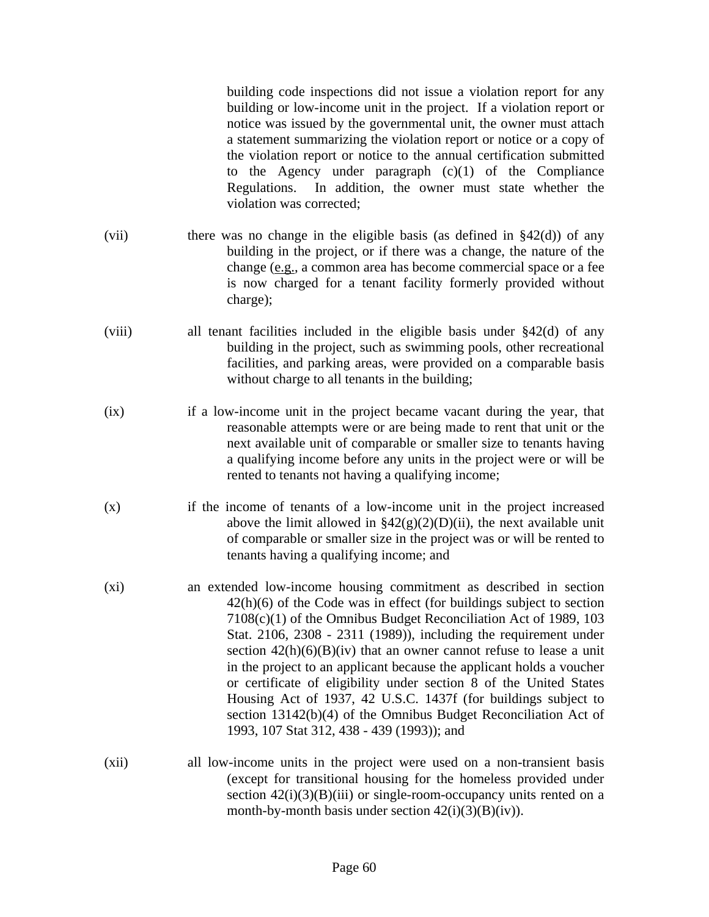building code inspections did not issue a violation report for any building or low-income unit in the project. If a violation report or notice was issued by the governmental unit, the owner must attach a statement summarizing the violation report or notice or a copy of the violation report or notice to the annual certification submitted to the Agency under paragraph (c)(1) of the Compliance Regulations. In addition, the owner must state whether the violation was corrected;

- (vii) there was no change in the eligible basis (as defined in  $\S 42(d)$ ) of any building in the project, or if there was a change, the nature of the change (e.g., a common area has become commercial space or a fee is now charged for a tenant facility formerly provided without charge);
- (viii) all tenant facilities included in the eligible basis under §42(d) of any building in the project, such as swimming pools, other recreational facilities, and parking areas, were provided on a comparable basis without charge to all tenants in the building;
- (ix) if a low-income unit in the project became vacant during the year, that reasonable attempts were or are being made to rent that unit or the next available unit of comparable or smaller size to tenants having a qualifying income before any units in the project were or will be rented to tenants not having a qualifying income;
- (x) if the income of tenants of a low-income unit in the project increased above the limit allowed in  $\frac{242(g)(2)(D)(ii)}{2h}$ , the next available unit of comparable or smaller size in the project was or will be rented to tenants having a qualifying income; and
- (xi) an extended low-income housing commitment as described in section 42(h)(6) of the Code was in effect (for buildings subject to section 7108(c)(1) of the Omnibus Budget Reconciliation Act of 1989, 103 Stat. 2106, 2308 - 2311 (1989)), including the requirement under section  $42(h)(6)(B)(iv)$  that an owner cannot refuse to lease a unit in the project to an applicant because the applicant holds a voucher or certificate of eligibility under section 8 of the United States Housing Act of 1937, 42 U.S.C. 1437f (for buildings subject to section 13142(b)(4) of the Omnibus Budget Reconciliation Act of 1993, 107 Stat 312, 438 - 439 (1993)); and
- (xii) all low-income units in the project were used on a non-transient basis (except for transitional housing for the homeless provided under section  $42(i)(3)(B(iii)$  or single-room-occupancy units rented on a month-by-month basis under section  $42(i)(3)(B)(iv)$ .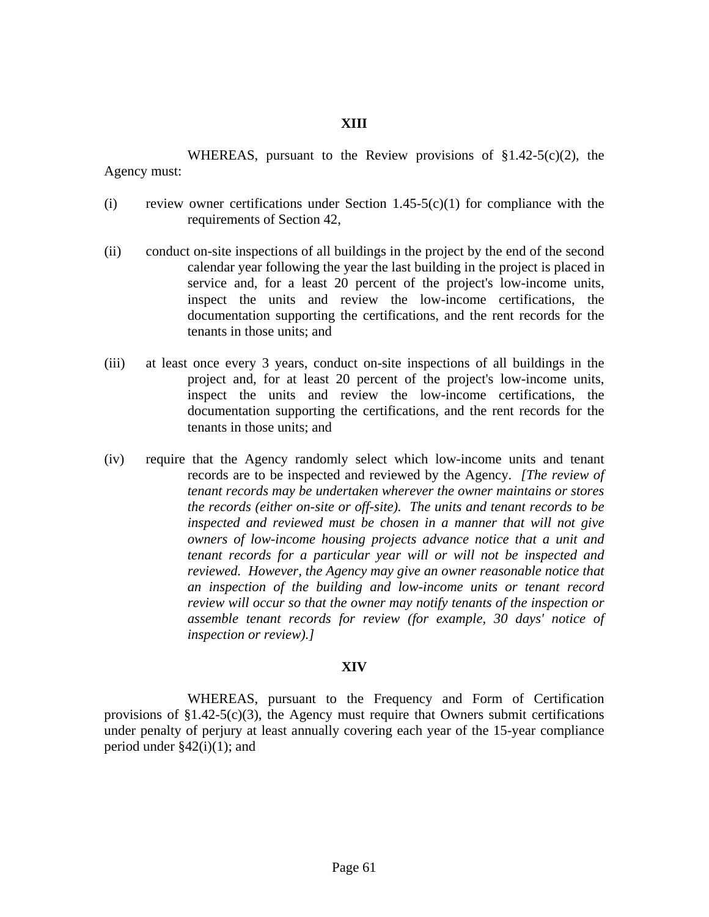### **XIII**

 WHEREAS, pursuant to the Review provisions of §1.42-5(c)(2), the Agency must:

- (i) review owner certifications under Section 1.45-5(c)(1) for compliance with the requirements of Section 42,
- (ii) conduct on-site inspections of all buildings in the project by the end of the second calendar year following the year the last building in the project is placed in service and, for a least 20 percent of the project's low-income units, inspect the units and review the low-income certifications, the documentation supporting the certifications, and the rent records for the tenants in those units; and
- (iii) at least once every 3 years, conduct on-site inspections of all buildings in the project and, for at least 20 percent of the project's low-income units, inspect the units and review the low-income certifications, the documentation supporting the certifications, and the rent records for the tenants in those units; and
- (iv) require that the Agency randomly select which low-income units and tenant records are to be inspected and reviewed by the Agency. *[The review of tenant records may be undertaken wherever the owner maintains or stores the records (either on-site or off-site). The units and tenant records to be inspected and reviewed must be chosen in a manner that will not give owners of low-income housing projects advance notice that a unit and tenant records for a particular year will or will not be inspected and reviewed. However, the Agency may give an owner reasonable notice that an inspection of the building and low-income units or tenant record review will occur so that the owner may notify tenants of the inspection or assemble tenant records for review (for example, 30 days' notice of inspection or review).]*

#### **XIV**

 WHEREAS, pursuant to the Frequency and Form of Certification provisions of  $$1.42-5(c)(3)$ , the Agency must require that Owners submit certifications under penalty of perjury at least annually covering each year of the 15-year compliance period under  $\S 42(i)(1)$ ; and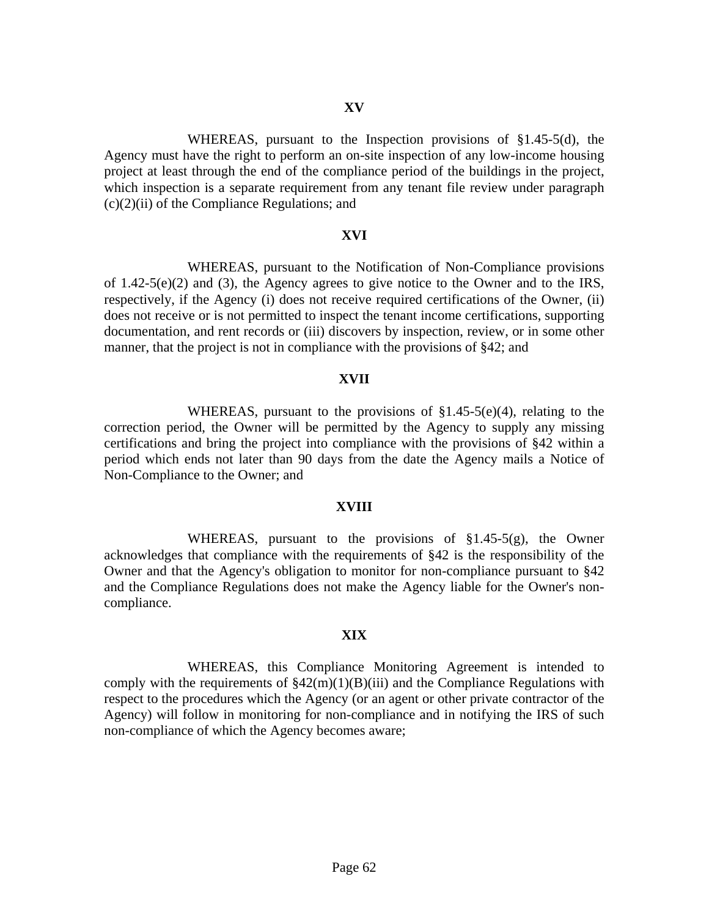WHEREAS, pursuant to the Inspection provisions of §1.45-5(d), the Agency must have the right to perform an on-site inspection of any low-income housing project at least through the end of the compliance period of the buildings in the project, which inspection is a separate requirement from any tenant file review under paragraph  $(c)(2)(ii)$  of the Compliance Regulations; and

#### **XVI**

 WHEREAS, pursuant to the Notification of Non-Compliance provisions of 1.42-5(e)(2) and (3), the Agency agrees to give notice to the Owner and to the IRS, respectively, if the Agency (i) does not receive required certifications of the Owner, (ii) does not receive or is not permitted to inspect the tenant income certifications, supporting documentation, and rent records or (iii) discovers by inspection, review, or in some other manner, that the project is not in compliance with the provisions of §42; and

#### **XVII**

 WHEREAS, pursuant to the provisions of §1.45-5(e)(4), relating to the correction period, the Owner will be permitted by the Agency to supply any missing certifications and bring the project into compliance with the provisions of §42 within a period which ends not later than 90 days from the date the Agency mails a Notice of Non-Compliance to the Owner; and

#### **XVIII**

 WHEREAS, pursuant to the provisions of §1.45-5(g), the Owner acknowledges that compliance with the requirements of §42 is the responsibility of the Owner and that the Agency's obligation to monitor for non-compliance pursuant to §42 and the Compliance Regulations does not make the Agency liable for the Owner's noncompliance.

#### **XIX**

 WHEREAS, this Compliance Monitoring Agreement is intended to comply with the requirements of  $\frac{242(m)(1)(B)(iii)}{3}$  and the Compliance Regulations with respect to the procedures which the Agency (or an agent or other private contractor of the Agency) will follow in monitoring for non-compliance and in notifying the IRS of such non-compliance of which the Agency becomes aware;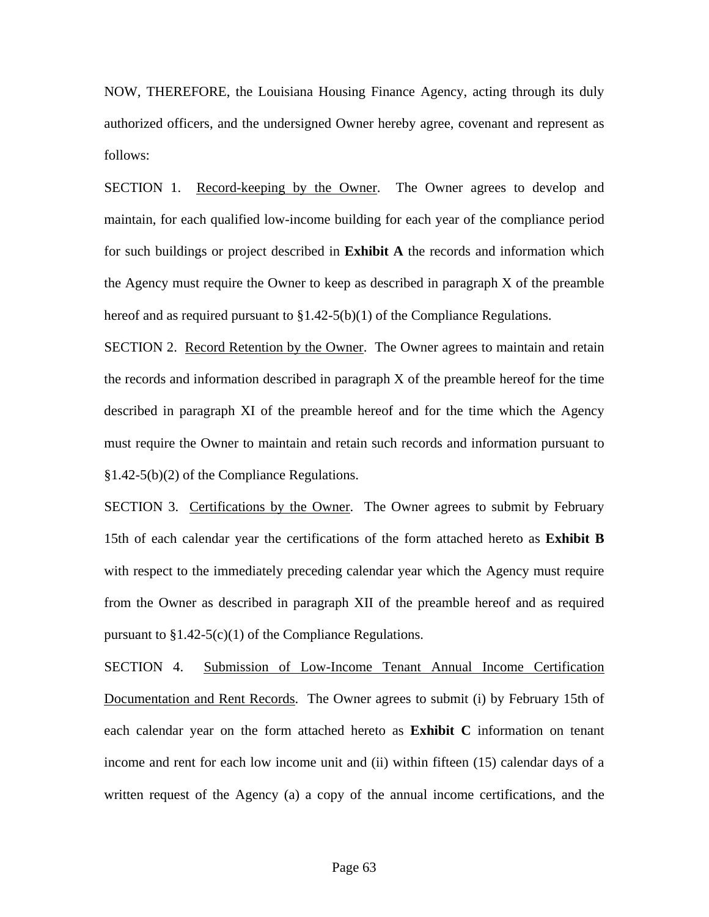NOW, THEREFORE, the Louisiana Housing Finance Agency, acting through its duly authorized officers, and the undersigned Owner hereby agree, covenant and represent as follows:

 SECTION 1. Record-keeping by the Owner. The Owner agrees to develop and maintain, for each qualified low-income building for each year of the compliance period for such buildings or project described in **Exhibit A** the records and information which the Agency must require the Owner to keep as described in paragraph X of the preamble hereof and as required pursuant to  $\S 1.42-5(b)(1)$  of the Compliance Regulations.

 SECTION 2. Record Retention by the Owner. The Owner agrees to maintain and retain the records and information described in paragraph  $X$  of the preamble hereof for the time described in paragraph XI of the preamble hereof and for the time which the Agency must require the Owner to maintain and retain such records and information pursuant to §1.42-5(b)(2) of the Compliance Regulations.

SECTION 3. Certifications by the Owner. The Owner agrees to submit by February 15th of each calendar year the certifications of the form attached hereto as **Exhibit B** with respect to the immediately preceding calendar year which the Agency must require from the Owner as described in paragraph XII of the preamble hereof and as required pursuant to  $$1.42-5(c)(1)$  of the Compliance Regulations.

 SECTION 4. Submission of Low-Income Tenant Annual Income Certification Documentation and Rent Records. The Owner agrees to submit (i) by February 15th of each calendar year on the form attached hereto as **Exhibit C** information on tenant income and rent for each low income unit and (ii) within fifteen (15) calendar days of a written request of the Agency (a) a copy of the annual income certifications, and the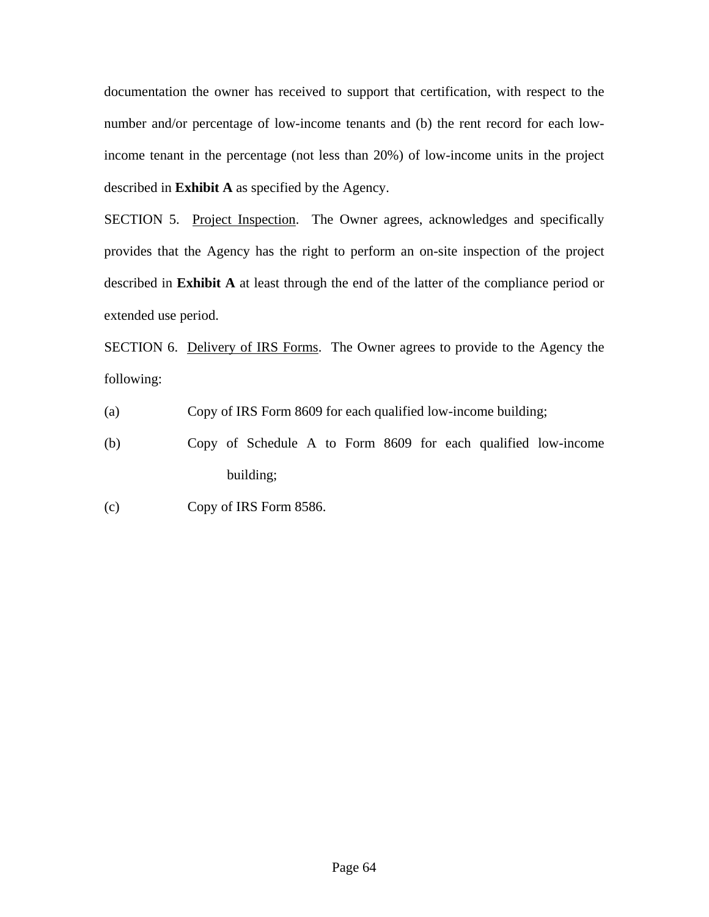documentation the owner has received to support that certification, with respect to the number and/or percentage of low-income tenants and (b) the rent record for each lowincome tenant in the percentage (not less than 20%) of low-income units in the project described in **Exhibit A** as specified by the Agency.

SECTION 5. Project Inspection. The Owner agrees, acknowledges and specifically provides that the Agency has the right to perform an on-site inspection of the project described in **Exhibit A** at least through the end of the latter of the compliance period or extended use period.

 SECTION 6. Delivery of IRS Forms. The Owner agrees to provide to the Agency the following:

(a) Copy of IRS Form 8609 for each qualified low-income building;

 (b) Copy of Schedule A to Form 8609 for each qualified low-income building;

(c) Copy of IRS Form 8586.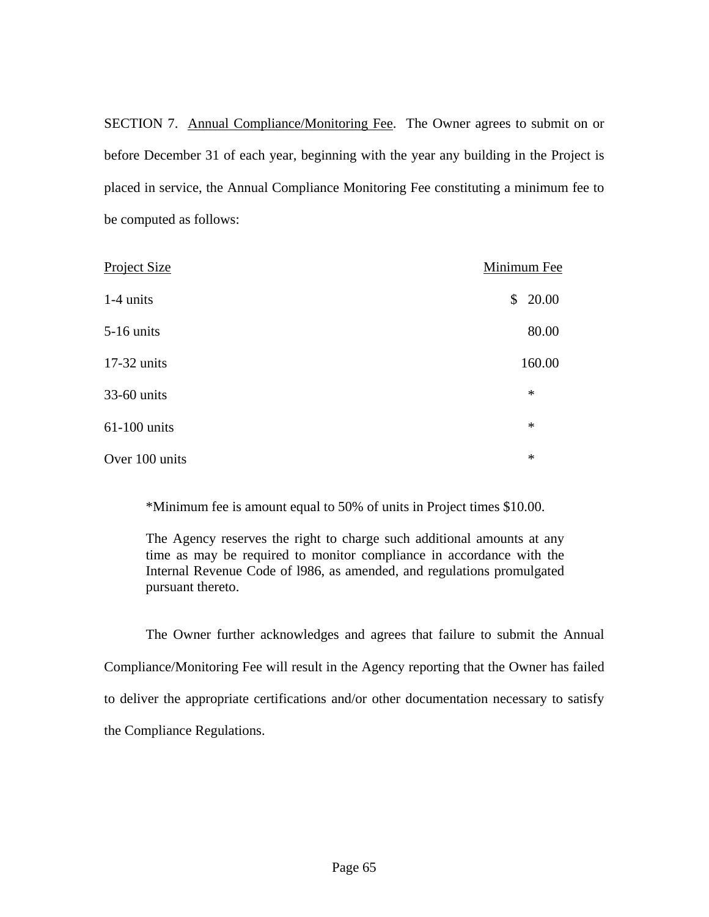SECTION 7. Annual Compliance/Monitoring Fee. The Owner agrees to submit on or before December 31 of each year, beginning with the year any building in the Project is placed in service, the Annual Compliance Monitoring Fee constituting a minimum fee to be computed as follows:

| Project Size   | Minimum Fee |
|----------------|-------------|
| 1-4 units      | \$20.00     |
| $5-16$ units   | 80.00       |
| 17-32 units    | 160.00      |
| 33-60 units    | $\ast$      |
| 61-100 units   | $\ast$      |
| Over 100 units | $\ast$      |

\*Minimum fee is amount equal to 50% of units in Project times \$10.00.

The Agency reserves the right to charge such additional amounts at any time as may be required to monitor compliance in accordance with the Internal Revenue Code of l986, as amended, and regulations promulgated pursuant thereto.

 The Owner further acknowledges and agrees that failure to submit the Annual Compliance/Monitoring Fee will result in the Agency reporting that the Owner has failed to deliver the appropriate certifications and/or other documentation necessary to satisfy the Compliance Regulations.